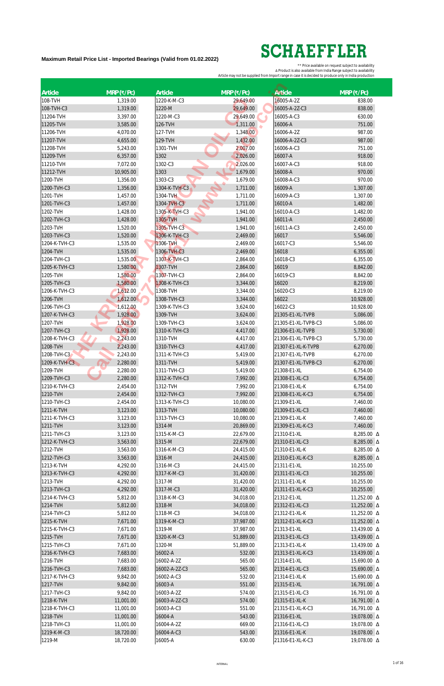| Article                   | $MRP$ (₹/Pc)         | Article                   | $MRP$ (₹/Pc)         | <b>Article</b>                     | $MRP$ (₹/Pc)         |
|---------------------------|----------------------|---------------------------|----------------------|------------------------------------|----------------------|
| 108-TVH                   | 1,319.00             | 1220-K-M-C3               | 29,649.00            | 16005-A-2Z                         | 838.00               |
| 108-TVH-C3                | 1,319.00             | 1220-M                    | 29,649.00            | 16005-A-2Z-C3                      | 838.00               |
| 11204-TVH                 | 3,397.00             | 1220-M-C3                 | 29,649.00            | 16005-A-C3                         | 630.00               |
| 11205-TVH                 | 3,585.00             | 126-TVH                   | 1,311.00             | 16006-A                            | 751.00               |
| 11206-TVH                 | 4,070.00             | 127-TVH                   | 1,348.00             | 16006-A-2Z                         | 987.00               |
| 11207-TVH                 | 4,655.00             | 129-TVH                   | 1,432.00             | 16006-A-2Z-C3                      | 987.00               |
| 11208-TVH                 | 5,243.00             | 1301-TVH                  | 2,007.00             | 16006-A-C3                         | 751.00               |
| 11209-TVH                 | 6,357.00             | 1302                      | 2,026.00             | 16007-A                            | 918.00               |
| 11210-TVH                 | 7,072.00             | 1302-C3                   | 2,026.00             | 16007-A-C3                         | 918.00               |
| 11212-TVH                 | 10,905.00            | 1303                      | 1,679.00             | 16008-A                            | 970.00               |
| 1200-TVH                  | 1,356.00             | 1303-C3                   | 1,679.00             | 16008-A-C3                         | 970.00               |
| 1200-TVH-C3               | 1,356.00             | 1304-K-TVH-C3             | 1,711.00             | 16009-A                            | 1,307.00             |
| 1201-TVH                  | 1,457.00             | 1304-TVH                  | 1,711.00             | 16009-A-C3                         | 1,307.00             |
| 1201-TVH-C3               | 1,457.00             | 1304-TVH-C3               | 1,711.00             | 16010-A                            | 1,482.00             |
| 1202-TVH                  | 1,428.00             | 1305-K-TVH-C3             | 1,941.00             | 16010-A-C3                         | 1,482.00             |
| 1202-TVH-C3               | 1,428.00             | 1305-TVH                  | 1,941.00             | 16011-A                            | 2,450.00             |
| 1203-TVH                  | 1,520.00             | 1305-TVH-C3               | 1,941.00             | 16011-A-C3                         | 2,450.00             |
| 1203-TVH-C3               | 1,520.00             | 1306-K-TVH-C3             | 2,469.00             | 16017                              | 5,546.00             |
| 1204-K-TVH-C3             | 1,535.00             | 1306-TVH                  | 2,469.00             | 16017-C3                           | 5,546.00             |
| 1204-TVH                  | 1,535.00             | 1306-TVH-C3               | 2,469.00             | 16018                              | 6,355.00             |
| 1204-TVH-C3               | 1,535.00             | 1307-K-TVH-C3             | 2,864.00             | 16018-C3                           | 6,355.00             |
| 1205-K-TVH-C3             | 1,580.00             | 1307-TVH                  | 2,864.00             | 16019                              | 8,842.00             |
| 1205-TVH                  | 1,580.00             | 1307-TVH-C3               | 2,864.00             | 16019-C3                           | 8,842.00             |
| 1205-TVH-C3               | 1,580.00             | 1308-K-TVH-C3             | 3,344.00             | 16020                              | 8,219.00             |
| 1206-K-TVH-C3             | 1,612.00             | 1308-TVH                  | 3,344.00             | 16020-C3                           | 8,219.00             |
| 1206-TVH                  | 1,612.00             | 1308-TVH-C3               | 3,344.00             | 16022                              | 10,928.00            |
| 1206-TVH-C3               | 1,612.00             | 1309-K-TVH-C3             | 3,624.00             | 16022-C3                           | 10,928.00            |
| 1207-K-TVH-C3             | 1,928.00             | 1309-TVH                  | 3,624.00             | 21305-E1-XL-TVPB                   | 5,086.00             |
| 1207-TVH                  | 1,928.00             | 1309-TVH-C3               | 3,624.00             | 21305-E1-XL-TVPB-C3                | 5,086.00             |
| 1207-TVH-C3               | 1,928.00             | 1310-K-TVH-C3             | 4,417.00             | 21306-E1-XL-TVPB                   | 5,730.00             |
| 1208-K-TVH-C3             | 2,243.00             | 1310-TVH                  | 4,417.00             | 21306-E1-XL-TVPB-C3                | 5,730.00             |
| 1208-TVH                  | 2,243.00             | 1310-TVH-C3               | 4,417.00             | 21307-E1-XL-K-TVPB                 | 6,270.00             |
| 1208-TVH-C3               | 2,243.00             | 1311-K-TVH-C3<br>1311-TVH | 5,419.00             | 21307-E1-XL-TVPB                   | 6,270.00             |
| 1209-K-TVH-C3<br>1209-TVH | 2,280.00<br>2,280.00 | 1311-TVH-C3               | 5,419.00<br>5,419.00 | 21307-E1-XL-TVPB-C3<br>21308-E1-XL | 6,270.00<br>6,754.00 |
| 1209-TVH-C3               | 2,280.00             | 1312-K-TVH-C3             | 7,992.00             | 21308-E1-XL-C3                     | 6,754.00             |
| 1210-K-TVH-C3             | 2,454.00             | 1312-TVH                  | 7,992.00             | 21308-E1-XL-K                      | 6,754.00             |
| 1210-TVH                  | 2,454.00             | 1312-TVH-C3               | 7,992.00             | 21308-E1-XL-K-C3                   | 6,754.00             |
| 1210-TVH-C3               | 2,454.00             | 1313-K-TVH-C3             | 10,080.00            | 21309-E1-XL                        | 7,460.00             |
| 1211-K-TVH                | 3,123.00             | 1313-TVH                  | 10,080.00            | 21309-E1-XL-C3                     | 7,460.00             |
| 1211-K-TVH-C3             | 3,123.00             | 1313-TVH-C3               | 10,080.00            | 21309-E1-XL-K                      | 7,460.00             |
| 1211-TVH                  | 3,123.00             | 1314-M                    | 20,869.00            | 21309-E1-XL-K-C3                   | 7,460.00             |
| 1211-TVH-C3               | 3,123.00             | 1315-K-M-C3               | 22,679.00            | 21310-E1-XL                        | 8,285.00 △           |
| 1212-K-TVH-C3             | 3,563.00             | 1315-M                    | 22,679.00            | 21310-E1-XL-C3                     | 8,285.00 △           |
| 1212-TVH                  | 3,563.00             | 1316-K-M-C3               | 24,415.00            | 21310-E1-XL-K                      | 8,285.00 △           |
| 1212-TVH-C3               | 3,563.00             | 1316-M                    | 24,415.00            | 21310-E1-XL-K-C3                   | 8,285.00 $\Delta$    |
| 1213-K-TVH                | 4,292.00             | 1316-M-C3                 | 24,415.00            | 21311-E1-XL                        | 10,255.00            |
| 1213-K-TVH-C3             | 4,292.00             | 1317-K-M-C3               | 31,420.00            | 21311-E1-XL-C3                     | 10,255.00            |
| 1213-TVH                  | 4,292.00             | 1317-M                    | 31,420.00            | 21311-E1-XL-K                      | 10,255.00            |
| 1213-TVH-C3               | 4,292.00             | 1317-M-C3                 | 31,420.00            | 21311-E1-XL-K-C3                   | 10,255.00            |
| 1214-K-TVH-C3             | 5,812.00             | 1318-K-M-C3               | 34,018.00            | 21312-E1-XL                        | 11,252.00 △          |
| 1214-TVH                  | 5,812.00             | 1318-M                    | 34,018.00            | 21312-E1-XL-C3                     | 11,252.00 Δ          |
| 1214-TVH-C3               | 5,812.00             | 1318-M-C3                 | 34,018.00            | 21312-E1-XL-K                      | 11,252.00 Δ          |
| 1215-K-TVH                | 7,671.00             | 1319-K-M-C3               | 37,987.00            | 21312-E1-XL-K-C3                   | 11,252.00 Δ          |
| 1215-K-TVH-C3             | 7,671.00             | 1319-M                    | 37,987.00            | 21313-E1-XL                        | 13,439.00 Δ          |
| 1215-TVH                  | 7,671.00             | 1320-K-M-C3               | 51,889.00            | 21313-E1-XL-C3                     | 13,439.00 $\Delta$   |
| 1215-TVH-C3               | 7,671.00             | 1320-M                    | 51,889.00            | 21313-E1-XL-K                      | 13,439.00 △          |
| 1216-K-TVH-C3             | 7,683.00             | 16002-A                   | 532.00               | 21313-E1-XL-K-C3                   | 13,439.00 $\Delta$   |
| 1216-TVH                  | 7,683.00             | 16002-A-2Z                | 565.00               | 21314-E1-XL                        | 15,690.00 △          |
| 1216-TVH-C3               | 7,683.00             | 16002-A-2Z-C3             | 565.00               | 21314-E1-XL-C3                     | 15,690.00 Δ          |
| 1217-K-TVH-C3             | 9,842.00             | 16002-A-C3                | 532.00               | 21314-E1-XL-K                      | 15,690.00 Δ          |
| 1217-TVH                  | 9,842.00             | 16003-A                   | 551.00               | 21315-E1-XL                        | 16,791.00 Δ          |
| 1217-TVH-C3               | 9,842.00             | 16003-A-2Z                | 574.00               | 21315-E1-XL-C3                     | 16,791.00 △          |
| 1218-K-TVH                | 11,001.00            | 16003-A-2Z-C3             | 574.00               | 21315-E1-XL-K                      | $16,791.00 \Delta$   |
| 1218-K-TVH-C3             | 11,001.00            | 16003-A-C3                | 551.00               | 21315-E1-XL-K-C3                   | 16,791.00 △          |
| 1218-TVH                  | 11,001.00            | 16004-A                   | 543.00               | 21316-E1-XL                        | 19,078.00 $\Delta$   |
| 1218-TVH-C3               | 11,001.00            | 16004-A-2Z                | 669.00               | 21316-E1-XL-C3                     | 19,078.00 Δ          |
| 1219-K-M-C3               | 18,720.00            | 16004-A-C3                | 543.00               | 21316-E1-XL-K                      | 19,078.00 $\Delta$   |
| 1219-M                    | 18,720.00            | 16005-A                   | 630.00               | 21316-E1-XL-K-C3                   | 19,078.00 Δ          |

## **SCHAEFFLER**

**Maximum Retail Price List - Imported Bearings (Valid from 01.02.2022)**

\*\* Price available on request subject to availability ∆ Product is also available from India Range subject to availability Article may not be supplied from Import range in case it is decided to produce only in India production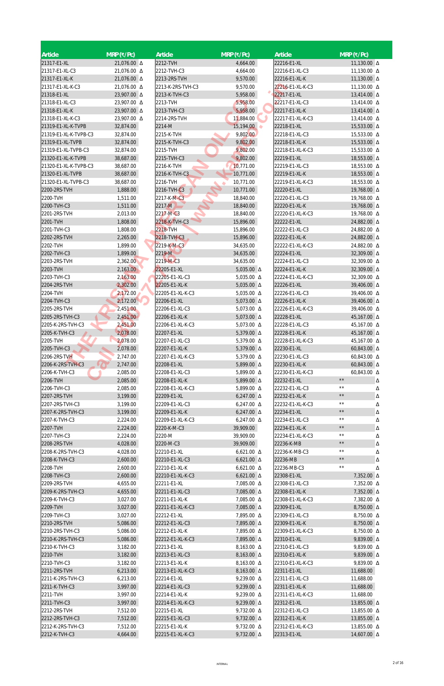| Article                           | $MRP$ (₹/Pc)             | <b>Article</b>                    | $MRP$ (₹/Pc)                    | Article                         | $MRP$ (₹/Pc)                  |
|-----------------------------------|--------------------------|-----------------------------------|---------------------------------|---------------------------------|-------------------------------|
| 21317-E1-XL                       | 21,076.00 Δ              | 2212-TVH                          | 4,664.00                        | 22216-E1-XL                     | 11,130.00 $\Delta$            |
| 21317-E1-XL-C3                    | 21,076.00 Δ              | 2212-TVH-C3                       | 4,664.00                        | 22216-E1-XL-C3                  | 11,130.00 Δ                   |
| 21317-E1-XL-K                     | 21,076.00 Δ              | 2213-2RS-TVH                      | 9,570.00                        | 22216-E1-XL-K                   | 11,130.00 Δ                   |
| 21317-E1-XL-K-C3                  | 21,076.00 Δ              | 2213-K-2RS-TVH-C3                 | 9,570.00                        | 22216-E1-XL-K-C3                | 11,130.00 Δ                   |
| 21318-E1-XL                       | 23,907.00 A              | 2213-K-TVH-C3                     | 5,958.00                        | 22217-E1-XL                     | 13,414.00 $\Delta$            |
| 21318-E1-XL-C3                    | 23,907.00 Δ              | 2213-TVH                          | 5,958.00                        | 22217-E1-XL-C3                  | 13,414.00 △                   |
| 21318-E1-XL-K<br>21318-E1-XL-K-C3 | 23,907.00 A              | 2213-TVH-C3                       | 5,958.00                        | 22217-E1-XL-K                   | 13,414.00 $\Delta$            |
| 21319-E1-XL-K-TVPB                | 23,907.00 △<br>32,874.00 | 2214-2RS-TVH<br>2214-M            | 11,884.00<br>15,194.00          | 22217-E1-XL-K-C3<br>22218-E1-XL | 13,414.00 △<br>15,533.00 Δ    |
| 21319-E1-XL-K-TVPB-C3             | 32,874.00                | 2215-K-TVH                        | 9,802.00                        | 22218-E1-XL-C3                  | 15,533.00 △                   |
| 21319-E1-XL-TVPB                  | 32,874.00                | 2215-K-TVH-C3                     | 9,802.00                        | 22218-E1-XL-K                   | 15,533.00 △                   |
| 21319-E1-XL-TVPB-C3               | 32,874.00                | 2215-TVH                          | 9,802.00                        | 22218-E1-XL-K-C3                | 15,533.00 △                   |
| 21320-E1-XL-K-TVPB                | 38,687.00                | 2215-TVH-C3                       | 9,802.00                        | 22219-E1-XL                     | 18,553.00 $\Delta$            |
| 21320-E1-XL-K-TVPB-C3             | 38,687.00                | 2216-K-TVH                        | 10,771.00                       | 22219-E1-XL-C3                  | 18,553.00 △                   |
| 21320-E1-XL-TVPB                  | 38,687.00                | 2216-K-TVH-C3                     | 10,771.00                       | 22219-E1-XL-K                   | 18,553.00 A                   |
| 21320-E1-XL-TVPB-C3               | 38,687.00                | 2216-TVH                          | 10,771.00                       | 22219-E1-XL-K-C3                | 18,553.00 △                   |
| 2200-2RS-TVH                      | 1,888.00                 | 2216-TVH-C3                       | 10,771.00                       | 22220-E1-XL                     | 19,768.00 Δ                   |
| 2200-TVH                          | 1,511.00                 | 2217-K-M-C3                       | 18,840.00                       | 22220-E1-XL-C3                  | 19,768.00 Δ                   |
| 2200-TVH-C3                       | 1,511.00                 | 2217-M                            | 18,840.00                       | 22220-E1-XL-K                   | 19,768.00 Δ                   |
| 2201-2RS-TVH                      | 2,013.00                 | 2217-M-C3                         | 18,840.00                       | 22220-E1-XL-K-C3                | 19,768.00 Δ                   |
| 2201-TVH                          | 1,808.00                 | 2218-K-TVH-C3                     | 15,896.00                       | 22222-E1-XL                     | 24,882.00 $\Delta$            |
| 2201-TVH-C3                       | 1,808.00                 | 2218-TVH                          | 15,896.00                       | 22222-E1-XL-C3                  | 24,882.00 △                   |
| 2202-2RS-TVH                      | 2,265.00                 | 2218-TVH-C3                       | 15,896.00                       | 22222-E1-XL-K                   | 24,882.00 A                   |
| 2202-TVH<br>2202-TVH-C3           | 1,899.00<br>1,899.00     | 2219-K-M-C3<br>2219-M             | 34,635.00<br>34,635.00          | 22222-E1-XL-K-C3<br>22224-E1-XL | 24,882.00 △<br>32,309.00 △    |
| 2203-2RS-TVH                      | 2,362.00                 | 2219-M-C3                         | 34,635.00                       | 22224-E1-XL-C3                  | 32,309.00 △                   |
| 2203-TVH                          | 2,163.00                 | 22205-E1-XL                       | 5,035.00 $\Delta$               | 22224-E1-XL-K                   | 32,309.00 △                   |
| 2203-TVH-C3                       | 2,163.00                 | 22205-E1-XL-C3                    | 5,035.00 $\Delta$               | 22224-E1-XL-K-C3                | 32,309.00 A                   |
| 2204-2RS-TVH                      | 2,302.00                 | 22205-E1-XL-K                     | 5,035.00 $\Delta$               | 22226-E1-XL                     | 39,406.00 △                   |
| 2204-TVH                          | 2,172.00                 | 22205-E1-XL-K-C3                  | 5,035.00 △                      | 22226-E1-XL-C3                  | 39,406.00 △                   |
| 2204-TVH-C3                       | 2,172.00                 | 22206-E1-XL                       | 5,073.00 $\Delta$               | 22226-E1-XL-K                   | 39,406.00 A                   |
| 2205-2RS-TVH                      | 2,451.00                 | 22206-E1-XL-C3                    | 5,073.00 △                      | 22226-E1-XL-K-C3                | 39,406.00 △                   |
| 2205-2RS-TVH-C3                   | 2,451.00                 | 22206-E1-XL-K                     | 5,073.00 $\Delta$               | 22228-E1-XL                     | 45,167.00 △                   |
| 2205-K-2RS-TVH-C3                 | 2,451.00                 | 22206-E1-XL-K-C3                  | 5,073.00 $\Delta$               | 22228-E1-XL-C3                  | 45,167.00 Δ                   |
| 2205-K-TVH-C3                     | 2,078.00                 | 22207-E1-XL                       | 5,379.00 △                      | 22228-E1-XL-K                   | 45,167.00 Δ                   |
| 2205-TVH                          | 2,078.00                 | 22207-E1-XL-C3                    | 5,379.00 △                      | 22228-E1-XL-K-C3                | 45,167.00 Δ                   |
| 2205-TVH-C3                       | 2,078.00                 | 22207-E1-XL-K                     | 5,379.00 △                      | 22230-E1-XL                     | 60,843.00 $\Delta$            |
| 2206-2RS-TVH                      | 2,747.00                 | 22207-E1-XL-K-C3                  | 5,379.00 △                      | 22230-E1-XL-C3                  | 60,843.00 △                   |
| 2206-K-2RS-TVH-C3                 | 2,747.00                 | 22208-E1-XL                       | 5,899.00 △                      | 22230-E1-XL-K                   | 60,843.00 $\Delta$            |
| 2206-K-TVH-C3                     | 2,085.00                 | 22208-E1-XL-C3                    | 5,899.00 △                      | 22230-E1-XL-K-C3                | 60,843.00 △<br>$\star\,\star$ |
| 2206-TVH<br>2206-TVH-C3           | 2,085.00<br>2,085.00     | 22208-E1-XL-K<br>22208-E1-XL-K-C3 | 5,899.00 $\Delta$<br>5,899.00 △ | 22232-E1-XL<br>22232-E1-XL-C3   | Δ<br>$\star\,\star$           |
| 2207-2RS-TVH                      | 3,199.00                 | 22209-E1-XL                       | $6,247.00 \Delta$               | 22232-E1-XL-K                   | Δ<br>$\star\,\star$<br>Δ      |
| 2207-2RS-TVH-C3                   | 3,199.00                 | 22209-E1-XL-C3                    | $6,247.00 \Delta$               | 22232-E1-XL-K-C3                | $\star\,\star$<br>Δ           |
| 2207-K-2RS-TVH-C3                 | 3,199.00                 | 22209-E1-XL-K                     | 6,247.00 $\Delta$               | 22234-E1-XL                     | $\star\,\star$<br>Δ           |
| 2207-K-TVH-C3                     | 2,224.00                 | 22209-E1-XL-K-C3                  | $6,247.00 \Delta$               | 22234-E1-XL-C3                  | $\star\,\star$<br>Δ           |
| 2207-TVH                          | 2,224.00                 | 2220-K-M-C3                       | 39,909.00                       | 22234-E1-XL-K                   | $\star\,\star$<br>Δ           |
| 2207-TVH-C3                       | 2,224.00                 | 2220-M                            | 39,909.00                       | 22234-E1-XL-K-C3                | $\star\,\star$<br>Δ           |
| 2208-2RS-TVH                      | 4,028.00                 | 2220-M-C3                         | 39,909.00                       | 22236-K-MB                      | $\star\star$<br>Δ             |
| 2208-K-2RS-TVH-C3                 | 4,028.00                 | 22210-E1-XL                       | $6,621.00 \Delta$               | 22236-K-MB-C3                   | $\star\,\star$<br>Δ           |
| 2208-K-TVH-C3                     | 2,600.00                 | 22210-E1-XL-C3                    | $6,621.00 \Delta$               | 22236-MB                        | $\star\,\star$<br>Δ           |
| 2208-TVH                          | 2,600.00                 | 22210-E1-XL-K                     | $6,621.00 \Delta$               | 22236-MB-C3                     | $\star\star$<br>Δ             |
| 2208-TVH-C3                       | 2,600.00                 | 22210-E1-XL-K-C3                  | $6,621.00 \Delta$               | 22308-E1-XL                     | 7,352.00 △                    |
| 2209-2RS-TVH                      | 4,655.00                 | 22211-E1-XL                       | 7,085.00 △                      | 22308-E1-XL-C3                  | 7,352.00 △                    |
| 2209-K-2RS-TVH-C3                 | 4,655.00                 | 22211-E1-XL-C3                    | 7,085.00 △                      | 22308-E1-XL-K                   | 7,352.00 △                    |
| 2209-K-TVH-C3                     | 3,027.00                 | 22211-E1-XL-K                     | 7,085.00 △                      | 22308-E1-XL-K-C3                | 7,382.00 △                    |
| 2209-TVH<br>2209-TVH-C3           | 3,027.00<br>3,027.00     | 22211-E1-XL-K-C3<br>22212-E1-XL   | 7,085.00 Δ<br>7,895.00 △        | 22309-E1-XL<br>22309-E1-XL-C3   | 8,750.00 △<br>8,750.00 △      |
| 2210-2RS-TVH                      | 5,086.00                 | 22212-E1-XL-C3                    | 7,895.00 △                      | 22309-E1-XL-K                   | 8,750.00 △                    |
| 2210-2RS-TVH-C3                   | 5,086.00                 | 22212-E1-XL-K                     | 7,895.00 △                      | 22309-E1-XL-K-C3                | 8,750.00 △                    |
| 2210-K-2RS-TVH-C3                 | 5,086.00                 | 22212-E1-XL-K-C3                  | 7,895.00 A                      | 22310-E1-XL                     | 9,839.00 $\Delta$             |
| 2210-K-TVH-C3                     | 3,182.00                 | 22213-E1-XL                       | 8,163.00 △                      | 22310-E1-XL-C3                  | 9,839.00 △                    |
| 2210-TVH                          | 3,182.00                 | 22213-E1-XL-C3                    | 8,163.00 △                      | 22310-E1-XL-K                   | 9,839.00 △                    |
| 2210-TVH-C3                       | 3,182.00                 | 22213-E1-XL-K                     | 8,163.00 △                      | 22310-E1-XL-K-C3                | 9,839.00 △                    |
| 2211-2RS-TVH                      | 6,213.00                 | 22213-E1-XL-K-C3                  | 8,163.00 △                      | 22311-E1-XL                     | 11,688.00                     |
| 2211-K-2RS-TVH-C3                 | 6,213.00                 | 22214-E1-XL                       | 9,239.00 △                      | 22311-E1-XL-C3                  | 11,688.00                     |
| 2211-K-TVH-C3                     | 3,997.00                 | 22214-E1-XL-C3                    | 9,239.00 △                      | 22311-E1-XL-K                   | 11,688.00                     |
| 2211-TVH                          | 3,997.00                 | 22214-E1-XL-K                     | 9,239.00 △                      | 22311-E1-XL-K-C3                | 11,688.00                     |
| 2211-TVH-C3                       | 3,997.00                 | 22214-E1-XL-K-C3                  | 9,239.00 △                      | 22312-E1-XL                     | 13,855.00 $\Delta$            |
| 2212-2RS-TVH                      | 7,512.00                 | 22215-E1-XL                       | 9,732.00 △                      | 22312-E1-XL-C3                  | 13,855.00 △                   |
| 2212-2RS-TVH-C3                   | 7,512.00                 | 22215-E1-XL-C3                    | 9,732.00 △                      | 22312-E1-XL-K                   | 13,855.00 △                   |
| 2212-K-2RS-TVH-C3                 | 7,512.00                 | 22215-E1-XL-K                     | 9,732.00 △                      | 22312-E1-XL-K-C3                | 13,855.00 △                   |
| 2212-K-TVH-C3                     | 4,664.00                 | 22215-E1-XL-K-C3                  | 9,732.00 △                      | 22313-E1-XL                     | 14,607.00 $\Delta$            |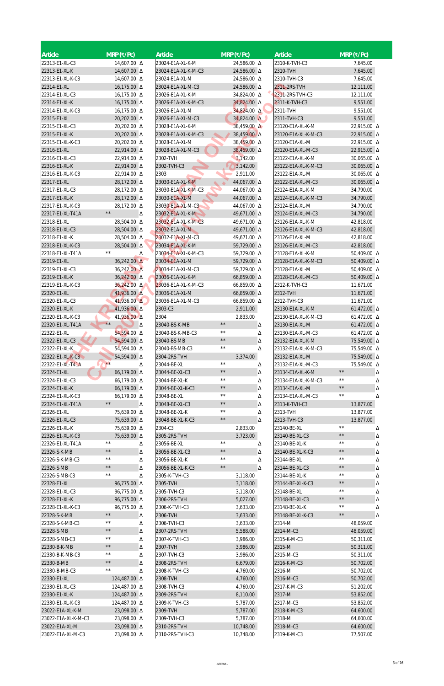| Article                              | $MRP$ (₹/Pc)                   |   | <b>Article</b>                          |                                | $MRP$ (₹/Pc)               |        | Article                               |                                  | $MRP$ (₹/Pc)           |   |
|--------------------------------------|--------------------------------|---|-----------------------------------------|--------------------------------|----------------------------|--------|---------------------------------------|----------------------------------|------------------------|---|
| 22313-E1-XL-C3                       | 14,607.00 Δ                    |   | 23024-E1A-XL-K-M                        |                                | 24,586.00 △                |        | 2310-K-TVH-C3                         |                                  | 7,645.00               |   |
| 22313-E1-XL-K                        | 14,607.00 Δ                    |   | 23024-E1A-XL-K-M-C3                     |                                | 24,586.00 A                |        | 2310-TVH                              |                                  | 7,645.00               |   |
| 22313-E1-XL-K-C3                     | 14,607.00 Δ                    |   | 23024-E1A-XL-M                          |                                | 24,586.00 △                |        | 2310-TVH-C3                           |                                  | 7,645.00               |   |
| 22314-E1-XL                          | 16,175.00 △                    |   | 23024-E1A-XL-M-C3                       |                                | 24,586.00 △                |        | 2311-2RS-TVH                          |                                  | 12,111.00              |   |
| 22314-E1-XL-C3                       | 16,175.00 △                    |   | 23026-E1A-XL-K-M                        |                                | 34,824.00 A                |        | 2311-2RS-TVH-C3                       |                                  | 12,111.00              |   |
| 22314-E1-XL-K                        | 16,175.00 Δ                    |   | 23026-E1A-XL-K-M-C3                     |                                | 34,824.00 △                |        | 2311-K-TVH-C3                         |                                  | 9,551.00               |   |
| 22314-E1-XL-K-C3                     | 16,175.00 △                    |   | 23026-E1A-XL-M                          |                                | 34,824.00 A                |        | 2311-TVH                              |                                  | 9,551.00               |   |
| 22315-E1-XL                          | 20,202.00 A                    |   | 23026-E1A-XL-M-C3                       |                                | $34,824.00$ $\Delta$       |        | 2311-TVH-C3                           |                                  | 9,551.00               |   |
| 22315-E1-XL-C3                       | 20,202.00 △                    |   | 23028-E1A-XL-K-M                        |                                | 38,459.00 A                |        | 23120-E1A-XL-K-M                      |                                  | 22,915.00 △            |   |
| 22315-E1-XL-K                        | 20,202.00 △                    |   | 23028-E1A-XL-K-M-C3                     |                                | 38,459.00 A                |        | 23120-E1A-XL-K-M-C3                   |                                  | 22,915.00 △            |   |
| 22315-E1-XL-K-C3                     | 20,202.00 △                    |   | 23028-E1A-XL-M                          |                                | 38,459.00 △                |        | 23120-E1A-XL-M                        |                                  | 22,915.00 △            |   |
| 22316-E1-XL                          | 22,914.00 △                    |   | 23028-E1A-XL-M-C3                       |                                | 38,459.00 △                |        | 23120-E1A-XL-M-C3                     |                                  | 22,915.00 △            |   |
| 22316-E1-XL-C3                       | 22,914.00 △                    |   | 2302-TVH                                |                                | 3,142.00                   |        | 23122-E1A-XL-K-M                      |                                  | 30,065.00 △            |   |
| 22316-E1-XL-K                        | 22,914.00 A                    |   | 2302-TVH-C3                             |                                | 3,142.00                   |        | 23122-E1A-XL-K-M-C3                   |                                  | 30,065.00 $\Delta$     |   |
| 22316-E1-XL-K-C3                     | 22,914.00 △                    |   | 2303                                    |                                | 2,911.00                   |        | 23122-E1A-XL-M                        |                                  | 30,065.00 △            |   |
| 22317-E1-XL                          | 28,172.00 △                    |   | 23030-E1A-XL-K-M                        |                                | 44,067.00 △                |        | 23122-E1A-XL-M-C3                     |                                  | 30,065.00 △            |   |
| 22317-E1-XL-C3                       | 28,172.00 △                    |   | 23030-E1A-XL-K-M-C3                     |                                | 44,067.00 △                |        | 23124-E1A-XL-K-M                      |                                  | 34,790.00              |   |
| 22317-E1-XL-K                        | 28,172.00 △                    |   | 23030-E1A-XL-M                          |                                | 44,067.00 △                |        | 23124-E1A-XL-K-M-C3                   |                                  | 34,790.00              |   |
| 22317-E1-XL-K-C3                     | 28,172.00 △<br>$\star\,\star$  |   | 23030-E1A-XL-M-C3                       |                                | 44,067.00 $\Delta$         |        | 23124-E1A-XL-M                        |                                  | 34,790.00              |   |
| 22317-E1-XL-T41A<br>22318-E1-XL      | 28,504.00 △                    | Δ | 23032-E1A-XL-K-M<br>23032-E1A-XL-K-M-C3 |                                | 49,671.00 △<br>49,671.00 △ |        | 23124-E1A-XL-M-C3<br>23126-E1A-XL-K-M |                                  | 34,790.00<br>42,818.00 |   |
| 22318-E1-XL-C3                       | 28,504.00 Δ                    |   | 23032-E1A-XL-M                          |                                | 49,671.00 △                |        | 23126-E1A-XL-K-M-C3                   |                                  | 42,818.00              |   |
| 22318-E1-XL-K                        | 28,504.00 △                    |   | 23032-E1A-XL-M-C3                       |                                | 49,671.00 △                |        | 23126-E1A-XL-M                        |                                  | 42,818.00              |   |
| 22318-E1-XL-K-C3                     | 28,504.00 △                    |   | 23034-E1A-XL-K-M                        |                                | 59,729.00 Δ                |        | 23126-E1A-XL-M-C3                     |                                  | 42,818.00              |   |
| 22318-E1-XL-T41A                     | $\star\star$                   | Δ | 23034-E1A-XL-K-M-C3                     |                                | 59,729.00 △                |        | 23128-E1A-XL-K-M                      |                                  | 50,409.00 △            |   |
| 22319-E1-XL                          | 36,242.00 A                    |   | 23034-E1A-XL-M                          |                                | 59,729.00 Δ                |        | 23128-E1A-XL-K-M-C3                   |                                  | 50,409.00 $\Delta$     |   |
| 22319-E1-XL-C3                       | 36,242.00 A                    |   | 23034-E1A-XL-M-C3                       |                                | 59,729.00 △                |        | 23128-E1A-XL-M                        |                                  | 50,409.00 Δ            |   |
| 22319-E1-XL-K                        | 36,242.00 △                    |   | 23036-E1A-XL-K-M                        |                                | 66,859.00 Δ                |        | 23128-E1A-XL-M-C3                     |                                  | 50,409.00 $\Delta$     |   |
| 22319-E1-XL-K-C3                     | 36,242.00 Δ                    |   | 23036-E1A-XL-K-M-C3                     |                                | 66,859.00 Δ                |        | 2312-K-TVH-C3                         |                                  | 11,671.00              |   |
| 22320-E1-XL                          | 41,936.00 $\triangle$          |   | 23036-E1A-XL-M                          |                                | 66,859.00 Δ                |        | 2312-TVH                              |                                  | 11,671.00              |   |
| 22320-E1-XL-C3                       | $41,936.00 \Delta$             |   | 23036-E1A-XL-M-C3                       |                                | 66,859.00 Δ                |        | 2312-TVH-C3                           |                                  | 11,671.00              |   |
| 22320-E1-XL-K                        | 41,936.00 Δ                    |   | 2303-C3                                 |                                | 2,911.00                   |        | 23130-E1A-XL-K-M                      |                                  | 61,472.00 $\Delta$     |   |
| 22320-E1-XL-K-C3                     | 41,936.00 A                    |   | 2304                                    |                                | 2,833.00                   |        | 23130-E1A-XL-K-M-C3                   |                                  | 61,472.00 $\Delta$     |   |
| 22320-E1-XL-T41A                     | $\star\star$                   | Δ | 23040-BS-K-MB                           | $\star\,\star$                 |                            | Δ      | 23130-E1A-XL-M                        |                                  | 61,472.00 $\Delta$     |   |
| 22322-E1-XL                          | 54,594.00 A                    |   | 23040-BS-K-MB-C3                        | $\star\,\star$                 |                            | Δ      | 23130-E1A-XL-M-C3                     |                                  | 61,472.00 △            |   |
| 22322-E1-XL-C3                       | 54,594.00 Δ                    |   | 23040-BS-MB                             | $\star\star$                   |                            | Δ      | 23132-E1A-XL-K-M                      |                                  | 75,549.00 △            |   |
| 22322-E1-XL-K                        | 54,594.00 △                    |   | 23040-BS-MB-C3                          | $\star\star$                   |                            | Δ      | 23132-E1A-XL-K-M-C3                   |                                  | 75,549.00 △            |   |
| 22322-E1-XL-K-C3                     | 54,594.00 A                    |   | 2304-2RS-TVH                            |                                | 3,374.00                   |        | 23132-E1A-XL-M                        |                                  | 75,549.00 Δ            |   |
| 22322-E1-XL-T41A                     | $**$                           | Δ | 23044-BE-XL                             | $\star\,\star$                 |                            | Δ      | 23132-E1A-XL-M-C3                     |                                  | 75,549.00 A            |   |
| 22324-E1-XL                          | 66,179.00 Δ                    |   | 23044-BE-XL-C3                          | $\star\,\star$                 |                            | Δ      | 23134-E1A-XL-K-M                      | $\star\,\star$                   |                        | Δ |
| 22324-E1-XL-C3                       | 66,179.00 Δ                    |   | 23044-BE-XL-K                           | $\star\star$<br>$\star\,\star$ |                            | Δ      | 23134-E1A-XL-K-M-C3                   | $\star\,\star$<br>$\star\,\star$ |                        | Δ |
| 22324-E1-XL-K                        | 66,179.00 Δ                    |   | 23044-BE-XL-K-C3                        | $\star\,\star$                 |                            | Δ      | 23134-E1A-XL-M                        | $\star\,\star$                   |                        | Δ |
| 22324-E1-XL-K-C3<br>22324-E1-XL-T41A | 66,179.00 Δ<br>$\star\,\star$  |   | 23048-BE-XL<br>23048-BE-XL-C3           | $\star\,\star$                 |                            | Δ      | 23134-E1A-XL-M-C3<br>2313-K-TVH-C3    |                                  |                        | Δ |
| 22326-E1-XL                          | 75,639.00 △                    | Δ | 23048-BE-XL-K                           | $\star\,\star$                 |                            | Δ<br>Δ | 2313-TVH                              |                                  | 13,877.00<br>13,877.00 |   |
| 22326-E1-XL-C3                       | 75,639.00 △                    |   | 23048-BE-XL-K-C3                        | $\star\,\star$                 |                            | Δ      | 2313-TVH-C3                           |                                  | 13,877.00              |   |
| 22326-E1-XL-K                        | 75,639.00 △                    |   | 2304-C3                                 |                                | 2,833.00                   |        | 23140-BE-XL                           | $\star\star$                     |                        | Δ |
| 22326-E1-XL-K-C3                     | 75,639.00 Δ                    |   | 2305-2RS-TVH                            |                                | 3,723.00                   |        | 23140-BE-XL-C3                        | $\star\,\star$                   |                        | Δ |
| 22326-E1-XL-T41A                     | $\star\,\star$                 | Δ | 23056-BE-XL                             | $\star\,\star$                 |                            | Δ      | 23140-BE-XL-K                         | $\star\,\star$                   |                        | Δ |
| 22326-S-K-MB                         | $\star\,\star$                 | Δ | 23056-BE-XL-C3                          | $\star \star$                  |                            | Δ      | 23140-BE-XL-K-C3                      | $\star\,\star$                   |                        | Δ |
| 22326-S-K-MB-C3                      | $\star\,\star$                 | Δ | 23056-BE-XL-K                           | $\star\,\star$                 |                            | Δ      | 23144-BE-XL                           | $\star\,\star$                   |                        | Δ |
| 22326-S-MB                           | $\star\,\star$                 | Δ | 23056-BE-XL-K-C3                        | $\star\,\star$                 |                            | Δ      | 23144-BE-XL-C3                        | $\star\,\star$                   |                        | Δ |
| 22326-S-MB-C3                        | $\star\,\star$                 | Δ | 2305-K-TVH-C3                           |                                | 3,118.00                   |        | 23144-BE-XL-K                         | $\star\,\star$                   |                        | Δ |
| 22328-E1-XL                          | 96,775.00 Δ                    |   | 2305-TVH                                |                                | 3,118.00                   |        | 23144-BE-XL-K-C3                      | $\star\,\star$                   |                        | Δ |
| 22328-E1-XL-C3                       | 96,775.00 Δ                    |   | 2305-TVH-C3                             |                                | 3,118.00                   |        | 23148-BE-XL                           | $\star\,\star$                   |                        | Δ |
| 22328-E1-XL-K                        | 96,775.00 Δ                    |   | 2306-2RS-TVH                            |                                | 5,027.00                   |        | 23148-BE-XL-C3                        | $\star\,\star$                   |                        | Δ |
| 22328-E1-XL-K-C3                     | 96,775.00 Δ                    |   | 2306-K-TVH-C3                           |                                | 3,633.00                   |        | 23148-BE-XL-K                         | $\star\,\star$                   |                        | Δ |
| 22328-S-K-MB                         | $\star\,\star$                 | Δ | 2306-TVH                                |                                | 3,633.00                   |        | 23148-BE-XL-K-C3                      | $\star\,\star$                   |                        | Δ |
| 22328-S-K-MB-C3                      | $\star\,\star$                 | Δ | 2306-TVH-C3                             |                                | 3,633.00                   |        | 2314-M                                |                                  | 48,059.00              |   |
| 22328-S-MB                           | $\star\,\star$                 | Δ | 2307-2RS-TVH                            |                                | 5,588.00                   |        | 2314-M-C3                             |                                  | 48,059.00              |   |
| 22328-S-MB-C3                        | $\star\,\star$<br>$\star\star$ | Δ | 2307-K-TVH-C3                           |                                | 3,986.00                   |        | 2315-K-M-C3                           |                                  | 50,311.00              |   |
| 22330-B-K-MB                         | $\star\star$                   | Δ | 2307-TVH                                |                                | 3,986.00                   |        | 2315-M                                |                                  | 50,311.00              |   |
| 22330-B-K-MB-C3                      | $\star\,\star$                 | Δ | 2307-TVH-C3                             |                                | 3,986.00                   |        | 2315-M-C3                             |                                  | 50,311.00              |   |
| 22330-B-MB                           | $\star\,\star$                 | Δ | 2308-2RS-TVH                            |                                | 6,679.00                   |        | 2316-K-M-C3                           |                                  | 50,702.00              |   |
| 22330-B-MB-C3<br>22330-E1-XL         | 124,487.00 △                   | Δ | 2308-K-TVH-C3<br>2308-TVH               |                                | 4,760.00<br>4,760.00       |        | 2316-M<br>2316-M-C3                   |                                  | 50,702.00<br>50,702.00 |   |
| 22330-E1-XL-C3                       | 124,487.00 △                   |   | 2308-TVH-C3                             |                                | 4,760.00                   |        | 2317-K-M-C3                           |                                  | 51,202.00              |   |
| 22330-E1-XL-K                        | 124,487.00 △                   |   | 2309-2RS-TVH                            |                                | 8,110.00                   |        | 2317-M                                |                                  | 53,852.00              |   |
| 22330-E1-XL-K-C3                     | 124,487.00 △                   |   | 2309-K-TVH-C3                           |                                | 5,787.00                   |        | 2317-M-C3                             |                                  | 53,852.00              |   |
| 23022-E1A-XL-K-M                     | 23,098.00 $\Delta$             |   | 2309-TVH                                |                                | 5,787.00                   |        | 2318-K-M-C3                           |                                  | 64,600.00              |   |
| 23022-E1A-XL-K-M-C3                  | 23,098.00 A                    |   | 2309-TVH-C3                             |                                | 5,787.00                   |        | 2318-M                                |                                  | 64,600.00              |   |
| 23022-E1A-XL-M                       | 23,098.00 $\Delta$             |   | 2310-2RS-TVH                            |                                | 10,748.00                  |        | 2318-M-C3                             |                                  | 64,600.00              |   |
| 23022-E1A-XL-M-C3                    | 23,098.00 △                    |   | 2310-2RS-TVH-C3                         |                                | 10,748.00                  |        | 2319-K-M-C3                           |                                  | 77,507.00              |   |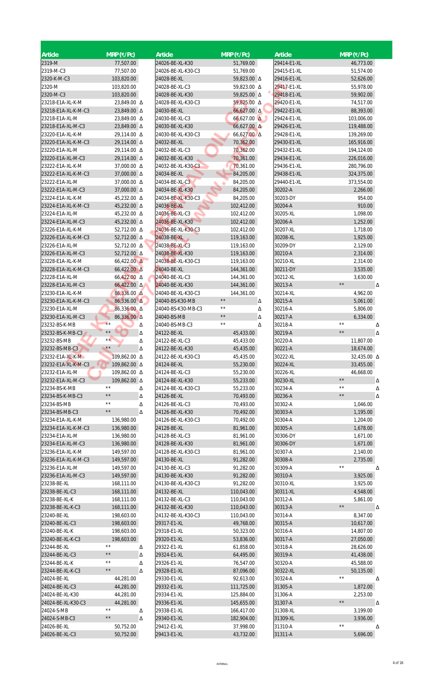| Article                               | $MRP$ (₹/Pc)               |   | Article                               |                | $MRP$ (₹/Pc)           |   | <b>Article</b>             | $MRP$ (₹/Pc)               |        |
|---------------------------------------|----------------------------|---|---------------------------------------|----------------|------------------------|---|----------------------------|----------------------------|--------|
| 2319-M                                | 77,507.00                  |   | 24026-BE-XL-K30                       |                | 51,769.00              |   | 29414-E1-XL                | 46,773.00                  |        |
| 2319-M-C3                             | 77,507.00                  |   | 24026-BE-XL-K30-C3                    |                | 51,769.00              |   | 29415-E1-XL                | 51,574.00                  |        |
| 2320-K-M-C3                           | 103,820.00                 |   | 24028-BE-XL                           |                | 59,823.00 A            |   | 29416-E1-XL                | 52,626.00                  |        |
| 2320-M                                | 103,820.00                 |   | 24028-BE-XL-C3                        |                | 59,823.00 △            |   | 29417-E1-XL                | 55,978.00                  |        |
| 2320-M-C3                             | 103,820.00                 |   | 24028-BE-XL-K30                       |                | 59,825.00 △            |   | 29418-E1-XL                | 59,902.00                  |        |
| 23218-E1A-XL-K-M                      | 23,849.00 △                |   | 24028-BE-XL-K30-C3                    |                | 59,825.00 △            |   | 29420-E1-XL                | 74,517.00                  |        |
| 23218-E1A-XL-K-M-C3                   | 23,849.00 $\Delta$         |   | 24030-BE-XL                           |                | $66,627.00 \Delta$     |   | 29422-E1-XL                | 88,393.00                  |        |
| 23218-E1A-XL-M                        | 23,849.00 △                |   | 24030-BE-XL-C3                        |                | $66,627.00$ $\Delta$   |   | 29424-E1-XL                | 103,006.00                 |        |
| 23218-E1A-XL-M-C3                     | 23,849.00 $\Delta$         |   | 24030-BE-XL-K30                       |                | $66,627.00 \Delta$     |   | 29426-E1-XL                | 119,488.00                 |        |
| 23220-E1A-XL-K-M                      | 29,114.00 △                |   | 24030-BE-XL-K30-C3                    |                | 66,627.00 $\Delta$     |   | 29428-E1-XL                | 139,269.00                 |        |
| 23220-E1A-XL-K-M-C3                   | 29,114.00 △                |   | 24032-BE-XL                           |                | 70,362.00              |   | 29430-E1-XL                | 165,916.00                 |        |
| 23220-E1A-XL-M                        | 29,114.00 △                |   | 24032-BE-XL-C3                        |                | 70,362.00              |   | 29432-E1-XL                | 194,124.00                 |        |
| 23220-E1A-XL-M-C3<br>23222-E1A-XL-K-M | 29,114.00 △<br>37,000.00 Δ |   | 24032-BE-XL-K30<br>24032-BE-XL-K30-C3 |                | 70,361.00<br>70,361.00 |   | 29434-E1-XL<br>29436-E1-XL | 226,016.00                 |        |
| 23222-E1A-XL-K-M-C3                   | 37,000.00 Δ                |   | 24034-BE-XL                           |                | 84,205.00              |   | 29438-E1-XL                | 280,796.00<br>324,375.00   |        |
| 23222-E1A-XL-M                        | 37,000.00 △                |   | 24034-BE-XL-C3                        |                | 84,205.00              |   | 29440-E1-XL                | 373,554.00                 |        |
| 23222-E1A-XL-M-C3                     | 37,000.00 Δ                |   | 24034-BE-XL-K30                       |                | 84,205.00              |   | 30202-A                    | 2,266.00                   |        |
| 23224-E1A-XL-K-M                      | 45,232.00 △                |   | 24034-BE-XL-K30-C3                    |                | 84,205.00              |   | 30203-DY                   | 954.00                     |        |
| 23224-E1A-XL-K-M-C3                   | 45,232.00 △                |   | 24036-BE-XL                           |                | 102,412.00             |   | 30204-A                    |                            | 910.00 |
| 23224-E1A-XL-M                        | 45,232.00 △                |   | 24036-BE-XL-C3                        |                | 102,412.00             |   | 30205-XL                   | 1,098.00                   |        |
| 23224-E1A-XL-M-C3                     | 45,232.00 △                |   | 24036-BE-XL-K30                       |                | 102,412.00             |   | 30206-A                    | 1,252.00                   |        |
| 23226-E1A-XL-K-M                      | 52,712.00 Δ                |   | 24036-BE-XL-K30-C3                    |                | 102,412.00             |   | 30207-XL                   | 1,718.00                   |        |
| 23226-E1A-XL-K-M-C3                   | 52,712.00 △                |   | 24038-BE-XL                           |                | 119,163.00             |   | 30208-XL                   | 1,925.00                   |        |
| 23226-E1A-XL-M                        | 52,712.00 Δ                |   | 24038-BE-XL-C3                        |                | 119,163.00             |   | 30209-DY                   | 2,129.00                   |        |
| 23226-E1A-XL-M-C3                     | 52,712.00 Δ                |   | 24038-BE-XL-K30                       |                | 119,163.00             |   | 30210-A                    | 2,314.00                   |        |
| 23228-E1A-XL-K-M                      | $66,422.00 \Delta$         |   | 24038-BE-XL-K30-C3                    |                | 119,163.00             |   | 30210-XL                   | 2,314.00                   |        |
| 23228-E1A-XL-K-M-C3                   | 66,422.00 A                |   | 24040-BE-XL                           |                | 144,361.00             |   | 30211-DY                   | 3,535.00                   |        |
| 23228-E1A-XL-M                        | 66,422.00 Δ                |   | 24040-BE-XL-C3                        |                | 144,361.00             |   | 30212-XL                   | 3,630.00                   |        |
| 23228-E1A-XL-M-C3                     | $66,422.00$ $\Delta$       |   | 24040-BE-XL-K30                       |                | 144,361.00             |   | 30213-A                    | $\star\star$               | Δ      |
| 23230-E1A-XL-K-M                      | 86,336.00 $\Delta$         |   | 24040-BE-XL-K30-C3                    |                | 144,361.00             |   | 30214-XL                   | 4,962.00                   |        |
| 23230-E1A-XL-K-M-C3                   | 86,336.00 A                |   | 24040-BS-K30-MB                       | $\star\,\star$ |                        | Δ | 30215-A                    | 5,061.00                   |        |
| 23230-E1A-XL-M                        | 86,336.00 △                |   | 24040-BS-K30-MB-C3                    | $\star\star$   |                        | Δ | 30216-A                    | 5,806.00                   |        |
| 23230-E1A-XL-M-C3                     | 86,336.00 A                |   | 24040-BS-MB                           | $\star\,\star$ |                        | Δ | 30217-A                    | 6,334.00                   |        |
| 23232-BS-K-MB                         | $\star\star$               | Δ | 24040-BS-MB-C3                        | $\star\,\star$ |                        | Δ | 30218-A                    | $\star\star$               | Δ      |
| 23232-BS-K-MB-C3                      | $\star\,\star$             | Δ | 24122-BE-XL                           |                | 45,433.00              |   | 30219-A                    | $\star\star$               | Δ      |
| 23232-BS-MB                           | $\star\star$               | Δ | 24122-BE-XL-C3                        |                | 45,433.00              |   | 30220-A                    | 11,807.00                  |        |
| 23232-BS-MB-C3                        | $\star\star$               | Δ | 24122-BE-XL-K30                       |                | 45,435.00              |   | 30221-A                    | 18,674.00                  |        |
| 23232-E1A-XL-K-M                      | 109,862.00 △               |   | 24122-BE-XL-K30-C3                    |                | 45,435.00              |   | 30222-XL                   | 32,435.00 △                |        |
| 23232-E1A-XL-K-M-C3                   | 109,862.00 Δ               |   | 24124-BE-XL                           |                | 55,230.00              |   | 30224-XL                   | 33,455.00                  |        |
| 23232-E1A-XL-M                        | 109,862.00 Δ               |   | 24124-BE-XL-C3                        |                | 55,230.00              |   | 30226-XL                   | 46,668.00                  |        |
| 23232-E1A-XL-M-C3                     | 109,862.00 Δ               |   | 24124-BE-XL-K30                       |                | 55,233.00              |   | 30230-XL                   | $\star\,\star$             | Δ      |
| 23234-BS-K-MB                         | $\star\star$               | Δ | 24124-BE-XL-K30-C3                    |                | 55,233.00              |   | 30234-A                    | $\star\,\star$             | Δ      |
| 23234-BS-K-MB-C3                      | $\star\,\star$             | Δ | 24126-BE-XL                           |                | 70,493.00              |   | 30236-A                    | $\star\,\star$             | Δ      |
| 23234-BS-MB                           | $\star\,\star$             | Δ | 24126-BE-XL-C3                        |                | 70,493.00              |   | 30302-A                    | 1,046.00                   |        |
| 23234-BS-MB-C3                        | $\star\,\star$             | Δ | 24126-BE-XL-K30                       |                | 70,492.00              |   | 30303-A                    | 1,195.00                   |        |
| 23234-E1A-XL-K-M                      | 136,980.00                 |   | 24126-BE-XL-K30-C3                    |                | 70,492.00              |   | 30304-A                    | 1,204.00                   |        |
| 23234-E1A-XL-K-M-C3                   | 136,980.00                 |   | 24128-BE-XL                           |                | 81,961.00              |   | 30305-A                    | 1,678.00                   |        |
| 23234-E1A-XL-M                        | 136,980.00                 |   | 24128-BE-XL-C3                        |                | 81,961.00              |   | 30306-DY                   | 1,671.00                   |        |
| 23234-E1A-XL-M-C3                     | 136,980.00                 |   | 24128-BE-XL-K30                       |                | 81,961.00              |   | 30306-DY                   | 1,671.00                   |        |
| 23236-E1A-XL-K-M                      | 149,597.00                 |   | 24128-BE-XL-K30-C3                    |                | 81,961.00              |   | 30307-A                    | 2,140.00                   |        |
| 23236-E1A-XL-K-M-C3<br>23236-E1A-XL-M | 149,597.00                 |   | 24130-BE-XL<br>24130-BE-XL-C3         |                | 91,282.00<br>91,282.00 |   | 30308-A<br>30309-A         | 2,735.00<br>$\star\,\star$ | Δ      |
| 23236-E1A-XL-M-C3                     | 149,597.00<br>149,597.00   |   | 24130-BE-XL-K30                       |                | 91,282.00              |   | 30310-A                    | 3,925.00                   |        |
| 23238-BE-XL                           | 168,111.00                 |   | 24130-BE-XL-K30-C3                    |                | 91,282.00              |   | 30310-XL                   | 3,925.00                   |        |
| 23238-BE-XL-C3                        | 168,111.00                 |   | 24132-BE-XL                           |                | 110,043.00             |   | 30311-XL                   | 4,548.00                   |        |
| 23238-BE-XL-K                         | 168,111.00                 |   | 24132-BE-XL-C3                        |                | 110,043.00             |   | 30312-A                    | 5,861.00                   |        |
| 23238-BE-XL-K-C3                      | 168,111.00                 |   | 24132-BE-XL-K30                       |                | 110,043.00             |   | 30313-A                    | $\star\,\star$             | Δ      |
| 23240-BE-XL                           | 198,603.00                 |   | 24132-BE-XL-K30-C3                    |                | 110,043.00             |   | 30314-A                    | 8,347.00                   |        |
| 23240-BE-XL-C3                        | 198,603.00                 |   | 29317-E1-XL                           |                | 49,768.00              |   | 30315-A                    | 10,617.00                  |        |
| 23240-BE-XL-K                         | 198,603.00                 |   | 29318-E1-XL                           |                | 50,323.00              |   | 30316-A                    | 14,807.00                  |        |
| 23240-BE-XL-K-C3                      | 198,603.00                 |   | 29320-E1-XL                           |                | 53,836.00              |   | 30317-A                    | 27,050.00                  |        |
| 23244-BE-XL                           |                            | Δ | 29322-E1-XL                           |                | 61,858.00              |   | 30318-A                    | 28,626.00                  |        |
| 23244-BE-XL-C3                        | $\star\,\star$             | Δ | 29324-E1-XL                           |                | 64,495.00              |   | 30319-A                    | 41,438.00                  |        |
| 23244-BE-XL-K                         | $\star\star$               | Δ | 29326-E1-XL                           |                | 76,547.00              |   | 30320-A                    | 45,588.00                  |        |
| 23244-BE-XL-K-C3                      | $\star\,\star$             | Δ | 29328-E1-XL                           |                | 87,096.00              |   | 30322-XL                   | 50,135.00                  |        |
| 24024-BE-XL                           | 44,281.00                  |   | 29330-E1-XL                           |                | 92,613.00              |   | 30324-A                    | $\star\,\star$             | Δ      |
| 24024-BE-XL-C3                        | 44,281.00                  |   | 29332-E1-XL                           |                | 111,725.00             |   | 31305-A                    | 1,872.00                   |        |
| 24024-BE-XL-K30                       | 44,281.00                  |   | 29334-E1-XL                           |                | 125,884.00             |   | 31306-A                    | 2,253.00                   |        |
| 24024-BE-XL-K30-C3                    | 44,281.00                  |   | 29336-E1-XL                           |                | 145,655.00             |   | 31307-A                    | $\star\,\star$             | Δ      |
| 24024-S-MB                            | $\star\star$               | Δ | 29338-E1-XL                           |                | 166,417.00             |   | 31308-XL                   | 3,199.00                   |        |
| 24024-S-MB-C3                         | $\star\,\star$             | Δ | 29340-E1-XL                           |                | 182,904.00             |   | 31309-XL                   | 3,936.00                   |        |
| 24026-BE-XL                           | 50,752.00                  |   | 29412-E1-XL                           |                | 37,998.00              |   | 31310-A                    | $\star\,\star$             | Δ      |
| 24026-BE-XL-C3                        | 50,752.00                  |   | 29413-E1-XL                           |                | 43,732.00              |   | 31311-A                    | 5,696.00                   |        |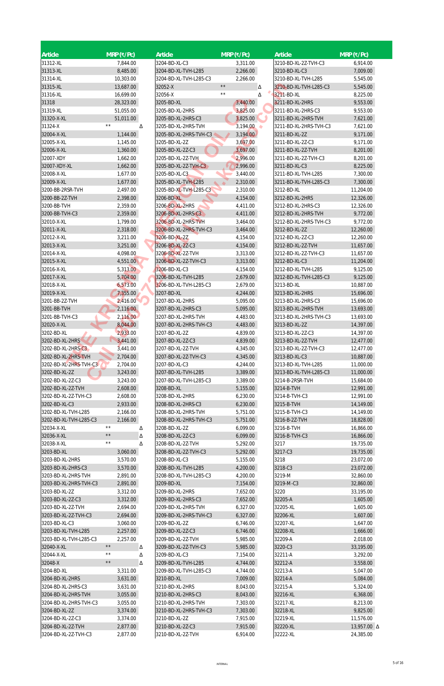| Article                                       | $MRP$ (₹/Pc)         | <b>Article</b>                                | $MRP$ (₹/Pc)         | <b>Article</b>                          | $MRP$ (₹/Pc)           |
|-----------------------------------------------|----------------------|-----------------------------------------------|----------------------|-----------------------------------------|------------------------|
| 31312-XL                                      | 7,844.00             | 3204-BD-XL-C3                                 | 3,311.00             | 3210-BD-XL-2Z-TVH-C3                    | 6,914.00               |
| 31313-XL                                      | 8,485.00             | 3204-BD-XL-TVH-L285                           | 2,266.00             | 3210-BD-XL-C3                           | 7,009.00               |
| 31314-XL                                      | 10,303.00            | 3204-BD-XL-TVH-L285-C3                        | 2,266.00             | 3210-BD-XL-TVH-L285                     | 5,545.00               |
| 31315-XL                                      | 13,687.00            | 32052-X                                       | $\star\,\star$<br>Δ  | 3210-BD-XL-TVH-L285-C3                  | 5,545.00               |
| 31316-XL                                      | 16,699.00            | 32056-X                                       | $\star\star$<br>Δ    | 3211-BD-XL                              | 8,225.00               |
| 31318                                         | 28,323.00            | 3205-BD-XL                                    | 3,440.00             | 3211-BD-XL-2HRS                         | 9,553.00               |
| 31319-XL                                      | 51,055.00            | 3205-BD-XL-2HRS                               | 3,825.00             | 3211-BD-XL-2HRS-C3                      | 9,553.00               |
| 31320-X-XL                                    | 51,011.00            | 3205-BD-XL-2HRS-C3                            | 3,825.00             | 3211-BD-XL-2HRS-TVH                     | 7,621.00               |
| 31324-X                                       | $\star\star$<br>Δ    | 3205-BD-XL-2HRS-TVH                           | 3,194.00<br>۰        | 3211-BD-XL-2HRS-TVH-C3                  | 7,621.00               |
| 32004-X-XL<br>32005-X-XL                      | 1,144.00<br>1,145.00 | 3205-BD-XL-2HRS-TVH-C3<br>3205-BD-XL-2Z       | 3,194.00<br>3,697.00 | 3211-BD-XL-2Z<br>3211-BD-XL-2Z-C3       | 9,171.00<br>9,171.00   |
| 32006-X-XL                                    | 1,360.00             | 3205-BD-XL-2Z-C3                              | 3,697.00             | 3211-BD-XL-2Z-TVH                       | 8,201.00               |
| 32007-XDY                                     | 1,662.00             | 3205-BD-XL-2Z-TVH                             | 2,996.00             | 3211-BD-XL-2Z-TVH-C3                    | 8,201.00               |
| 32007-XDY-XL                                  | 1,662.00             | 3205-BD-XL-2Z-TVH-C3                          | 2,996.00             | 3211-BD-XL-C3                           | 8,225.00               |
| 32008-X-XL                                    | 1,677.00             | 3205-BD-XL-C3                                 | 3,440.00             | 3211-BD-XL-TVH-L285                     | 7,300.00               |
| 32009-X-XL                                    | 1,677.00             | 3205-BD-XL-TVH-L285                           | 2,310.00             | 3211-BD-XL-TVH-L285-C3                  | 7,300.00               |
| 3200-BB-2RSR-TVH                              | 2,497.00             | 3205-BD-XL-TVH-L285-C3                        | 2,310.00             | 3212-BD-XL                              | 11,204.00              |
| 3200-BB-2Z-TVH                                | 2,398.00             | 3206-BD-XL                                    | 4,154.00             | 3212-BD-XL-2HRS                         | 12,326.00              |
| 3200-BB-TVH                                   | 2,359.00             | 3206-BD-XL-2HRS                               | 4,411.00             | 3212-BD-XL-2HRS-C3                      | 12,326.00              |
| 3200-BB-TVH-C3                                | 2,359.00             | 3206-BD-XL-2HRS-C3                            | 4,411.00             | 3212-BD-XL-2HRS-TVH                     | 9,772.00               |
| 32010-X-XL                                    | 1,799.00             | 3206-BD-XL-2HRS-TVH                           | 3,464.00             | 3212-BD-XL-2HRS-TVH-C3                  | 9,772.00               |
| 32011-X-XL<br>32012-X-XL                      | 2,318.00<br>3,211.00 | 3206-BD-XL-2HRS-TVH-C3<br>3206-BD-XL-2Z       | 3,464.00<br>4,154.00 | 3212-BD-XL-2Z<br>3212-BD-XL-2Z-C3       | 12,260.00<br>12,260.00 |
| 32013-X-XL                                    | 3,251.00             | 3206-BD-XL-2Z-C3                              | 4,154.00             | 3212-BD-XL-2Z-TVH                       | 11,657.00              |
| 32014-X-XL                                    | 4,098.00             | 3206-BD-XL-2Z-TVH                             | 3,313.00             | 3212-BD-XL-2Z-TVH-C3                    | 11,657.00              |
| 32015-X-XL                                    | 4,551.00             | 3206-BD-XL-2Z-TVH-C3                          | 3,313.00             | 3212-BD-XL-C3                           | 11,204.00              |
| 32016-X-XL                                    | 5,313.00             | 3206-BD-XL-C3                                 | 4,154.00             | 3212-BD-XL-TVH-L285                     | 9,125.00               |
| 32017-X-XL                                    | 5,704.00             | 3206-BD-XL-TVH-L285                           | 2,679.00             | 3212-BD-XL-TVH-L285-C3                  | 9,125.00               |
| 32018-X-XL                                    | 6,573.00             | 3206-BD-XL-TVH-L285-C3                        | 2,679.00             | 3213-BD-XL                              | 10,887.00              |
| 32019-X-XL                                    | 7,355.00             | 3207-BD-XL                                    | 4,244.00             | 3213-BD-XL-2HRS                         | 15,696.00              |
| 3201-BB-2Z-TVH                                | 2,416.00             | 3207-BD-XL-2HRS                               | 5,095.00             | 3213-BD-XL-2HRS-C3                      | 15,696.00              |
| 3201-BB-TVH                                   | 2,116.00             | 3207-BD-XL-2HRS-C3                            | 5,095.00             | 3213-BD-XL-2HRS-TVH                     | 13,693.00              |
| 3201-BB-TVH-C3<br>32020-X-XL                  | 2,116.00<br>8,044.00 | 3207-BD-XL-2HRS-TVH<br>3207-BD-XL-2HRS-TVH-C3 | 4,483.00<br>4,483.00 | 3213-BD-XL-2HRS-TVH-C3<br>3213-BD-XL-2Z | 13,693.00<br>14,397.00 |
| 3202-BD-XL                                    | 2,933.00             | 3207-BD-XL-2Z                                 | 4,839.00             | 3213-BD-XL-2Z-C3                        | 14,397.00              |
| 3202-BD-XL-2HRS                               | 3,441.00             | 3207-BD-XL-2Z-C3                              | 4,839.00             | 3213-BD-XL-2Z-TVH                       | 12,477.00              |
| 3202-BD-XL-2HRS-C3                            | 3,441.00             | 3207-BD-XL-2Z-TVH                             | 4,345.00             | 3213-BD-XL-2Z-TVH-C3                    | 12,477.00              |
| 3202-BD-XL-2HRS-TVH                           | 2,704.00             | 3207-BD-XL-2Z-TVH-C3                          | 4,345.00             | 3213-BD-XL-C3                           | 10,887.00              |
| 3202-BD-XL-2HRS-TVH-C3                        | 2,704.00             | 3207-BD-XL-C3                                 | 4,244.00             | 3213-BD-XL-TVH-L285                     | 11,000.00              |
| 3202-BD-XL-2Z                                 | 3,243.00             | 3207-BD-XL-TVH-L285                           | 3,389.00             | 3213-BD-XL-TVH-L285-C3                  | 11,000.00              |
| 3202-BD-XL-2Z-C3                              | 3,243.00             | 3207-BD-XL-TVH-L285-C3                        | 3,389.00             | 3214-B-2RSR-TVH                         | 15,684.00              |
| 3202-BD-XL-2Z-TVH                             | 2,608.00             | 3208-BD-XL                                    | 5,155.00             | 3214-B-TVH                              | 12,991.00              |
| 3202-BD-XL-2Z-TVH-C3                          | 2,608.00             | 3208-BD-XL-2HRS                               | 6,230.00             | 3214-B-TVH-C3                           | 12,991.00              |
| 3202-BD-XL-C3<br>3202-BD-XL-TVH-L285          | 2,933.00<br>2,166.00 | 3208-BD-XL-2HRS-C3<br>3208-BD-XL-2HRS-TVH     | 6,230.00<br>5,751.00 | 3215-B-TVH<br>3215-B-TVH-C3             | 14,149.00<br>14,149.00 |
| 3202-BD-XL-TVH-L285-C3                        | 2,166.00             | 3208-BD-XL-2HRS-TVH-C3                        | 5,751.00             | 3216-B-2Z-TVH                           | 18,828.00              |
| 32034-X-XL                                    | $\star\,\star$<br>Δ  | 3208-BD-XL-2Z                                 | 6,099.00             | 3216-B-TVH                              | 16,866.00              |
| 32036-X-XL                                    | $\star\,\star$<br>Δ  | 3208-BD-XL-2Z-C3                              | 6,099.00             | 3216-B-TVH-C3                           | 16,866.00              |
| 32038-X-XL                                    | $\star\,\star$<br>Δ  | 3208-BD-XL-2Z-TVH                             | 5,292.00             | 3217                                    | 19,735.00              |
| 3203-BD-XL                                    | 3,060.00             | 3208-BD-XL-2Z-TVH-C3                          | 5,292.00             | 3217-C3                                 | 19,735.00              |
| 3203-BD-XL-2HRS                               | 3,570.00             | 3208-BD-XL-C3                                 | 5,155.00             | 3218                                    | 23,072.00              |
| 3203-BD-XL-2HRS-C3                            | 3,570.00             | 3208-BD-XL-TVH-L285                           | 4,200.00             | 3218-C3                                 | 23,072.00              |
| 3203-BD-XL-2HRS-TVH                           | 2,891.00             | 3208-BD-XL-TVH-L285-C3                        | 4,200.00             | 3219-M                                  | 32,860.00              |
| 3203-BD-XL-2HRS-TVH-C3                        | 2,891.00             | 3209-BD-XL                                    | 7,154.00             | 3219-M-C3                               | 32,860.00              |
| 3203-BD-XL-2Z                                 | 3,312.00             | 3209-BD-XL-2HRS<br>3209-BD-XL-2HRS-C3         | 7,652.00             | 3220                                    | 33,195.00              |
| 3203-BD-XL-2Z-C3<br>3203-BD-XL-2Z-TVH         | 3,312.00<br>2,694.00 | 3209-BD-XL-2HRS-TVH                           | 7,652.00<br>6,327.00 | 32205-A<br>32205-XL                     | 1,605.00<br>1,605.00   |
| 3203-BD-XL-2Z-TVH-C3                          | 2,694.00             | 3209-BD-XL-2HRS-TVH-C3                        | 6,327.00             | 32206-XL                                | 1,607.00               |
| 3203-BD-XL-C3                                 | 3,060.00             | 3209-BD-XL-2Z                                 | 6,746.00             | 32207-XL                                | 1,647.00               |
| 3203-BD-XL-TVH-L285                           | 2,257.00             | 3209-BD-XL-2Z-C3                              | 6,746.00             | 32208-XL                                | 1,666.00               |
| 3203-BD-XL-TVH-L285-C3                        | 2,257.00             | 3209-BD-XL-2Z-TVH                             | 5,985.00             | 32209-A                                 | 2,018.00               |
| 32040-X-XL                                    | $\star\,\star$<br>Λ  | 3209-BD-XL-2Z-TVH-C3                          | 5,985.00             | 3220-C3                                 | 33,195.00              |
| 32044-X-XL                                    | $\star\,\star$<br>Δ  | 3209-BD-XL-C3                                 | 7,154.00             | 32211-A                                 | 3,292.00               |
| 32048-X                                       | $\star\,\star$<br>Δ  | 3209-BD-XL-TVH-L285                           | 4,744.00             | 32212-A                                 | 3,558.00               |
| 3204-BD-XL                                    | 3,311.00             | 3209-BD-XL-TVH-L285-C3                        | 4,744.00             | 32213-A                                 | 5,047.00               |
| 3204-BD-XL-2HRS                               | 3,631.00             | 3210-BD-XL                                    | 7,009.00             | 32214-A                                 | 5,084.00               |
| 3204-BD-XL-2HRS-C3                            | 3,631.00             | 3210-BD-XL-2HRS                               | 8,043.00             | 32215-A                                 | 5,324.00               |
| 3204-BD-XL-2HRS-TVH<br>3204-BD-XL-2HRS-TVH-C3 | 3,055.00<br>3,055.00 | 3210-BD-XL-2HRS-C3<br>3210-BD-XL-2HRS-TVH     | 8,043.00<br>7,303.00 | 32216-XL<br>32217-XL                    | 6,368.00<br>8,213.00   |
| 3204-BD-XL-2Z                                 | 3,374.00             | 3210-BD-XL-2HRS-TVH-C3                        | 7,303.00             | 32218-XL                                | 9,825.00               |
| 3204-BD-XL-2Z-C3                              | 3,374.00             | 3210-BD-XL-2Z                                 | 7,915.00             | 32219-XL                                | 11,576.00              |
| 3204-BD-XL-2Z-TVH                             | 2,877.00             | 3210-BD-XL-2Z-C3                              | 7,915.00             | 32220-XL                                | 13,957.00 △            |
| 3204-BD-XL-2Z-TVH-C3                          | 2,877.00             | 3210-BD-XL-2Z-TVH                             | 6,914.00             | 32222-XL                                | 24,385.00              |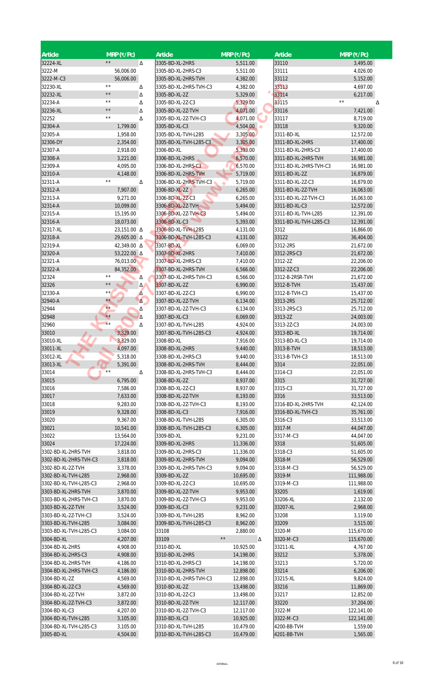| Article                                       | $MRP$ (₹/Pc)                   |        | Article                               | $MRP$ (₹/Pc)         | Article                 | $MRP$ (₹/Pc)             |
|-----------------------------------------------|--------------------------------|--------|---------------------------------------|----------------------|-------------------------|--------------------------|
| 32224-XL                                      | $\star\,\star$                 | Δ      | 3305-BD-XL-2HRS                       | 5,511.00             | 33110                   | 3,495.00                 |
| 3222-M                                        | 56,006.00                      |        | 3305-BD-XL-2HRS-C3                    | 5,511.00             | 33111                   | 4,026.00                 |
| 3222-M-C3                                     | 56,006.00                      |        | 3305-BD-XL-2HRS-TVH                   | 4,382.00             | 33112                   | 5,152.00                 |
| 32230-XL                                      | $**$                           | Δ      | 3305-BD-XL-2HRS-TVH-C3                | 4,382.00             | 33113                   | 4,697.00                 |
| 32232-XL                                      | $\star\star$<br>$\star\,\star$ | Δ      | 3305-BD-XL-2Z                         | 5,329.00             | 33114                   | 6,217.00<br>$\star\star$ |
| 32234-A<br>32236-XL                           | $\star\star$                   | Δ      | 3305-BD-XL-2Z-C3<br>3305-BD-XL-2Z-TVH | 5,329.00             | 33115<br>33116          | Δ                        |
| 32252                                         | $\star\,\star$                 | Δ<br>Δ | 3305-BD-XL-2Z-TVH-C3                  | 4,071.00<br>4,071.00 | 33117                   | 7,421.00<br>8,719.00     |
| 32304-A                                       | 1,799.00                       |        | 3305-BD-XL-C3                         | 4,504.00             | 33118                   | 9,320.00                 |
| 32305-A                                       | 1,958.00                       |        | 3305-BD-XL-TVH-L285                   | 3,305.00             | 3311-BD-XL              | 12,572.00                |
| 32306-DY                                      | 2,354.00                       |        | 3305-BD-XL-TVH-L285-C3                | 3,305.00             | 3311-BD-XL-2HRS         | 17,400.00                |
| 32307-A                                       | 2,918.00                       |        | 3306-BD-XL                            | 5,393.00             | 3311-BD-XL-2HRS-C3      | 17,400.00                |
| 32308-A                                       | 3,221.00                       |        | 3306-BD-XL-2HRS                       | 6,570.00             | 3311-BD-XL-2HRS-TVH     | 16,981.00                |
| 32309-A                                       | 4,095.00                       |        | 3306-BD-XL-2HRS-C3                    | 6,570.00             | 3311-BD-XL-2HRS-TVH-C3  | 16,981.00                |
| 32310-A                                       | 4,148.00                       |        | 3306-BD-XL-2HRS-TVH                   | 5,719.00             | 3311-BD-XL-2Z           | 16,879.00                |
| 32311-A                                       | $\star\star$                   | Δ      | 3306-BD-XL-2HRS-TVH-C3                | 5,719.00             | 3311-BD-XL-2Z-C3        | 16,879.00                |
| 32312-A                                       | 7,907.00                       |        | 3306-BD-XL-2Z                         | 6,265.00             | 3311-BD-XL-2Z-TVH       | 16,063.00                |
| 32313-A                                       | 9,271.00                       |        | 3306-BD-XL-2Z-C3                      | 6,265.00             | 3311-BD-XL-2Z-TVH-C3    | 16,063.00                |
| 32314-A                                       | 10,099.00                      |        | 3306-BD-XL-2Z-TVH                     | 5,494.00             | 3311-BD-XL-C3           | 12,572.00                |
| 32315-A                                       | 15,195.00                      |        | 3306-BD-XL-2Z-TVH-C3                  | 5,494.00             | 3311-BD-XL-TVH-L285     | 12,391.00                |
| 32316-A                                       | 18,073.00                      |        | 3306-BD-XL-C3                         | 5,393.00             | 3311-BD-XL-TVH-L285-C3  | 12,391.00                |
| 32317-XL                                      | 23,151.00 △                    |        | 3306-BD-XL-TVH-L285                   | 4,131.00             | 3312                    | 16,866.00                |
| 32318-A                                       | 29,605.00 Δ                    |        | 3306-BD-XL-TVH-L285-C3<br>3307-BD-XL  | 4,131.00             | 33122                   | 36,404.00                |
| 32319-A<br>32320-A                            | 42,349.00 △<br>53,222.00 Δ     |        | 3307-BD-XL-2HRS                       | 6,069.00<br>7,410.00 | 3312-2RS<br>3312-2RS-C3 | 21,672.00<br>21,672.00   |
| 32321-A                                       | 76,013.00                      |        | 3307-BD-XL-2HRS-C3                    | 7,410.00             | 3312-2Z                 | 22,206.00                |
| 32322-A                                       | 84,352.00                      |        | 3307-BD-XL-2HRS-TVH                   | 6,566.00             | 3312-2Z-C3              | 22,206.00                |
| 32324                                         | $\star\star$                   | Δ      | 3307-BD-XL-2HRS-TVH-C3                | 6,566.00             | 3312-B-2RSR-TVH         | 21,672.00                |
| 32326                                         | $\star\,\star$                 | Δ      | 3307-BD-XL-2Z                         | 6,990.00             | 3312-B-TVH              | 15,437.00                |
| 32330-A                                       | $***$                          | Δ      | 3307-BD-XL-2Z-C3                      | 6,990.00             | 3312-B-TVH-C3           | 15,437.00                |
| 32940-A                                       | $\star\star$                   | Δ.     | 3307-BD-XL-2Z-TVH                     | 6,134.00             | 3313-2RS                | 25,712.00                |
| 32944                                         | $\star\star$                   | Δ      | 3307-BD-XL-2Z-TVH-C3                  | 6,134.00             | 3313-2RS-C3             | 25,712.00                |
| 32948                                         | $\star\star$                   | Δ      | 3307-BD-XL-C3                         | 6,069.00             | 3313-2Z                 | 24,003.00                |
| 32960                                         | $\star\star$                   | Δ      | 3307-BD-XL-TVH-L285                   | 4,924.00             | 3313-2Z-C3              | 24,003.00                |
| 33010                                         | 3,329.00                       |        | 3307-BD-XL-TVH-L285-C3                | 4,924.00             | 3313-BD-XL              | 19,714.00                |
| 33010-XL                                      | 3,329.00                       |        | 3308-BD-XL                            | 7,916.00             | 3313-BD-XL-C3           | 19,714.00                |
| 33011-XL                                      | 4,097.00                       |        | 3308-BD-XL-2HRS                       | 9,440.00             | 3313-B-TVH              | 18,513.00                |
| 33012-XL                                      | 5,318.00                       |        | 3308-BD-XL-2HRS-C3                    | 9,440.00             | 3313-B-TVH-C3           | 18,513.00                |
| 33013-XL                                      | 5,391.00<br>$**$               |        | 3308-BD-XL-2HRS-TVH                   | 8,444.00             | 3314                    | 22,051.00                |
| 33014                                         |                                | Δ      | 3308-BD-XL-2HRS-TVH-C3                | 8,444.00             | 3314-C3                 | 22,051.00                |
| 33015<br>33016                                | 6,795.00<br>7,586.00           |        | 3308-BD-XL-2Z<br>3308-BD-XL-2Z-C3     | 8,937.00<br>8,937.00 | 3315<br>3315-C3         | 31,727.00                |
| 33017                                         | 7,633.00                       |        | 3308-BD-XL-2Z-TVH                     | 8,193.00             | 3316                    | 31,727.00<br>33,513.00   |
| 33018                                         | 9,283.00                       |        | 3308-BD-XL-2Z-TVH-C3                  | 8,193.00             | 3316-BD-XL-2HRS-TVH     | 42,124.00                |
| 33019                                         | 9,328.00                       |        | 3308-BD-XL-C3                         | 7,916.00             | 3316-BD-XL-TVH-C3       | 35,761.00                |
| 33020                                         | 9,367.00                       |        | 3308-BD-XL-TVH-L285                   | 6,305.00             | 3316-C3                 | 33,513.00                |
| 33021                                         | 10,541.00                      |        | 3308-BD-XL-TVH-L285-C3                | 6,305.00             | 3317-M                  | 44,047.00                |
| 33022                                         | 13,564.00                      |        | 3309-BD-XL                            | 9,231.00             | 3317-M-C3               | 44,047.00                |
| 33024                                         | 17,224.00                      |        | 3309-BD-XL-2HRS                       | 11,336.00            | 3318                    | 51,605.00                |
| 3302-BD-XL-2HRS-TVH                           | 3,818.00                       |        | 3309-BD-XL-2HRS-C3                    | 11,336.00            | 3318-C3                 | 51,605.00                |
| 3302-BD-XL-2HRS-TVH-C3                        | 3,818.00                       |        | 3309-BD-XL-2HRS-TVH                   | 9,094.00             | 3318-M                  | 56,529.00                |
| 3302-BD-XL-2Z-TVH                             | 3,378.00                       |        | 3309-BD-XL-2HRS-TVH-C3                | 9,094.00             | 3318-M-C3               | 56,529.00                |
| 3302-BD-XL-TVH-L285                           | 2,968.00                       |        | 3309-BD-XL-2Z                         | 10,695.00            | 3319-M                  | 111,988.00               |
| 3302-BD-XL-TVH-L285-C3                        | 2,968.00                       |        | 3309-BD-XL-2Z-C3                      | 10,695.00            | 3319-M-C3               | 111,988.00               |
| 3303-BD-XL-2HRS-TVH                           | 3,870.00                       |        | 3309-BD-XL-2Z-TVH                     | 9,953.00             | 33205                   | 1,619.00                 |
| 3303-BD-XL-2HRS-TVH-C3                        | 3,870.00                       |        | 3309-BD-XL-2Z-TVH-C3                  | 9,953.00             | 33206-XL                | 2,132.00                 |
| 3303-BD-XL-2Z-TVH                             | 3,524.00                       |        | 3309-BD-XL-C3                         | 9,231.00             | 33207-XL                | 2,968.00                 |
| 3303-BD-XL-2Z-TVH-C3                          | 3,524.00                       |        | 3309-BD-XL-TVH-L285                   | 8,962.00             | 33208                   | 3,119.00                 |
| 3303-BD-XL-TVH-L285<br>3303-BD-XL-TVH-L285-C3 | 3,084.00<br>3,084.00           |        | 3309-BD-XL-TVH-L285-C3<br>33108       | 8,962.00<br>2,880.00 | 33209<br>3320-M         | 3,515.00<br>115,670.00   |
| 3304-BD-XL                                    | 4,207.00                       |        | 33109                                 | $\star\,\star$<br>Δ  | 3320-M-C3               | 115,670.00               |
| 3304-BD-XL-2HRS                               | 4,908.00                       |        | 3310-BD-XL                            | 10,925.00            | 33211-XL                | 4,767.00                 |
| 3304-BD-XL-2HRS-C3                            | 4,908.00                       |        | 3310-BD-XL-2HRS                       | 14,198.00            | 33212                   | 5,378.00                 |
| 3304-BD-XL-2HRS-TVH                           | 4,186.00                       |        | 3310-BD-XL-2HRS-C3                    | 14,198.00            | 33213                   | 5,720.00                 |
| 3304-BD-XL-2HRS-TVH-C3                        | 4,186.00                       |        | 3310-BD-XL-2HRS-TVH                   | 12,898.00            | 33214                   | 6,206.00                 |
| 3304-BD-XL-2Z                                 | 4,569.00                       |        | 3310-BD-XL-2HRS-TVH-C3                | 12,898.00            | 33215-XL                | 9,824.00                 |
| 3304-BD-XL-2Z-C3                              | 4,569.00                       |        | 3310-BD-XL-2Z                         | 13,498.00            | 33216                   | 11,869.00                |
| 3304-BD-XL-2Z-TVH                             | 3,872.00                       |        | 3310-BD-XL-2Z-C3                      | 13,498.00            | 33217                   | 12,852.00                |
| 3304-BD-XL-2Z-TVH-C3                          | 3,872.00                       |        | 3310-BD-XL-2Z-TVH                     | 12,117.00            | 33220                   | 37,204.00                |
| 3304-BD-XL-C3                                 | 4,207.00                       |        | 3310-BD-XL-2Z-TVH-C3                  | 12,117.00            | 3322-M                  | 122,141.00               |
| 3304-BD-XL-TVH-L285                           | 3,105.00                       |        | 3310-BD-XL-C3                         | 10,925.00            | 3322-M-C3               | 122,141.00               |
| 3304-BD-XL-TVH-L285-C3                        | 3,105.00                       |        | 3310-BD-XL-TVH-L285                   | 10,479.00            | 4200-BB-TVH             | 1,559.00                 |
| 3305-BD-XL                                    | 4,504.00                       |        | 3310-BD-XL-TVH-L285-C3                | 10,479.00            | 4201-BB-TVH             | 1,565.00                 |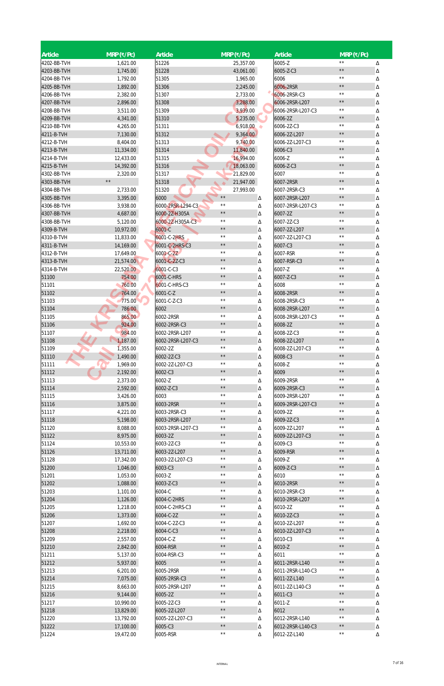| <b>Article</b> | $MRP$ (₹/Pc)   | Article           | $MRP$ (₹/Pc)   |        | <b>Article</b>    | $MRP$ (₹/Pc)   |        |
|----------------|----------------|-------------------|----------------|--------|-------------------|----------------|--------|
| 4202-BB-TVH    | 1,621.00       | 51226             | 25,357.00      |        | 6005-Z            | $\star\star$   | Δ      |
| 4203-BB-TVH    | 1,745.00       | 51228             | 43,061.00      |        | 6005-Z-C3         | $\star\,\star$ | Δ      |
| 4204-BB-TVH    | 1,792.00       | 51305             | 1,965.00       |        | 6006              | $\star\star$   | Δ      |
| 4205-BB-TVH    | 1,892.00       | 51306             | 2,245.00       |        | 6006-2RSR         | $\star\star$   | Δ      |
| 4206-BB-TVH    | 2,382.00       | 51307             | 2,733.00       |        | 6006-2RSR-C3      | $\star\star$   | Δ      |
| 4207-BB-TVH    | 2,896.00       | 51308             | 3,288.00       |        | 6006-2RSR-L207    | $\star\,\star$ | Δ      |
| 4208-BB-TVH    | 3,511.00       | 51309             | 3,939.00       |        | 6006-2RSR-L207-C3 | $\star\star$   | Δ      |
| 4209-BB-TVH    | 4,341.00       | 51310             | 5,235.00       |        | 6006-2Z           | $\star\,\star$ | Δ      |
| 4210-BB-TVH    | 4,265.00       | 51311             | 6,918.00       | ۰      | 6006-2Z-C3        | $\star\star$   | Δ      |
| 4211-B-TVH     | 7,130.00       | 51312             | 9,364.00       |        | 6006-2Z-L207      | $\star\,\star$ | Δ      |
| 4212-B-TVH     | 8,404.00       | 51313             | 9,740.00       |        | 6006-2Z-L207-C3   | $\star\star$   | Δ      |
| 4213-B-TVH     | 11,334.00      | 51314             | 11,840.00      |        | 6006-C3           | $\star\,\star$ | Δ      |
| 4214-B-TVH     | 12,433.00      | 51315             | 16,994.00      |        | 6006-Z            | $\star\star$   | Δ      |
| 4215-B-TVH     | 14,392.00      | 51316             | 18,063.00      |        | 6006-Z-C3         | $\star\,\star$ | Δ      |
| 4302-BB-TVH    | 2,320.00       | 51317             | 21,829.00      |        | 6007              | $\star\star$   | Δ      |
| 4303-BB-TVH    | $\star\,\star$ | 51318             | 21,947.00      |        | 6007-2RSR         | $\star\,\star$ | Δ      |
| 4304-BB-TVH    | 2,733.00       | 51320             | 27,993.00      |        | 6007-2RSR-C3      | $\star\star$   | Δ      |
| 4305-BB-TVH    | 3,395.00       | 6000              | $\star\,\star$ | Δ      | 6007-2RSR-L207    | $\star\,\star$ | Δ      |
| 4306-BB-TVH    | 3,938.00       | 6000-2RSR-L294-C3 | $\star\,\star$ | Δ      | 6007-2RSR-L207-C3 | $\star\star$   | Δ      |
| 4307-BB-TVH    | 4,687.00       | 6000-2Z-H305A     | $\star\,\star$ | Δ      | 6007-2Z           | $\star\,\star$ | Δ      |
| 4308-BB-TVH    | 5,120.00       | 6000-2Z-H305A-C3  | $\star\,\star$ | Δ      | 6007-2Z-C3        | $\star\star$   | Δ      |
| 4309-B-TVH     | 10,972.00      | 6001-C            | $\star\,\star$ | Δ      | 6007-2Z-L207      | $\star\,\star$ | Δ      |
| 4310-B-TVH     | 11,833.00      | 6001-C-2HRS       | $\star\,\star$ | Δ      | 6007-2Z-L207-C3   | $\star\star$   | Δ      |
| 4311-B-TVH     | 14,169.00      | 6001-C-2HRS-C3    | $\star\,\star$ | Δ      | 6007-C3           | $\star\,\star$ | Δ      |
| 4312-B-TVH     | 17,649.00      | 6001-C-2Z         | $\star\,\star$ | Δ      | 6007-RSR          | $\star\star$   | Δ      |
| 4313-B-TVH     | 21,574.00      | 6001-C-2Z-C3      | $\star\,\star$ |        | 6007-RSR-C3       | $\star\,\star$ | Δ      |
|                |                |                   | $\star\,\star$ | Δ      | 6007-Z            | $\star\star$   |        |
| 4314-B-TVH     | 22,520.00      | 6001-C-C3         | $\star\,\star$ | Δ      |                   | $\star\,\star$ | Δ      |
| 51100          | 754.00         | 6001-C-HRS        | $\star\,\star$ | Δ      | 6007-Z-C3         | $\star\star$   | Δ      |
| 51101          | 760.00         | 6001-C-HRS-C3     | $\star\,\star$ | Δ      | 6008              | $\star\,\star$ | Δ      |
| 51102          | 764.00         | 6001-C-Z          | $\star\,\star$ | Δ      | 6008-2RSR         | $\star\star$   | Λ      |
| 51103          | 775.00         | 6001-C-Z-C3       | $\star\,\star$ | Δ      | 6008-2RSR-C3      | $\star\,\star$ | Δ      |
| 51104          | 786.00         | 6002              |                | Δ      | 6008-2RSR-L207    |                | Δ      |
| 51105          | 865.00         | 6002-2RSR         | $\star\,\star$ | Δ      | 6008-2RSR-L207-C3 | $\star\star$   | Δ      |
| 51106          | 924.00         | 6002-2RSR-C3      | $\star\,\star$ | Δ      | 6008-2Z           | $\star\,\star$ | Δ      |
| 51107          | 984.00         | 6002-2RSR-L207    | $\star\,\star$ | Δ      | 6008-2Z-C3        | $\star\,\star$ | Δ      |
| 51108          | 1,187.00       | 6002-2RSR-L207-C3 | $\star\,\star$ | Δ      | 6008-2Z-L207      | $\star\,\star$ | Δ      |
| 51109          | 1,355.00       | 6002-2Z           | $\star\,\star$ | Δ      | 6008-2Z-L207-C3   | $\star\star$   | Δ      |
| 51110          | 1,490.00       | 6002-2Z-C3        | $\star\,\star$ | Δ      | 6008-C3           | $\star\,\star$ | Δ      |
| 51111          | 1,969.00       | 6002-2Z-L207-C3   | $\star\,\star$ | Δ      | 6008-Z            | $\star\,\star$ | Δ      |
| 51112          | 2,192.00       | 6002-C3           | $\star\,\star$ | Δ      | 6009              | $\star\,\star$ | Δ      |
| 51113          | 2,373.00       | 6002-Z            | $\star\,\star$ | Δ      | 6009-2RSR         | $\star\,\star$ | Δ      |
| 51114          | 2,592.00       | 6002-Z-C3         | $\star\,\star$ | Δ      | 6009-2RSR-C3      | $\star\,\star$ | Δ      |
| 51115          | 3,426.00       | 6003              | $\star\,\star$ | Δ      | 6009-2RSR-L207    | $\star\star$   | Δ      |
| 51116          | 3,875.00       | 6003-2RSR         | $\star\,\star$ | Δ      | 6009-2RSR-L207-C3 | $\star\,\star$ | Δ      |
| 51117          | 4,221.00       | 6003-2RSR-C3      | $\star\,\star$ | Δ      | 6009-2Z           | $\star\star$   | Δ      |
| 51118          | 5,198.00       | 6003-2RSR-L207    | $\star\,\star$ | Δ      | 6009-2Z-C3        | $\star\,\star$ | Δ      |
| 51120          | 8,088.00       | 6003-2RSR-L207-C3 | $\star\,\star$ | Δ      | 6009-2Z-L207      | $\star\,\star$ | Δ      |
| 51122          | 8,975.00       | 6003-2Z           | $\star\,\star$ | Δ      | 6009-2Z-L207-C3   | $\star\,\star$ | Δ      |
| 51124          | 10,553.00      | 6003-2Z-C3        | $\star\,\star$ | Δ      | 6009-C3           | $\star\star$   | Δ      |
| 51126          | 13,711.00      | 6003-2Z-L207      | $\star\,\star$ | Δ      | 6009-RSR          | $\star\,\star$ | Δ      |
| 51128          | 17,342.00      | 6003-2Z-L207-C3   | $\star\,\star$ | Δ      | 6009-Z            | $\star\,\star$ | Δ      |
| 51200          | 1,046.00       | 6003-C3           | $\star\,\star$ | Δ      | 6009-Z-C3         | $\star\,\star$ | Δ      |
| 51201          | 1,053.00       | 6003-Z            | $\star\,\star$ | Δ      | 6010              | $\star\,\star$ | Δ      |
| 51202          | 1,088.00       | 6003-Z-C3         | $\star\,\star$ | Δ      | 6010-2RSR         | $\star\,\star$ | Δ      |
| 51203          | 1,101.00       | 6004-C            | $\star\,\star$ | Δ      | 6010-2RSR-C3      | $\star\,\star$ | Δ      |
| 51204          | 1,126.00       | 6004-C-2HRS       | $\star\,\star$ | Δ      | 6010-2RSR-L207    | $\star\,\star$ | Δ      |
| 51205          | 1,218.00       | 6004-C-2HRS-C3    | $\star\,\star$ | Δ      | 6010-2Z           | $\star\,\star$ | Δ      |
| 51206          | 1,373.00       | 6004-C-2Z         | $\star\,\star$ | Δ      | 6010-2Z-C3        | $\star\,\star$ | Δ      |
| 51207          | 1,692.00       | 6004-C-2Z-C3      | $\star\,\star$ | Δ      | 6010-2Z-L207      | $\star\star$   | Δ      |
| 51208          | 2,218.00       | 6004-C-C3         | $\star\,\star$ | Δ      | 6010-2Z-L207-C3   | $\star\,\star$ | Δ      |
| 51209          | 2,557.00       | 6004-C-Z          | $\star\,\star$ | Δ      | 6010-C3           | $\star\,\star$ | Δ      |
| 51210          | 2,842.00       | 6004-RSR          | $\star\,\star$ | Δ      | 6010-Z            | $\star\,\star$ | Δ      |
| 51211          | 5,137.00       | 6004-RSR-C3       | $\star\,\star$ | Δ      | 6011              | $\star\star$   | Δ      |
| 51212          | 5,937.00       | 6005              | $\star\,\star$ | Δ      | 6011-2RSR-L140    | $\star\,\star$ | Δ      |
| 51213          | 6,201.00       | 6005-2RSR         | $\star\,\star$ | Δ      | 6011-2RSR-L140-C3 | $\star\star$   | Δ      |
| 51214          | 7,075.00       | 6005-2RSR-C3      | $\star\,\star$ | Δ      | 6011-2Z-L140      | $\star\,\star$ | Δ      |
| 51215          | 8,663.00       | 6005-2RSR-L207    | $\star\,\star$ | Δ      | 6011-2Z-L140-C3   | $\star\star$   | Δ      |
| 51216          | 9,144.00       | 6005-2Z           | $\star\,\star$ | Δ      | 6011-C3           | $\star\,\star$ | Δ      |
| 51217          | 10,990.00      | 6005-2Z-C3        | $\star\,\star$ |        | 6011-Z            | $\star\star$   |        |
| 51218          | 13,829.00      | 6005-2Z-L207      | $\star\,\star$ | Δ      | 6012              | $\star\,\star$ | Δ<br>Δ |
| 51220          | 13,792.00      | 6005-2Z-L207-C3   | $\star\,\star$ | Δ<br>Δ | 6012-2RSR-L140    | $\star\star$   |        |
| 51222          | 17,100.00      | 6005-C3           | $\star\,\star$ | Δ      | 6012-2RSR-L140-C3 | $\star\,\star$ | Δ      |
|                |                |                   | $\star\,\star$ |        |                   | $\star\star$   | Δ      |
| 51224          | 19,472.00      | 6005-RSR          |                | Δ      | 6012-2Z-L140      |                | Δ      |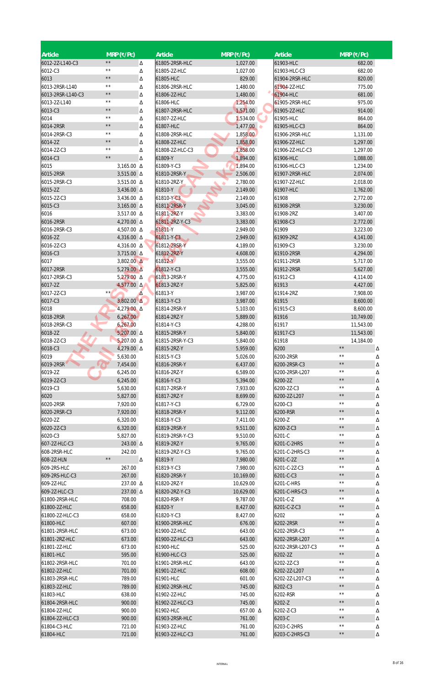| <b>Article</b>    | $MRP$ (₹/Pc)   |                     | Article         | $MRP$ (₹/Pc) | Article           | $MRP$ (₹/Pc)        |
|-------------------|----------------|---------------------|-----------------|--------------|-------------------|---------------------|
| 6012-2Z-L140-C3   | $\star\,\star$ | Δ                   | 61805-2RSR-HLC  | 1,027.00     | 61903-HLC         | 682.00              |
| 6012-C3           | $\star\star$   | Δ                   | 61805-2Z-HLC    | 1,027.00     | 61903-HLC-C3      | 682.00              |
| 6013              | $\star\,\star$ | Δ                   | 61805-HLC       | 829.00       | 61904-2RSR-HLC    | 820.00              |
| 6013-2RSR-L140    | $\star\star$   | Δ                   | 61806-2RSR-HLC  | 1,480.00     | 61904-2Z-HLC      | 775.00              |
| 6013-2RSR-L140-C3 | $\star\,\star$ | Δ                   | 61806-2Z-HLC    | 1,480.00     | 61904-HLC         | 681.00              |
| 6013-2Z-L140      | $\star\,\star$ |                     | 61806-HLC       | 1,254.00     | 61905-2RSR-HLC    | 975.00              |
|                   | $\star\,\star$ | Δ                   | 61807-2RSR-HLC  |              |                   |                     |
| 6013-C3           | $\star\,\star$ | Δ                   |                 | 1,571.00     | 61905-2Z-HLC      | 914.00              |
| 6014              | $\star\,\star$ | Δ                   | 61807-2Z-HLC    | 1,534.00     | 61905-HLC         | 864.00              |
| 6014-2RSR         |                | Δ                   | 61807-HLC       | 1,477.00     | 61905-HLC-C3      | 864.00              |
| 6014-2RSR-C3      | $\star\star$   | Δ                   | 61808-2RSR-HLC  | 1,858.00     | 61906-2RSR-HLC    | 1,131.00            |
| 6014-2Z           | $\star\,\star$ | Δ                   | 61808-2Z-HLC    | 1,858.00     | 61906-2Z-HLC      | 1,297.00            |
| 6014-2Z-C3        | $\star\star$   | Δ                   | 61808-2Z-HLC-C3 | 1,858.00     | 61906-2Z-HLC-C3   | 1,297.00            |
| 6014-C3           | $\star\,\star$ | Δ                   | 61809-Y         | 1,894.00     | 61906-HLC         | 1,088.00            |
| 6015              |                | 3,165.00 △          | 61809-Y-C3      | 1,894.00     | 61906-HLC-C3      | 1,234.00            |
| 6015-2RSR         |                | 3,515.00 △          | 61810-2RSR-Y    | 2,506.00     | 61907-2RSR-HLC    | 2,074.00            |
| 6015-2RSR-C3      |                | 3,515.00 △          | 61810-2RZ-Y     | 2,780.00     | 61907-2Z-HLC      | 2,018.00            |
| 6015-2Z           |                | $3,436.00 \Delta$   | 61810-Y         | 2,149.00     | 61907-HLC         | 1,762.00            |
| 6015-2Z-C3        |                | 3,436.00 △          | 61810-Y-C3      | 2,149.00     | 61908             | 2,772.00            |
| 6015-C3           |                | 3,165.00 $\Delta$   | 61811-2RSR-Y    | 3,045.00     | 61908-2RSR        | 3,230.00            |
|                   |                |                     |                 |              |                   |                     |
| 6016              |                | 3,517.00 △          | 61811-2RZ-Y     | 3,383.00     | 61908-2RZ         | 3,407.00            |
| 6016-2RSR         |                | 4,270.00 △          | 61811-2RZ-Y-C3  | 3,383.00     | 61908-C3          | 2,772.00            |
| 6016-2RSR-C3      |                | 4,507.00 △          | 61811-Y         | 2,949.00     | 61909             | 3,223.00            |
| 6016-2Z           |                | 4,316.00 $\Delta$   | 61811-Y-C3      | 2,949.00     | 61909-2RZ         | 4,141.00            |
| 6016-2Z-C3        |                | 4,316.00 △          | 61812-2RSR-Y    | 4,189.00     | 61909-C3          | 3,230.00            |
| 6016-C3           |                | 3,715.00 △          | 61812-2RZ-Y     | 4,608.00     | 61910-2RSR        | 4,294.00            |
| 6017              |                | $3,802.00 \Delta$   | 61812-Y         | 3,555.00     | 61911-2RSR        | 5,717.00            |
| 6017-2RSR         |                | 5,279.00 $\Delta$   | 61812-Y-C3      | 3,555.00     | 61912-2RSR        | 5,627.00            |
| 6017-2RSR-C3      |                | $5,279.00 \Delta$   | 61813-2RSR-Y    | 4,775.00     | 61912-C3          | 4,114.00            |
| 6017-2Z           |                | $4,577.00 \Delta$   | 61813-2RZ-Y     | 5,825.00     | 61913             | 4,427.00            |
| 6017-2Z-C3        | $***$          | Δ                   | 61813-Y         | 3,987.00     | 61914-2RZ         | 7,908.00            |
| 6017-C3           |                | $3,802.00$ $\Delta$ | 61813-Y-C3      | 3,987.00     | 61915             | 8,600.00            |
|                   |                |                     |                 |              |                   |                     |
| 6018              |                | 4,279.00 Δ          | 61814-2RSR-Y    | 5,103.00     | 61915-C3          | 8,600.00            |
| 6018-2RSR         | 6,267.00       |                     | 61814-2RZ-Y     | 5,889.00     | 61916             | 10,749.00           |
| 6018-2RSR-C3      | 6,267.00       |                     | 61814-Y-C3      | 4,288.00     | 61917             | 11,543.00           |
| 6018-2Z           |                | $5,207.00 \Delta$   | 61815-2RSR-Y    | 5,840.00     | 61917-C3          | 11,543.00           |
| 6018-2Z-C3        |                | 5,207.00 $\Delta$   | 61815-2RSR-Y-C3 | 5,840.00     | 61918             | 14,184.00           |
| 6018-C3           |                | 4,279.00 △          | 61815-2RZ-Y     | 5,959.00     | 6200              | $\star\,\star$<br>Δ |
| 6019              | 5,630.00       |                     | 61815-Y-C3      | 5,026.00     | 6200-2RSR         | $\star\,\star$<br>Δ |
| 6019-2RSR         | 7,454.00       |                     | 61816-2RSR-Y    | 6,437.00     | 6200-2RSR-C3      | $\star\,\star$<br>Δ |
| 6019-2Z           | 6,245.00       |                     | 61816-2RZ-Y     | 6,589.00     | 6200-2RSR-L207    | $\star\,\star$<br>Δ |
| 6019-2Z-C3        | 6,245.00       |                     | 61816-Y-C3      | 5,394.00     | 6200-2Z           | $\star\star$<br>Δ   |
| 6019-C3           | 5,630.00       |                     | 61817-2RSR-Y    | 7,933.00     | 6200-2Z-C3        | $\star\,\star$<br>Δ |
|                   |                |                     |                 |              |                   | $\star\star$        |
| 6020              | 5,827.00       |                     | 61817-2RZ-Y     | 8,699.00     | 6200-2Z-L207      | Δ<br>$\star\,\star$ |
| 6020-2RSR         | 7,920.00       |                     | 61817-Y-C3      | 6,729.00     | 6200-C3           | Δ                   |
| 6020-2RSR-C3      | 7,920.00       |                     | 61818-2RSR-Y    | 9,112.00     | 6200-RSR          | $\star\,\star$<br>Δ |
| 6020-2Z           | 6,320.00       |                     | 61818-Y-C3      | 7,411.00     | 6200-Z            | $\star\,\star$<br>Δ |
| 6020-2Z-C3        | 6,320.00       |                     | 61819-2RSR-Y    | 9,511.00     | 6200-Z-C3         | $\star\,\star$<br>Δ |
| 6020-C3           | 5,827.00       |                     | 61819-2RSR-Y-C3 | 9,510.00     | 6201-C            | $\star\star$<br>Δ   |
| 607-2Z-HLC-C3     |                | 243.00 A            | 61819-2RZ-Y     | 9,765.00     | 6201-C-2HRS       | $\star\,\star$<br>Δ |
| 608-2RSR-HLC      |                | 242.00              | 61819-2RZ-Y-C3  | 9,765.00     | 6201-C-2HRS-C3    | $\star\,\star$<br>Δ |
| 608-2Z-HLN        | $\star\,\star$ | Δ                   | 61819-Y         | 7,980.00     | 6201-C-2Z         | $\star\,\star$<br>Δ |
| 609-2RS-HLC       |                | 267.00              | 61819-Y-C3      | 7,980.00     | 6201-C-2Z-C3      | $\star\,\star$<br>Δ |
| 609-2RS-HLC-C3    |                | 267.00              | 61820-2RSR-Y    | 10,169.00    | 6201-C-C3         | $\star\,\star$<br>Δ |
| 609-2Z-HLC        |                | 237.00 A            | 61820-2RZ-Y     | 10,629.00    | 6201-C-HRS        | $\star\,\star$<br>Δ |
|                   |                |                     |                 |              |                   | $\star\,\star$      |
| 609-2Z-HLC-C3     |                | 237.00 A            | 61820-2RZ-Y-C3  | 10,629.00    | 6201-C-HRS-C3     | Δ<br>$\star\,\star$ |
| 61800-2RSR-HLC    |                | 708.00              | 61820-RSR-Y     | 9,787.00     | 6201-C-Z          | Δ                   |
| 61800-2Z-HLC      |                | 658.00              | 61820-Y         | 8,427.00     | 6201-C-Z-C3       | $\star\,\star$<br>Δ |
| 61800-2Z-HLC-C3   |                | 658.00              | 61820-Y-C3      | 8,427.00     | 6202              | $\star\,\star$<br>Δ |
| 61800-HLC         |                | 607.00              | 61900-2RSR-HLC  | 676.00       | 6202-2RSR         | $\star\,\star$<br>Δ |
| 61801-2RSR-HLC    |                | 673.00              | 61900-2Z-HLC    | 643.00       | 6202-2RSR-C3      | $\star\,\star$<br>Δ |
| 61801-2RZ-HLC     |                | 673.00              | 61900-2Z-HLC-C3 | 643.00       | 6202-2RSR-L207    | $\star\,\star$<br>Δ |
| 61801-2Z-HLC      |                | 673.00              | 61900-HLC       | 525.00       | 6202-2RSR-L207-C3 | $\star\,\star$<br>Δ |
| 61801-HLC         |                | 595.00              | 61900-HLC-C3    | 525.00       | 6202-2Z           | $\star\,\star$<br>Δ |
| 61802-2RSR-HLC    |                | 701.00              | 61901-2RSR-HLC  | 643.00       | 6202-2Z-C3        | $\star\,\star$<br>Δ |
| 61802-2Z-HLC      |                | 701.00              | 61901-2Z-HLC    | 608.00       | 6202-2Z-L207      | $\star\,\star$<br>Δ |
| 61803-2RSR-HLC    |                | 789.00              | 61901-HLC       | 601.00       | 6202-2Z-L207-C3   | $\star\,\star$      |
|                   |                |                     |                 |              |                   | Δ<br>$\star\,\star$ |
| 61803-2Z-HLC      |                | 789.00              | 61902-2RSR-HLC  | 745.00       | 6202-C3           | Δ                   |
| 61803-HLC         |                | 638.00              | 61902-2Z-HLC    | 745.00       | 6202-RSR          | $\star\,\star$<br>Δ |
| 61804-2RSR-HLC    |                | 900.00              | 61902-2Z-HLC-C3 | 745.00       | 6202-Z            | $\star\,\star$<br>Δ |
| 61804-2Z-HLC      |                | 900.00              | 61902-HLC       | 657.00 △     | 6202-Z-C3         | $\star\,\star$<br>Δ |
| 61804-2Z-HLC-C3   |                | 900.00              | 61903-2RSR-HLC  | 761.00       | 6203-C            | $\star\,\star$<br>Δ |
| 61804-C3-HLC      |                | 721.00              | 61903-2Z-HLC    | 761.00       | 6203-C-2HRS       | $\star\,\star$<br>Δ |
| 61804-HLC         |                | 721.00              | 61903-2Z-HLC-C3 | 761.00       | 6203-C-2HRS-C3    | $\star\,\star$<br>Δ |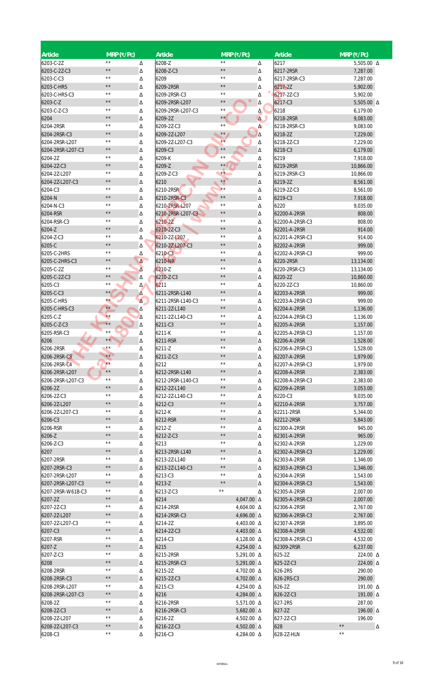| <b>Article</b>    | $MRP$ (₹/Pc)   |            | Article           | $MRP$ (₹/Pc)   |                   | Article         | $MRP$ (₹/Pc)        |
|-------------------|----------------|------------|-------------------|----------------|-------------------|-----------------|---------------------|
| 6203-C-2Z         | $\star\star$   | Δ          | 6208-Z            | $\star\star$   | Δ                 | 6217            | 5,505.00 $\Delta$   |
| 6203-C-2Z-C3      | $\star\star$   | Δ          | 6208-Z-C3         | $\star\star$   | Δ                 | 6217-2RSR       | 7,287.00            |
| 6203-C-C3         | $\star\star$   | Δ          | 6209              | $\star\,\star$ | Δ                 | 6217-2RSR-C3    | 7,287.00            |
| 6203-C-HRS        | $\star\star$   | Δ          | 6209-2RSR         | $\star\star$   | Δ                 | 6217-2Z         | 5,902.00            |
| 6203-C-HRS-C3     | $\star\star$   | Δ          | 6209-2RSR-C3      | $\star\star$   | Δ                 | 6217-2Z-C3      | 5,902.00            |
| 6203-C-Z          | $\star\star$   | Δ          | 6209-2RSR-L207    | $\star\star$   | Δ                 | 6217-C3         | 5,505.00 $\Delta$   |
| 6203-C-Z-C3       | $* *$          | Δ          | 6209-2RSR-L207-C3 | $\star\star$   | Δ                 | 6218            | 6,179.00            |
| 6204              | $\star\,\star$ | Δ          | 6209-2Z           | $\star\star$   | $\Delta$          | 6218-2RSR       | 9,083.00            |
| 6204-2RSR         | $* *$          | Δ          | 6209-2Z-C3        | $\star\star$   | $\Delta$          | 6218-2RSR-C3    | 9,083.00            |
| 6204-2RSR-C3      | $\star\star$   | Δ          | 6209-2Z-L207      | $\star\star$   | Δ                 | 6218-2Z         | 7,229.00            |
| 6204-2RSR-L207    | $\star\star$   | Δ          | 6209-2Z-L207-C3   | $\star\star$   | Δ                 | 6218-2Z-C3      | 7,229.00            |
|                   | $\star\star$   |            |                   | $\star\,\star$ |                   |                 |                     |
| 6204-2RSR-L207-C3 | $\star\star$   | Δ          | 6209-C3           | $\star\star$   | Δ                 | 6218-C3         | 6,179.00            |
| 6204-2Z           |                | Δ          | 6209-K            |                | Δ                 | 6219            | 7,918.00            |
| 6204-2Z-C3        | $\star\star$   | Δ          | 6209-Z            | $\star\star$   | Δ                 | 6219-2RSR       | 10,866.00           |
| 6204-2Z-L207      | $\star\star$   | Δ          | 6209-Z-C3         | $\star\star$   | Δ                 | 6219-2RSR-C3    | 10,866.00           |
| 6204-2Z-L207-C3   | $\star\star$   | Δ          | 6210              | $\star \star$  | Δ                 | 6219-2Z         | 8,561.00            |
| 6204-C3           | $\star\star$   | Δ          | 6210-2RSR         | $**$           | Δ                 | 6219-2Z-C3      | 8,561.00            |
| 6204-N            | $\star\star$   | Δ          | 6210-2RSR-C3      | $\star\star$   | Δ                 | 6219-C3         | 7,918.00            |
| 6204-N-C3         | $\star\star$   | Δ          | 6210-2RSR-L207    | $\star\,\star$ | Δ                 | 6220            | 9,035.00            |
| 6204-RSR          | $\star\star$   | Δ          | 6210-2RSR-L207-C3 | $\star\star$   | Δ                 | 62200-A-2RSR    | 808.00              |
| 6204-RSR-C3       | $* *$          | Δ          | 6210-22           | $\star\star$   | Δ                 | 62200-A-2RSR-C3 | 808.00              |
| 6204-Z            | $\star\star$   | Δ          | 6210-2Z-C3        | $\star\,\star$ | Δ                 | 62201-A-2RSR    | 914.00              |
| 6204-Z-C3         | $\star\star$   |            |                   | $\star\star$   |                   |                 |                     |
|                   |                | Δ          | 6210-2Z-L207      | $\star\star$   | Δ                 | 62201-A-2RSR-C3 | 914.00              |
| 6205-C            | $\star\star$   | Δ          | 6210-2Z-L207-C3   |                | Δ                 | 62202-A-2RSR    | 999.00              |
| 6205-C-2HRS       | $\star\star$   | Δ          | 6210-C3           | $\star\star$   | Δ                 | 62202-A-2RSR-C3 | 999.00              |
| 6205-C-2HRS-C3    | $\star\star$   | Δ          | 6210-NR           | $\star\star$   | Δ                 | 6220-2RSR       | 13,134.00           |
| 6205-C-2Z         | $* *$          | Δ          | 6210-Z            | $\star\star$   | Δ                 | 6220-2RSR-C3    | 13,134.00           |
| 6205-C-2Z-C3      | $\star\,\star$ | Δ          | 6210-Z-C3         | $\star\,\star$ | Δ                 | 6220-2Z         | 10,860.00           |
| 6205-C3           | $\star\star$   | Δ          | 6211              | $\star\star$   | Δ                 | 6220-2Z-C3      | 10,860.00           |
| 6205-C-C3         | $\star\star$   | Δ          | 6211-2RSR-L140    | $\star\star$   | Δ                 | 62203-A-2RSR    | 999.00              |
| 6205-C-HRS        | $\star\star$   | $\Delta$ . | 6211-2RSR-L140-C3 | $\star\star$   | Δ                 | 62203-A-2RSR-C3 | 999.00              |
| 6205-C-HRS-C3     | $\star\star$   | Δ          | 6211-2Z-L140      | $\star\star$   | Δ                 | 62204-A-2RSR    | 1,136.00            |
|                   | $\star\star$   |            |                   | $\star\,\star$ |                   |                 |                     |
| 6205-C-Z          | $\star\star$   | Δ          | 6211-2Z-L140-C3   | $\star\,\star$ | Δ                 | 62204-A-2RSR-C3 | 1,136.00            |
| 6205-C-Z-C3       |                | Δ          | 6211-C3           |                | Δ                 | 62205-A-2RSR    | 1,157.00            |
| 6205-RSR-C3       | $\star\,\star$ | Δ          | 6211-K            | $\star\,\star$ | Δ                 | 62205-A-2RSR-C3 | 1,157.00            |
| 6206              | $\star\star$   | Δ          | 6211-RSR          | $\star\,\star$ | Δ                 | 62206-A-2RSR    | 1,528.00            |
| 6206-2RSR         | $\star\star$   | Δ          | 6211-Z            | $\star\star$   | Δ                 | 62206-A-2RSR-C3 | 1,528.00            |
| 6206-2RSR-C3      | $***$          | Δ          | 6211-Z-C3         | $\star\,\star$ | Δ                 | 62207-A-2RSR    | 1,979.00            |
| 6206-2RSR-C4      | $\star\star$   | Δ          | 6212              | $\star\,\star$ | Δ                 | 62207-A-2RSR-C3 | 1,979.00            |
| 6206-2RSR-L207    | $\star\,\star$ | Δ          | 6212-2RSR-L140    | $\star\,\star$ | Δ                 | 62208-A-2RSR    | 2,383.00            |
| 6206-2RSR-L207-C3 | $\star\,\star$ | Δ          | 6212-2RSR-L140-C3 | $\star\,\star$ | Δ                 | 62208-A-2RSR-C3 | 2,383.00            |
| 6206-2Z           | $\star\,\star$ | Δ          | 6212-2Z-L140      | $\star\,\star$ | Δ                 | 62209-A-2RSR    | 3,053.00            |
| 6206-2Z-C3        | $\star\,\star$ | Δ          | 6212-2Z-L140-C3   | $\star\,\star$ | Δ                 | 6220-C3         | 9,035.00            |
| 6206-2Z-L207      | $\star\,\star$ |            | 6212-C3           | $\star\,\star$ |                   | 62210-A-2RSR    | 3,757.00            |
|                   | $\star\,\star$ | Δ          |                   | $\star\,\star$ | Δ                 |                 |                     |
| 6206-2Z-L207-C3   | $\star\,\star$ | Δ          | 6212-K            |                | Δ                 | 62211-2RSR      | 5,344.00            |
| 6206-C3           |                | Δ          | 6212-RSR          | $\star\,\star$ | Δ                 | 62212-2RSR      | 5,843.00            |
| 6206-RSR          | $\star\,\star$ | Δ          | 6212-Z            | $\star\,\star$ | Δ                 | 62300-A-2RSR    | 945.00              |
| 6206-Z            | $\star\star$   | Δ          | 6212-Z-C3         | $\star\star$   | Δ                 | 62301-A-2RSR    | 965.00              |
| 6206-Z-C3         | $\star\star$   | Δ          | 6213              | $\star\,\star$ | Δ                 | 62302-A-2RSR    | 1,229.00            |
| 6207              | $\star\,\star$ | Δ          | 6213-2RSR-L140    | $\star\,\star$ | Δ                 | 62302-A-2RSR-C3 | 1,229.00            |
| 6207-2RSR         | $\star\,\star$ | Δ          | 6213-2Z-L140      | $\star\,\star$ | Δ                 | 62303-A-2RSR    | 1,346.00            |
| 6207-2RSR-C3      | $\star\star$   | Δ          | 6213-2Z-L140-C3   | $\star\,\star$ | Δ                 | 62303-A-2RSR-C3 | 1,346.00            |
| 6207-2RSR-L207    | $\star\,\star$ | Δ          | 6213-C3           | $\star\,\star$ | Δ                 | 62304-A-2RSR    | 1,543.00            |
| 6207-2RSR-L207-C3 | $\star\star$   | Δ          | 6213-Z            | $\star\,\star$ | Δ                 | 62304-A-2RSR-C3 | 1,543.00            |
|                   | $\star\,\star$ |            |                   | $\star\,\star$ |                   |                 |                     |
| 6207-2RSR-W61B-C3 |                | Δ          | 6213-Z-C3         |                | Δ                 | 62305-A-2RSR    | 2,007.00            |
| 6207-2Z           | $\star\,\star$ | Δ          | 6214              |                | 4,047.00 $\Delta$ | 62305-A-2RSR-C3 | 2,007.00            |
| 6207-2Z-C3        | $\star\,\star$ | Δ          | 6214-2RSR         |                | 4,604.00 △        | 62306-A-2RSR    | 2,767.00            |
| 6207-2Z-L207      | $\star\,\star$ | Δ          | 6214-2RSR-C3      |                | 4,696.00 $\Delta$ | 62306-A-2RSR-C3 | 2,767.00            |
| 6207-2Z-L207-C3   | $\star\star$   | Δ          | 6214-2Z           |                | 4,403.00 $\Delta$ | 62307-A-2RSR    | 3,895.00            |
| 6207-C3           | $\star\,\star$ | Δ          | 6214-2Z-C3        |                | 4,403.00 △        | 62308-A-2RSR    | 4,532.00            |
| 6207-RSR          | $\star\,\star$ | Δ          | 6214-C3           |                | 4,128.00 △        | 62308-A-2RSR-C3 | 4,532.00            |
| 6207-Z            | $\star\,\star$ | Δ          | 6215              |                | 4,254.00 $\Delta$ | 62309-2RSR      | 6,237.00            |
| 6207-Z-C3         | $\star\star$   | Δ          | 6215-2RSR         |                | 5,291.00 △        | 625-2Z          | 224.00 △            |
| 6208              | $\star\,\star$ |            | 6215-2RSR-C3      |                | 5,291.00 $\Delta$ | 625-2Z-C3       | 224.00 A            |
|                   | $\star\,\star$ | Δ          |                   |                |                   |                 |                     |
| 6208-2RSR         |                | Δ          | 6215-2Z           |                | 4,702.00 $\Delta$ | 626-2RS         | 290.00              |
| 6208-2RSR-C3      | $\star\,\star$ | Δ          | 6215-2Z-C3        |                | 4,702.00 △        | 626-2RS-C3      | 290.00              |
| 6208-2RSR-L207    | $\star\,\star$ | Δ          | 6215-C3           |                | 4,254.00 △        | 626-2Z          | 191.00 Δ            |
| 6208-2RSR-L207-C3 | $\star\,\star$ | Δ          | 6216              |                | 4,284.00 $\Delta$ | 626-2Z-C3       | 191.00 Δ            |
| 6208-2Z           | $\star\,\star$ | Δ          | 6216-2RSR         |                | 5,571.00 $\Delta$ | 627-2RS         | 287.00              |
| 6208-2Z-C3        | $\star\,\star$ | Δ          | 6216-2RSR-C3      |                | 5,682.00 $\Delta$ | 627-2Z          | 196.00 Δ            |
| 6208-2Z-L207      | $\star\,\star$ | Δ          | 6216-2Z           |                | 4,502.00 △        | 627-2Z-C3       | 196.00              |
| 6208-2Z-L207-C3   | $\star\,\star$ |            | 6216-2Z-C3        |                | 4,502.00 $\Delta$ | 628             | $\star\,\star$<br>Δ |
|                   |                | Δ          |                   |                |                   |                 | $\star\star$        |
| 6208-C3           | $\star\,\star$ | Δ          | 6216-C3           |                | 4,284.00 △        | 628-2Z-HLN      |                     |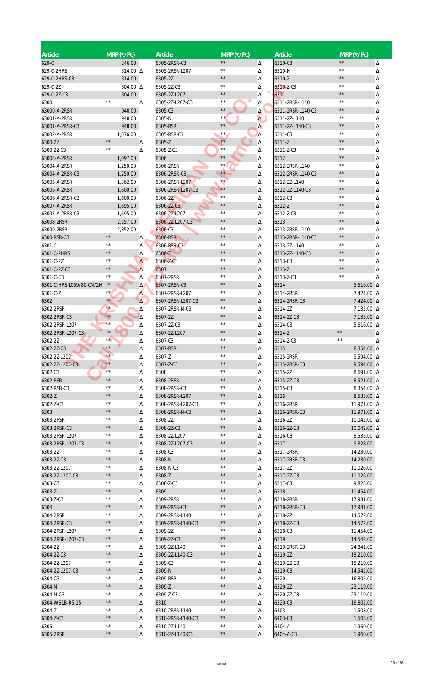| Article                      | $MRP$ (₹/Pc)   |          | Article                        | $MRP$ (₹/Pc)   |          | <b>Article</b>                    | $MRP$ (₹/Pc)       |        |
|------------------------------|----------------|----------|--------------------------------|----------------|----------|-----------------------------------|--------------------|--------|
| 629-C                        | 246.00         |          | 6305-2RSR-C3                   | $\star\star$   | Δ        | 6310-C3                           | $\star\star$       | Δ      |
| 629-C-2HRS                   | 314.00 △       |          | 6305-2RSR-L207                 | $\star\star$   | Δ        | 6310-N                            | $\star\star$       | Δ      |
| 629-C-2HRS-C3                | 314.00         |          | 6305-2Z                        | $\star\star$   |          | 6310-Z                            | $\star\,\star$     |        |
| 629-C-2Z                     | 304.00 A       |          | 6305-2Z-C3                     | $\star\star$   | Δ<br>Δ   | 6310-Z-C3                         | $\star\star$       | Δ<br>Δ |
| 629-C-2Z-C3                  | 304.00         |          | 6305-2Z-L207                   | $\star\star$   | Δ        | 6311                              | $\star\star$       | Δ      |
| 6300                         | $\star\star$   | Δ        | 6305-2Z-L207-C3                | $\star\star$   | Δ        | 6311-2RSR-L140                    | $\star\star$       | Δ      |
| 63000-A-2RSR                 | 940.00         |          | 6305-C3                        | $\star\,\star$ | Δ        | 6311-2RSR-L140-C3                 | $\star\star$       | Δ      |
| 63001-A-2RSR                 | 948.00         |          | 6305-N                         | $\star\star$   | $\Delta$ | 6311-2Z-L140                      | $\star\star$       | Δ      |
| 63001-A-2RSR-C3              | 948.00         |          | 6305-RSR                       | $\star\,\star$ | Δ        | 6311-2Z-L140-C3                   | $\star\,\star$     | Δ      |
| 63002-A-2RSR                 | 1,076.00       |          | 6305-RSR-C3                    | $\star\star$   |          | 6311-C3                           | $\star\star$       | Δ      |
| 6300-2Z                      | $\star\,\star$ | Δ        | 6305-Z                         | $\star\star$   | Δ<br>Δ   | 6311-Z                            | $\star\,\star$     |        |
| 6300-2Z-C3                   | $\star\star$   | Δ        | 6305-Z-C3                      | $\star\star$   | Δ        | 6311-Z-C3                         | $\star\star$       | Δ<br>Δ |
| 63003-A-2RSR                 | 1,097.00       |          | 6306                           | $\star\,\star$ | Δ        | 6312                              | $\star\,\star$     |        |
| 63004-A-2RSR                 | 1,250.00       |          | 6306-2RSR                      | $\star\star$   |          | 6312-2RSR-L140                    | $\star\,\star$     | Δ      |
|                              |                |          |                                | $\star \star$  | Δ        |                                   | $\star\star$       | Δ      |
| 63004-A-2RSR-C3              | 1,250.00       |          | 6306-2RSR-C3<br>6306-2RSR-L207 | $**$           | Δ        | 6312-2RSR-L140-C3<br>6312-2Z-L140 | $\star\star$       | Δ      |
| 63005-A-2RSR<br>63006-A-2RSR | 1,362.00       |          |                                | $\star\star$   | Δ        | 6312-2Z-L140-C3                   | $\star\,\star$     | Δ      |
|                              | 1,600.00       |          | 6306-2RSR-L207-C3              | $\star\,\star$ | Δ        |                                   | $\star\star$       | Δ      |
| 63006-A-2RSR-C3              | 1,600.00       |          | 6306-2Z                        | $\star\star$   | Δ        | 6312-C3                           | $\star\star$       | Δ      |
| 63007-A-2RSR                 | 1,695.00       |          | 6306-22-C3                     | $\star\star$   | Δ        | 6312-Z                            | $\star\,\star$     | Δ      |
| 63007-A-2RSR-C3              | 1,695.00       |          | 6306-2Z-L207                   | $\star\,\star$ | Δ        | 6312-Z-C3                         | $\star\star$       | Δ      |
| 63008-2RSR                   | 2,157.00       |          | 6306-2Z-L207-C3                | $\star\star$   | Δ        | 6313                              | $\star\star$       | Δ      |
| 63009-2RSR                   | 2,852.00       |          | 6306-C3                        | $\star\star$   | Δ        | 6313-2RSR-L140                    |                    | Δ      |
| 6300-RSR-C3                  | $\star\star$   | Δ        | 6306-RSR                       |                | Δ        | 6313-2RSR-L140-C3                 | $\star\star$       | Δ      |
| 6301-C                       | $\star\star$   | Δ        | 6306-RSR-C3                    | $\star\star$   | Δ        | 6313-2Z-L140                      | $\star\,\star$     | Δ      |
| 6301-C-2HRS                  | $\star\,\star$ | Δ        | 6306-Z                         | $\star \star$  | Δ        | 6313-2Z-L140-C3                   | $\star\,\star$     | Δ      |
| 6301-C-2Z                    | $\star\star$   | $\Delta$ | 6306-Z-C3                      | $\star\star$   | Δ        | 6313-C3                           | $\star\star$       | Δ      |
| 6301-C-2Z-C3                 | $\star\,\star$ | Δ        | 6307                           | $\star\star$   | Δ        | 6313-Z                            | $\star\star$       | Δ      |
| 6301-C-C3                    | $\star\star$   | Δ        | 6307-2RSR                      | $\star\star$   | Δ        | 6313-Z-C3                         | $\star\star$       | Δ      |
| 6301-C-HRS-L059/80-CN/2H     | $\star\star$   | Δ        | 6307-2RSR-C3                   | $\star\star$   | Δ        | 6314                              | $5,616.00 \Delta$  |        |
| 6301-C-Z                     | **             | Δ        | 6307-2RSR-L207                 | $\star\star$   | Δ        | 6314-2RSR                         | 7,424.00 △         |        |
| 6302                         | $\star\star$   | $\Delta$ | 6307-2RSR-L207-C3              | $\star\,\star$ | Δ        | 6314-2RSR-C3                      | 7,424.00 △         |        |
| 6302-2RSR                    | $\star\star$   | Δ        | 6307-2RSR-N-C3                 | $\star\,\star$ | Δ        | 6314-2Z                           | 7,135.00 △         |        |
| 6302-2RSR-C3                 | $\star\star$   | Δ        | 6307-2Z                        | $\star\,\star$ | Δ        | 6314-2Z-C3                        | 7,135.00 △         |        |
| 6302-2RSR-L207               | $\star\star$   | Δ        | 6307-2Z-C3                     | $\star\,\star$ | Δ        | 6314-C3                           | 5,616.00 $\Delta$  |        |
| 6302-2RSR-L207-C3            | $\star\star$   | Δ        | 6307-2Z-L207                   | $\star\,\star$ | Δ        | 6314-Z                            | $\star\,\star$     | Δ      |
| 6302-2Z                      | $\star\star$   | Δ        | 6307-C3                        | $\star\,\star$ | Δ        | 6314-Z-C3                         | $\star\,\star$     | Δ      |
| 6302-2Z-C3                   | $\star\star$   | Δ        | 6307-RSR                       | $\star\star$   | Δ        | 6315                              | 8,354.00 △         |        |
| 6302-2Z-L207                 | $***$          | Δ        | 6307-Z                         | $\star\,\star$ | Δ        | 6315-2RSR                         | 9,594.00 △         |        |
| 6302-2Z-L207-C3              | $**$           | Δ        | 6307-Z-C3                      | $\star \star$  | Δ        | 6315-2RSR-C3                      | 9,594.00 △         |        |
| 6302-C3                      | $\star\star$   | Δ        | 6308                           | $\star\star$   | Δ        | 6315-2Z                           | 8,691.00 △         |        |
| 6302-RSR                     | $\star\star$   | Δ        | 6308-2RSR                      | $\star\star$   | Δ        | 6315-2Z-C3                        | 8,521.00 △         |        |
| 6302-RSR-C3                  | $\star\,\star$ | Δ        | 6308-2RSR-C3                   | $\star\star$   | Δ        | 6315-C3                           | 8,354.00 △         |        |
| 6302-Z                       | $\star\,\star$ | Δ        | 6308-2RSR-L207                 | $\star \star$  | Δ        | 6316                              | 8,535.00 △         |        |
| 6302-Z-C3                    | $\star\,\star$ | Δ        | 6308-2RSR-L207-C3              | $\star\star$   | Δ        | 6316-2RSR                         | 11,971.00 Δ        |        |
| 6303                         | $\star\,\star$ | Δ        | 6308-2RSR-N-C3                 | $\star\,\star$ | Δ        | 6316-2RSR-C3                      | 11,971.00 $\Delta$ |        |
| 6303-2RSR                    | $\star\,\star$ | Δ        | 6308-2Z                        | $\star\,\star$ | Δ        | 6316-2Z                           | 10,042.00 △        |        |
| 6303-2RSR-C3                 | $\star\,\star$ | Δ        | 6308-2Z-C3                     | $\star\star$   | Δ        | 6316-2Z-C3                        | 10,042.00 $\Delta$ |        |
| 6303-2RSR-L207               | $\star\star$   | Δ        | 6308-2Z-L207                   | $\star\,\star$ | Δ        | 6316-C3                           | 8,535.00 △         |        |
| 6303-2RSR-L207-C3            | $\star\,\star$ | Δ        | 6308-2Z-L207-C3                | $\star\,\star$ | Δ        | 6317                              | 9,828.00           |        |
| 6303-2Z                      | $\star\,\star$ | Δ        | 6308-C3                        | $\star\,\star$ | Δ        | 6317-2RSR                         | 14,230.00          |        |
| 6303-2Z-C3                   | $\star\star$   | Δ        | 6308-N                         | $\star\,\star$ | Δ        | 6317-2RSR-C3                      | 14,230.00          |        |
| 6303-2Z-L207                 | $\star\,\star$ | Δ        | 6308-N-C3                      | $\star\,\star$ | Δ        | 6317-2Z                           | 11,026.00          |        |
| 6303-2Z-L207-C3              | $\star\,\star$ | Δ        | 6308-Z                         | $\star\star$   | Δ        | 6317-2Z-C3                        | 11,026.00          |        |
| 6303-C3                      | $\star\,\star$ | Δ        | 6308-Z-C3                      | $\star\,\star$ | Δ        | 6317-C3                           | 9,828.00           |        |
| 6303-Z                       | $\star\,\star$ | Δ        | 6309                           | $\star \star$  | Δ        | 6318                              | 11,454.00          |        |
| 6303-Z-C3                    | $\star\,\star$ | Δ        | 6309-2RSR                      | $\star\,\star$ | Δ        | 6318-2RSR                         | 17,981.00          |        |
| 6304                         | $\star\star$   | Δ        | 6309-2RSR-C3                   | $\star \star$  | Δ        | 6318-2RSR-C3                      | 17,981.00          |        |
| 6304-2RSR                    | $\star\star$   | Δ        | 6309-2RSR-L140                 | $\star\star$   | Δ        | 6318-2Z                           | 14,572.00          |        |
| 6304-2RSR-C3                 | $\star\,\star$ | Δ        | 6309-2RSR-L140-C3              | $\star\,\star$ | Δ        | 6318-2Z-C3                        | 14,572.00          |        |
| 6304-2RSR-L207               | $\star\,\star$ | Δ        | 6309-2Z                        | $\star\,\star$ | Δ        | 6318-C3                           | 11,454.00          |        |
| 6304-2RSR-L207-C3            | $\star\,\star$ | Δ        | 6309-2Z-C3                     | $\star \star$  | Δ        | 6319                              | 14,542.00          |        |
| 6304-2Z                      | $\star\star$   | Δ        | 6309-2Z-L140                   | $\star\,\star$ | Δ        | 6319-2RSR-C3                      | 24,841.00          |        |
| 6304-2Z-C3                   | $\star\,\star$ | Δ        | 6309-2Z-L140-C3                | $\star\,\star$ | Δ        | 6319-2Z                           | 18,210.00          |        |
| 6304-2Z-L207                 | $\star\star$   | Δ        | 6309-C3                        | $\star\,\star$ | Δ        | 6319-2Z-C3                        | 18,210.00          |        |
| 6304-2Z-L207-C3              | $\star\,\star$ | Δ        | 6309-N                         | $\star\,\star$ | Δ        | 6319-C3                           | 14,542.00          |        |
| 6304-C3                      | $\star\star$   | Δ        | 6309-RSR                       | $\star\,\star$ | Δ        | 6320                              | 16,802.00          |        |
| 6304-N                       | $\star\,\star$ | Δ        | 6309-Z                         | $\star\,\star$ | Δ        | 6320-2Z                           | 23,119.00          |        |
| 6304-N-C3                    | $\star\star$   | Δ        | 6309-Z-C3                      | $\star\star$   | Δ        | 6320-2Z-C3                        | 23,119.00          |        |
| 6304-W61B-R5-15              | $\star\,\star$ | Δ        | 6310                           | $\star\,\star$ | Δ        | 6320-C3                           | 16,802.00          |        |
| 6304-Z                       | $\star\,\star$ | Δ        | 6310-2RSR-L140                 | $\star\star$   | Δ        | 6403                              | 1,503.00           |        |
| 6304-Z-C3                    | $\star\star$   | Δ        | 6310-2RSR-L140-C3              | $\star\,\star$ | Δ        | 6403-C3                           | 1,503.00           |        |
| 6305                         | $\star\,\star$ | Δ        | 6310-2Z-L140                   | $\star\,\star$ | Δ        | 6404-A                            | 1,960.00           |        |
| 6305-2RSR                    | $\star\star$   | Δ        | 6310-2Z-L140-C3                | $\star\,\star$ | Δ        | 6404-A-C3                         | 1,960.00           |        |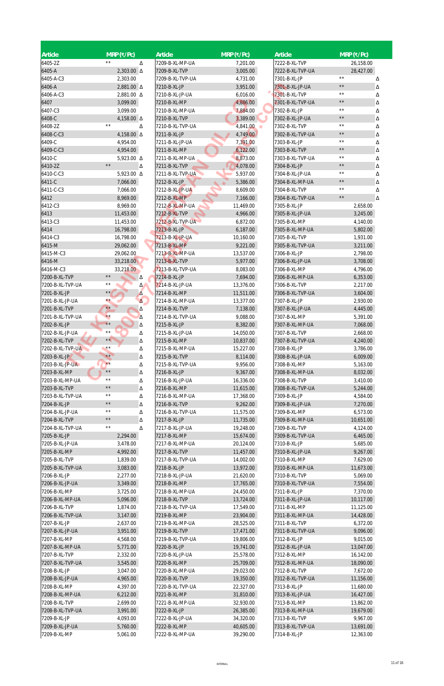| <b>Article</b>   | $MRP(\overline{\mathbf{x}}/PC)$ |            | Article          | $MRP$ (₹/Pc)  | <b>Article</b>   | $MRP$ (₹/Pc)        |
|------------------|---------------------------------|------------|------------------|---------------|------------------|---------------------|
| 6405-2Z          | $\star\star$                    | Δ          | 7209-B-XL-MP-UA  | 7,201.00      | 7222-B-XL-TVP    | 26,158.00           |
| 6405-A           | $2,303.00 \Delta$               |            | 7209-B-XL-TVP    | 3,005.00      | 7222-B-XL-TVP-UA | 28,427.00           |
| 6405-A-C3        | 2,303.00                        |            | 7209-B-XL-TVP-UA | 4,731.00      | 7301-B-XL-JP     | $\star\,\star$<br>Δ |
| 6406-A           | 2,881.00 $\Delta$               |            | 7210-B-XL-JP     | 3,951.00      | 7301-B-XL-JP-UA  | $\star\,\star$<br>Δ |
| 6406-A-C3        | 2,881.00 △                      |            | 7210-B-XL-JP-UA  | 6,016.00      | 7301-B-XL-TVP    | $\star\star$<br>Δ   |
| 6407             | 3,099.00                        |            | 7210-B-XL-MP     | 4,886.00      | 7301-B-XL-TVP-UA | $\star\,\star$<br>Δ |
| 6407-C3          | 3,099.00                        |            | 7210-B-XL-MP-UA  | 7,884.00      | 7302-B-XL-JP     | $\star\,\star$<br>Δ |
| 6408-C           | 4,158.00 $\Delta$               |            | 7210-B-XL-TVP    | 3,389.00      | 7302-B-XL-JP-UA  | $\star\,\star$<br>Δ |
| 6408-2Z          | $\star\star$                    | Δ          | 7210-B-XL-TVP-UA | 4,841.00<br>٠ | 7302-B-XL-TVP    | $\star\,\star$<br>Δ |
| 6408-C-C3        | 4,158.00 $\Delta$               |            | 7211-B-XL-JP     | 4,749.00      | 7302-B-XL-TVP-UA | $\star\,\star$<br>Δ |
| 6409-C           | 4,954.00                        |            | 7211-B-XL-JP-UA  | 7,391.00      | 7303-B-XL-JP     | $\star\star$<br>Δ   |
| 6409-C-C3        | 4,954.00                        |            | 7211-B-XL-MP     | 6,122.00      | 7303-B-XL-TVP    | $\star\,\star$<br>Δ |
| 6410-C           | 5,923.00 △                      |            | 7211-B-XL-MP-UA  | 8,873.00      | 7303-B-XL-TVP-UA | $\star\,\star$<br>Δ |
| 6410-2Z          | $\star\star$                    | Δ          | 7211-B-XL-TVP    | 4,078.00      | 7304-B-XL-JP     | $\star\,\star$<br>Δ |
| 6410-C-C3        | 5,923.00 △                      |            | 7211-B-XL-TVP-UA | 5,937.00      | 7304-B-XL-JP-UA  | $\star\,\star$<br>Δ |
| 6411-C           | 7,066.00                        |            | 7212-B-XL-JP     | 5,386.00      | 7304-B-XL-MP-UA  | $\star\,\star$<br>Δ |
| 6411-C-C3        | 7,066.00                        |            | 7212-B-XL-JP-UA  | 8,609.00      | 7304-B-XL-TVP    | $\star\star$<br>Δ   |
| 6412             | 8,969.00                        |            | 7212-B-XL-MP     | 7,166.00      | 7304-B-XL-TVP-UA | $\star\,\star$<br>Δ |
| 6412-C3          | 8,969.00                        |            | 7212-B-XL-MP-UA  | 11,469.00     | 7305-B-XL-JP     | 2,658.00            |
| 6413             | 11,453.00                       |            | 7212-B-XL-TVP    | 4,966.00      | 7305-B-XL-JP-UA  | 3,245.00            |
| 6413-C3          | 11,453.00                       |            | 7212-B-XL-TVP-UA | 6,872.00      | 7305-B-XL-MP     | 4,140.00            |
| 6414             | 16,798.00                       |            | 7213-B-XL-JP     | 6,187.00      | 7305-B-XL-MP-UA  | 5,802.00            |
| 6414-C3          | 16,798.00                       |            | 7213-B-XL-JP-UA  | 10,160.00     | 7305-B-XL-TVP    | 1,931.00            |
| 6415-M           | 29,062.00                       |            | 7213-B-XL-MP     | 9,221.00      | 7305-B-XL-TVP-UA | 3,211.00            |
| 6415-M-C3        | 29,062.00                       |            | 7213-B-XL-MP-UA  | 13,537.00     | 7306-B-XL-JP     | 2,798.00            |
| 6416-M           | 33,218.00                       |            | 7213-B-XL-TVP    | 5,977.00      | 7306-B-XL-JP-UA  | 3,708.00            |
| 6416-M-C3        | 33,218.00                       |            | 7213-B-XL-TVP-UA | 8,083.00      | 7306-B-XL-MP     | 4,796.00            |
| 7200-B-XL-TVP    | $\star\,\star$                  | Δ          | 7214-B-XL-JP     | 7,694.00      | 7306-B-XL-MP-UA  | 6,353.00            |
| 7200-B-XL-TVP-UA | $\star\,\star$                  | $\Delta$   | 7214-B-XL-JP-UA  | 13,376.00     | 7306-B-XL-TVP    | 2,217.00            |
| 7201-B-XL-JP     | $\star\star$                    | Δ          | 7214-B-XL-MP     | 11,511.00     | 7306-B-XL-TVP-UA | 3,604.00            |
| 7201-B-XL-JP-UA  | $\star\star$                    | $\Delta$ . | 7214-B-XL-MP-UA  | 13,377.00     | 7307-B-XL-JP     | 2,930.00            |
| 7201-B-XL-TVP    | $\star \star$                   | Δ          | 7214-B-XL-TVP    | 7,138.00      | 7307-B-XL-JP-UA  | 4,445.00            |
| 7201-B-XL-TVP-UA | $\star\star$                    | Δ          | 7214-B-XL-TVP-UA | 9,088.00      | 7307-B-XL-MP     | 5,391.00            |
| 7202-B-XL-JP     | $\star\star$                    | Δ          | 7215-B-XL-JP     | 8,382.00      | 7307-B-XL-MP-UA  | 7,068.00            |
| 7202-B-XL-JP-UA  | $\star\,\star$                  | Δ          | 7215-B-XL-JP-UA  | 14,050.00     | 7307-B-XL-TVP    | 2,668.00            |
| 7202-B-XL-TVP    | $\star \star$                   | Δ          | 7215-B-XL-MP     | 10,837.00     | 7307-B-XL-TVP-UA | 4,240.00            |
| 7202-B-XL-TVP-UA | $***$                           | Δ          | 7215-B-XL-MP-UA  | 15,227.00     | 7308-B-XL-JP     | 3,786.00            |
| 7203-B-XL-JP     | $***$                           | Δ          | 7215-B-XL-TVP    | 8,114.00      | 7308-B-XL-JP-UA  | 6,009.00            |
| 7203-B-XL-JP-UA  | $\star\star$                    | Δ          | 7215-B-XL-TVP-UA | 9,956.00      | 7308-B-XL-MP     | 5,163.00            |
| 7203-B-XL-MP     | $\star\,\star$                  | Δ          | 7216-B-XL-JP     | 9,367.00      | 7308-B-XL-MP-UA  | 8,032.00            |
| 7203-B-XL-MP-UA  | $\star\,\star$                  | Δ          | 7216-B-XL-JP-UA  | 16,336.00     | 7308-B-XL-TVP    | 3,410.00            |
| 7203-B-XL-TVP    | $\star\,\star$                  | Δ          | 7216-B-XL-MP     | 11,615.00     | 7308-B-XL-TVP-UA | 5,244.00            |
| 7203-B-XL-TVP-UA | $\star\,\star$                  | Δ          | 7216-B-XL-MP-UA  | 17,368.00     | 7309-B-XL-JP     | 4,584.00            |
| 7204-B-XL-JP     | $\star\,\star$                  | Δ          | 7216-B-XL-TVP    | 9,262.00      | 7309-B-XL-JP-UA  | 7,270.00            |
| 7204-B-XL-JP-UA  | $\star\,\star$                  | Δ          | 7216-B-XL-TVP-UA | 11,575.00     | 7309-B-XL-MP     | 6,573.00            |
| 7204-B-XL-TVP    | $\star\,\star$                  | Δ          | 7217-B-XL-JP     | 11,735.00     | 7309-B-XL-MP-UA  | 10,651.00           |
| 7204-B-XL-TVP-UA | $\star\,\star$                  | Δ          | 7217-B-XL-JP-UA  | 19,248.00     | 7309-B-XL-TVP    | 4,124.00            |
| 7205-B-XL-JP     | 2,294.00                        |            | 7217-B-XL-MP     | 15,674.00     | 7309-B-XL-TVP-UA | 6,465.00            |
| 7205-B-XL-JP-UA  | 3,478.00                        |            | 7217-B-XL-MP-UA  | 20,124.00     | 7310-B-XL-JP     | 5,685.00            |
| 7205-B-XL-MP     | 4,992.00                        |            | 7217-B-XL-TVP    | 11,457.00     | 7310-B-XL-JP-UA  | 9,267.00            |
| 7205-B-XL-TVP    | 1,839.00                        |            | 7217-B-XL-TVP-UA | 14,002.00     | 7310-B-XL-MP     | 7,629.00            |
| 7205-B-XL-TVP-UA | 3,083.00                        |            | 7218-B-XL-JP     | 13,972.00     | 7310-B-XL-MP-UA  | 11,673.00           |
| 7206-B-XL-JP     | 2,277.00                        |            | 7218-B-XL-JP-UA  | 21,620.00     | 7310-B-XL-TVP    | 5,069.00            |
| 7206-B-XL-JP-UA  | 3,349.00                        |            | 7218-B-XL-MP     | 17,765.00     | 7310-B-XL-TVP-UA | 7,554.00            |
| 7206-B-XL-MP     | 3,725.00                        |            | 7218-B-XL-MP-UA  | 24,450.00     | 7311-B-XL-JP     | 7,370.00            |
| 7206-B-XL-MP-UA  | 5,096.00                        |            | 7218-B-XL-TVP    | 13,724.00     | 7311-B-XL-JP-UA  | 10,117.00           |
| 7206-B-XL-TVP    | 1,874.00                        |            | 7218-B-XL-TVP-UA | 17,549.00     | 7311-B-XL-MP     | 11,125.00           |
| 7206-B-XL-TVP-UA | 3,147.00                        |            | 7219-B-XL-MP     | 23,904.00     | 7311-B-XL-MP-UA  | 14,428.00           |
| 7207-B-XL-JP     | 2,637.00                        |            | 7219-B-XL-MP-UA  | 28,525.00     | 7311-B-XL-TVP    | 6,372.00            |
| 7207-B-XL-JP-UA  | 3,951.00                        |            | 7219-B-XL-TVP    | 17,471.00     | 7311-B-XL-TVP-UA | 9,096.00            |
| 7207-B-XL-MP     | 4,568.00                        |            | 7219-B-XL-TVP-UA | 19,806.00     | 7312-B-XL-JP     | 9,015.00            |
| 7207-B-XL-MP-UA  | 5,771.00                        |            | 7220-B-XL-JP     | 19,741.00     | 7312-B-XL-JP-UA  | 13,047.00           |
| 7207-B-XL-TVP    | 2,332.00                        |            | 7220-B-XL-JP-UA  | 25,578.00     | 7312-B-XL-MP     | 16,142.00           |
| 7207-B-XL-TVP-UA | 3,545.00                        |            | 7220-B-XL-MP     | 25,709.00     | 7312-B-XL-MP-UA  | 18,090.00           |
| 7208-B-XL-JP     | 3,047.00                        |            | 7220-B-XL-MP-UA  | 29,023.00     | 7312-B-XL-TVP    | 7,672.00            |
| 7208-B-XL-JP-UA  | 4,965.00                        |            | 7220-B-XL-TVP    | 19,350.00     | 7312-B-XL-TVP-UA | 11,156.00           |
| 7208-B-XL-MP     | 4,397.00                        |            | 7220-B-XL-TVP-UA | 22,327.00     | 7313-B-XL-JP     | 11,680.00           |
| 7208-B-XL-MP-UA  | 6,212.00                        |            | 7221-B-XL-MP     | 31,810.00     | 7313-B-XL-JP-UA  | 16,427.00           |
| 7208-B-XL-TVP    | 2,699.00                        |            | 7221-B-XL-MP-UA  | 32,930.00     | 7313-B-XL-MP     | 13,862.00           |
| 7208-B-XL-TVP-UA | 3,991.00                        |            | 7222-B-XL-JP     | 26,385.00     | 7313-B-XL-MP-UA  | 19,679.00           |
| 7209-B-XL-JP     | 4,093.00                        |            | 7222-B-XL-JP-UA  | 34,320.00     | 7313-B-XL-TVP    | 9,967.00            |
| 7209-B-XL-JP-UA  | 5,760.00                        |            | 7222-B-XL-MP     | 40,605.00     | 7313-B-XL-TVP-UA | 13,691.00           |
| 7209-B-XL-MP     | 5,061.00                        |            | 7222-B-XL-MP-UA  | 39,290.00     | 7314-B-XL-JP     | 12,363.00           |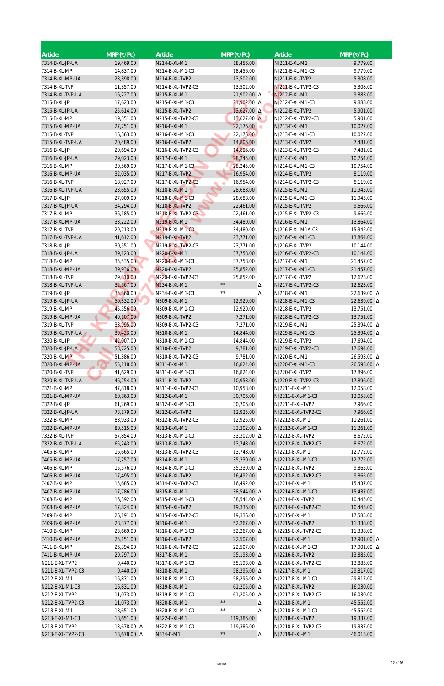| Article                           | $MRP$ (₹/Pc)           | Article                           | $MRP$ (₹/Pc)                    | <b>Article</b>                        | $MRP$ (₹/Pc)               |
|-----------------------------------|------------------------|-----------------------------------|---------------------------------|---------------------------------------|----------------------------|
| 7314-B-XL-JP-UA                   | 19,469.00              | N214-E-XL-M1                      | 18,456.00                       | NJ211-E-XL-M1                         | 9,779.00                   |
| 7314-B-XL-MP                      | 14,837.00              | N214-E-XL-M1-C3                   | 18,456.00                       | NJ211-E-XL-M1-C3                      | 9,779.00                   |
| 7314-B-XL-MP-UA                   | 23,398.00              | N214-E-XL-TVP2                    | 13,502.00                       | NJ211-E-XL-TVP2                       | 5,308.00                   |
| 7314-B-XL-TVP                     | 11,357.00              | N214-E-XL-TVP2-C3                 | 13,502.00                       | NJ211-E-XL-TVP2-C3                    | 5,308.00                   |
| 7314-B-XL-TVP-UA                  | 16,227.00              | N215-E-XL-M1                      | 21,902.00 A                     | NJ212-E-XL-M1                         | 9,883.00                   |
| 7315-B-XL-JP                      | 17,623.00              | N215-E-XL-M1-C3                   | 21,902.00 Δ                     | NJ212-E-XL-M1-C3                      | 9,883.00                   |
| 7315-B-XL-JP-UA                   | 25,614.00              | N215-E-XL-TVP2                    | 13,627.00 Δ                     | NJ212-E-XL-TVP2                       | 5,901.00                   |
| 7315-B-XL-MP<br>7315-B-XL-MP-UA   | 19,551.00<br>27,751.00 | N215-E-XL-TVP2-C3<br>N216-E-XL-M1 | $13,627.00 \Delta$<br>22,176.00 | NJ212-E-XL-TVP2-C3<br>NJ213-E-XL-M1   | 5,901.00<br>10,027.00      |
| 7315-B-XL-TVP                     | 16,363.00              | N216-E-XL-M1-C3                   | 22,176.00                       | NJ213-E-XL-M1-C3                      | 10,027.00                  |
| 7315-B-XL-TVP-UA                  | 20,489.00              | N216-E-XL-TVP2                    | 14,806.00                       | NJ213-E-XL-TVP2                       | 7,481.00                   |
| 7316-B-XL-JP                      | 20,694.00              | N216-E-XL-TVP2-C3                 | 14,806.00                       | NJ213-E-XL-TVP2-C3                    | 7,481.00                   |
| 7316-B-XL-JP-UA                   | 29,023.00              | N217-E-XL-M1                      | 28,245.00                       | NJ214-E-XL-M1                         | 10,754.00                  |
| 7316-B-XL-MP                      | 30,569.00              | N217-E-XL-M1-C3                   | 28,245.00                       | NJ214-E-XL-M1-C3                      | 10,754.00                  |
| 7316-B-XL-MP-UA                   | 32,035.00              | N217-E-XL-TVP2                    | 16,954.00                       | NJ214-E-XL-TVP2                       | 8,119.00                   |
| 7316-B-XL-TVP                     | 18,927.00              | N217-E-XL-TVP2-C3                 | 16,954.00                       | NJ214-E-XL-TVP2-C3                    | 8,119.00                   |
| 7316-B-XL-TVP-UA                  | 23,655.00              | N218-E-XL-M1                      | 28,688.00                       | NJ215-E-XL-M1                         | 11,945.00                  |
| 7317-B-XL-JP                      | 27,009.00              | N218-E-XL-M1-C3                   | 28,688.00                       | NJ215-E-XL-M1-C3                      | 11,945.00                  |
| 7317-B-XL-JP-UA                   | 34,294.00              | N218-E-XL-TVP2                    | 22,461.00                       | NJ215-E-XL-TVP2                       | 9,666.00                   |
| 7317-B-XL-MP                      | 36,185.00              | N218-E-XL-TVP2-C3                 | 22,461.00                       | NJ215-E-XL-TVP2-C3                    | 9,666.00                   |
| 7317-B-XL-MP-UA                   | 33,222.00              | N219-E-XL-M1                      | 34,480.00                       | NJ216-E-XL-M1                         | 13,864.00                  |
| 7317-B-XL-TVP<br>7317-B-XL-TVP-UA | 29,213.00              | N219-E-XL-M1-C3<br>N219-E-XL-TVP2 | 34,480.00                       | NJ216-E-XL-M1A-C3                     | 15,342.00                  |
| 7318-B-XL-JP                      | 41,612.00<br>30,551.00 | N219-E-XL-TVP2-C3                 | 23,771.00<br>23,771.00          | NJ216-E-XL-M1-C3<br>NJ216-E-XL-TVP2   | 13,864.00<br>10,144.00     |
| 7318-B-XL-JP-UA                   | 39,123.00              | N220-E-XL-M1                      | 37,758.00                       | NJ216-E-XL-TVP2-C3                    | 10,144.00                  |
| 7318-B-XL-MP                      | 35,535.00              | N220-E-XL-M1-C3                   | 37,758.00                       | NJ217-E-XL-M1                         | 21,457.00                  |
| 7318-B-XL-MP-UA                   | 39,936.00              | N220-E-XL-TVP2                    | 25,852.00                       | NJ217-E-XL-M1-C3                      | 21,457.00                  |
| 7318-B-XL-TVP                     | 29,310.00              | N220-E-XL-TVP2-C3                 | 25,852.00                       | NJ217-E-XL-TVP2                       | 12,623.00                  |
| 7318-B-XL-TVP-UA                  | 32,567.00              | N234-E-XL-M1                      | $\star\star$<br>Δ               | NJ217-E-XL-TVP2-C3                    | 12,623.00                  |
| 7319-B-XL-JP                      | 35,860.00              | N234-E-XL-M1-C3                   | $\star\,\star$<br>Δ             | NJ218-E-XL-M1                         | 22,639.00 △                |
| 7319-B-XL-JP-UA                   | 50,332.00              | N309-E-XL-M1                      | 12,929.00                       | NJ218-E-XL-M1-C3                      | 22,639.00 A                |
| 7319-B-XL-MP                      | 45,556.00              | N309-E-XL-M1-C3                   | 12,929.00                       | NJ218-E-XL-TVP2                       | 13,751.00                  |
| 7319-B-XL-MP-UA                   | 49,107.00              | N309-E-XL-TVP2                    | 7,271.00                        | NJ218-E-XL-TVP2-C3                    | 13,751.00                  |
| 7319-B-XL-TVP                     | 33,995.00              | N309-E-XL-TVP2-C3                 | 7,271.00                        | NJ219-E-XL-M1                         | 25,394.00 Δ                |
| 7319-B-XL-TVP-UA                  | 39,423.00              | N310-E-XL-M1                      | 14,844.00                       | NJ219-E-XL-M1-C3                      | 25,394.00 △                |
| 7320-B-XL-JP                      | 42,007.00              | N310-E-XL-M1-C3                   | 14,844.00                       | NJ219-E-XL-TVP2                       | 17,694.00                  |
| 7320-B-XL-JP-UA<br>7320-B-XL-MP   | 53,725.00              | N310-E-XL-TVP2                    | 9,781.00                        | NJ219-E-XL-TVP2-C3                    | 17,694.00                  |
| 7320-B-XL-MP-UA                   | 51,386.00<br>55,118.00 | N310-E-XL-TVP2-C3<br>N311-E-XL-M1 | 9,781.00<br>16,824.00           | NJ220-E-XL-M1<br>NJ220-E-XL-M1-C3     | 26,593.00 △<br>26,593.00 △ |
| 7320-B-XL-TVP                     | 41,629.00              | N311-E-XL-M1-C3                   | 16,824.00                       | NJ220-E-XL-TVP2                       | 17,896.00                  |
| 7320-B-XL-TVP-UA                  | 46,254.00              | N311-E-XL-TVP2                    | 10,958.00                       | NJ220-E-XL-TVP2-C3                    | 17,896.00                  |
| 7321-B-XL-MP                      | 47,818.00              | N311-E-XL-TVP2-C3                 | 10,958.00                       | NJ2211-E-XL-M1                        | 12,058.00                  |
| 7321-B-XL-MP-UA                   | 60,863.00              | N312-E-XL-M1                      | 30,706.00                       | NJ2211-E-XL-M1-C3                     | 12,058.00                  |
| 7322-B-XL-JP                      | 61,269.00              | N312-E-XL-M1-C3                   | 30,706.00                       | NJ2211-E-XL-TVP2                      | 7,966.00                   |
| 7322-B-XL-JP-UA                   | 73,179.00              | N312-E-XL-TVP2                    | 12,925.00                       | NJ2211-E-XL-TVP2-C3                   | 7,966.00                   |
| 7322-B-XL-MP                      | 83,933.00              | N312-E-XL-TVP2-C3                 | 12,925.00                       | NJ2212-E-XL-M1                        | 11,261.00                  |
| 7322-B-XL-MP-UA                   | 80,515.00              | N313-E-XL-M1                      | 33,302.00 △                     | NJ2212-E-XL-M1-C3                     | 11,261.00                  |
| 7322-B-XL-TVP                     | 57,854.00              | N313-E-XL-M1-C3                   | 33,302.00 A                     | NJ2212-E-XL-TVP2                      | 8,672.00                   |
| 7322-B-XL-TVP-UA                  | 65,243.00              | N313-E-XL-TVP2                    | 13,748.00                       | NJ2212-E-XL-TVP2-C3                   | 8,672.00                   |
| 7405-B-XL-MP                      | 16,665.00              | N313-E-XL-TVP2-C3                 | 13,748.00                       | NJ2213-E-XL-M1                        | 12,772.00                  |
| 7405-B-XL-MP-UA<br>7406-B-XL-MP   | 17,257.00<br>15,576.00 | N314-E-XL-M1<br>N314-E-XL-M1-C3   | 35,330.00 △<br>35,330.00 △      | NJ2213-E-XL-M1-C3<br>NJ2213-E-XL-TVP2 | 12,772.00<br>9,865.00      |
| 7406-B-XL-MP-UA                   | 17,495.00              | N314-E-XL-TVP2                    | 16,492.00                       | NJ2213-E-XL-TVP2-C3                   | 9,865.00                   |
| 7407-B-XL-MP                      | 15,685.00              | N314-E-XL-TVP2-C3                 | 16,492.00                       | NJ2214-E-XL-M1                        | 15,437.00                  |
| 7407-B-XL-MP-UA                   | 17,786.00              | N315-E-XL-M1                      | 38,544.00 △                     | NJ2214-E-XL-M1-C3                     | 15,437.00                  |
| 7408-B-XL-MP                      | 16,392.00              | N315-E-XL-M1-C3                   | 38,544.00 △                     | NJ2214-E-XL-TVP2                      | 10,445.00                  |
| 7408-B-XL-MP-UA                   | 17,824.00              | N315-E-XL-TVP2                    | 19,336.00                       | NJ2214-E-XL-TVP2-C3                   | 10,445.00                  |
| 7409-B-XL-MP                      | 26,191.00              | N315-E-XL-TVP2-C3                 | 19,336.00                       | NJ2215-E-XL-M1                        | 17,585.00                  |
| 7409-B-XL-MP-UA                   | 28,377.00              | N316-E-XL-M1                      | 52,267.00 △                     | NJ2215-E-XL-TVP2                      | 11,338.00                  |
| 7410-B-XL-MP                      | 23,669.00              | N316-E-XL-M1-C3                   | 52,267.00 △                     | NJ2215-E-XL-TVP2-C3                   | 11,338.00                  |
| 7410-B-XL-MP-UA                   | 25,151.00              | N316-E-XL-TVP2                    | 22,507.00                       | NJ2216-E-XL-M1                        | 17,901.00 Δ                |
| 7411-B-XL-MP                      | 26,394.00              | N316-E-XL-TVP2-C3                 | 22,507.00                       | NJ2216-E-XL-M1-C3                     | 17,901.00 Δ                |
| 7411-B-XL-MP-UA                   | 29,797.00              | N317-E-XL-M1                      | 55,193.00 Δ                     | NJ2216-E-XL-TVP2                      | 13,885.00                  |
| N211-E-XL-TVP2                    | 9,440.00               | N317-E-XL-M1-C3                   | 55,193.00 △                     | NJ2216-E-XL-TVP2-C3                   | 13,885.00                  |
| N211-E-XL-TVP2-C3<br>N212-E-XL-M1 | 9,440.00<br>16,831.00  | N318-E-XL-M1<br>N318-E-XL-M1-C3   | 58,296.00 △<br>58,296.00 △      | NJ2217-E-XL-M1<br>NJ2217-E-XL-M1-C3   | 29,817.00<br>29,817.00     |
| N212-E-XL-M1-C3                   | 16,831.00              | N319-E-XL-M1                      | 61,205.00 $\Delta$              | NJ2217-E-XL-TVP2                      | 16,030.00                  |
| N212-E-XL-TVP2                    | 11,073.00              | N319-E-XL-M1-C3                   | 61,205.00 $\Delta$              | NJ2217-E-XL-TVP2-C3                   | 16,030.00                  |
| N212-E-XL-TVP2-C3                 | 11,073.00              | N320-E-XL-M1                      | $\star\,\star$<br>Δ             | NJ2218-E-XL-M1                        | 45,552.00                  |
| N213-E-XL-M1                      | 18,651.00              | N320-E-XL-M1-C3                   | $\star\,\star$<br>Δ             | NJ2218-E-XL-M1-C3                     | 45,552.00                  |
| N213-E-XL-M1-C3                   | 18,651.00              | N322-E-XL-M1                      | 119,386.00                      | NJ2218-E-XL-TVP2                      | 19,337.00                  |
| N213-E-XL-TVP2                    | 13,678.00 △            | N322-E-XL-M1-C3                   | 119,386.00                      | NJ2218-E-XL-TVP2-C3                   | 19,337.00                  |
| N213-E-XL-TVP2-C3                 | 13,678.00 Δ            | N334-E-M1                         | $\star\,\star$<br>Δ             | NJ2219-E-XL-M1                        | 46,013.00                  |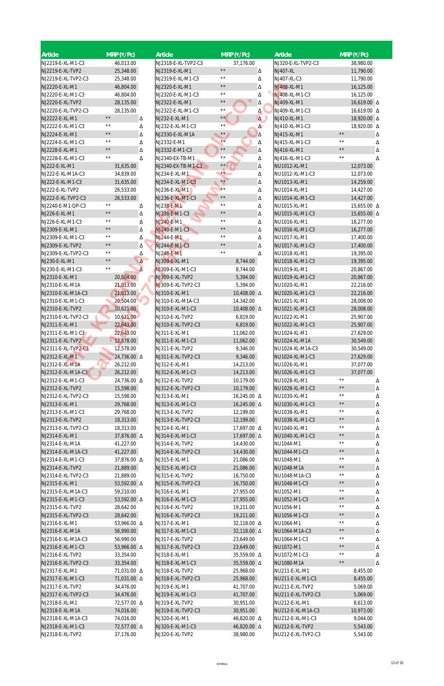| <b>Article</b>      | $MRP$ (₹/Pc)        | <b>Article</b>      | $MRP$ (₹/Pc)               | <b>Article</b>     | $MRP$ (₹/Pc)        |
|---------------------|---------------------|---------------------|----------------------------|--------------------|---------------------|
| NJ2219-E-XL-M1-C3   | 46,013.00           | NJ2318-E-XL-TVP2-C3 | 37,176.00                  | NJ320-E-XL-TVP2-C3 | 38,980.00           |
| NJ2219-E-XL-TVP2    | 25,348.00           | NJ2319-E-XL-M1      | $\star\,\star$<br>Δ        | <b>NJ407-XL</b>    | 11,790.00           |
| NJ2219-E-XL-TVP2-C3 | 25,348.00           | NJ2319-E-XL-M1-C3   | $\star\,\star$<br>Δ        | NJ407-XL-C3        | 11,790.00           |
| NJ2220-E-XL-M1      | 46,804.00           | NJ2320-E-XL-M1      | $\star\,\star$<br>Δ        | NJ408-XL-M1        | 16,125.00           |
| NJ2220-E-XL-M1-C3   | 46,804.00           | NJ2320-E-XL-M1-C3   | $\star\,\star$<br>Δ        | NJ408-XL-M1-C3     | 16,125.00           |
| NJ2220-E-XL-TVP2    | 28,135.00           | NJ2322-E-XL-M1      | $\star\,\star$<br>Δ        | NJ409-XL-M1        | 16,619.00 Δ         |
| NJ2220-E-XL-TVP2-C3 | 28,135.00           | NJ2322-E-XL-M1-C3   | $\star\,\star$<br>$\Delta$ | NJ409-XL-M1-C3     | 16,619.00 Δ         |
| NJ2222-E-XL-M1      | $\star\,\star$<br>Δ | NJ232-E-XL-M1       | $\star \star$<br>$\Delta$  | NJ410-XL-M1        | 18,920.00 Δ         |
| NJ2222-E-XL-M1-C3   | $\star\,\star$<br>Δ | NJ232-E-XL-M1-C3    | $\star\,\star$<br>$\Delta$ | NJ410-XL-M1-C3     | 18,920.00 Δ         |
| NJ2224-E-XL-M1      | $\star\,\star$<br>Δ | NJ2330-E-XL-M1A     | $\star\star$<br>$\Delta$   | NJ415-XL-M1        | $\star\star$<br>Δ   |
| NJ2224-E-XL-M1-C3   | $\star\,\star$<br>Δ | NJ2332-E-M1         | $**$<br>Δ                  | NJ415-XL-M1-C3     | $\star\star$<br>Δ   |
| NJ2228-E-XL-M1      | $\star\,\star$<br>Δ | NJ2332-E-M1-C3      | $\star\,\star$<br>Δ        | NJ416-XL-M1        | $\star\star$<br>Δ   |
| NJ2228-E-XL-M1-C3   | $\star\star$<br>Δ   | NJ2340-EX-TB-M1     | $\star\,\star$<br>Δ        | NJ416-XL-M1-C3     | $\star\,\star$<br>Δ |
| NJ222-E-XL-M1       | 31,635.00           | NJ2340-EX-TB-M1-C3  | $\star \star$<br>Δ         | NU1012-XL-M1       | 12,073.00           |
| NJ222-E-XL-M1A-C3   | 34,839.00           | NJ234-E-XL-M1       | $\star\star$<br>Δ          | NU1012-XL-M1-C3    | 12,073.00           |
| NJ222-E-XL-M1-C3    | 31,635.00           | NJ234-E-XL-M1-C3    | $\star\star$<br>Δ          | NU1013-XL-M1       | 14,259.00           |
| NJ222-E-XL-TVP2     | 26,533.00           | NJ236-E-XL-M1       | $\star\star$<br>Δ          | NU1014-XL-M1       | 14,427.00           |
| NJ222-E-XL-TVP2-C3  | 26,533.00           | NJ236-E-XL-M1-C3    | $\star\,\star$<br>Δ        | NU1014-XL-M1-C3    | 14,427.00           |
| NJ2240-E-M1-QP-C3   | $\star\star$<br>Δ   | NJ238-E-M1          | $\star\,\star$<br>Δ        | NU1015-XL-M1       | 15,655.00 △         |
| NJ226-E-XL-M1       | $\star\,\star$<br>Δ | NJ238-E-M1-C3       | $\star\,\star$<br>Δ        | NU1015-XL-M1-C3    | 15,655.00 Δ         |
| NJ226-E-XL-M1-C3    | $\star\,\star$      | NJ240-E-M1          | $\star\,\star$             | NU1016-XL-M1       | 16,277.00           |
| NJ2309-E-XL-M1      | Δ<br>$\star\star$   | NJ240-E-M1-C3       | Δ<br>$\star\,\star$        | NU1016-XL-M1-C3    | 16,277.00           |
|                     | Δ<br>$\star\,\star$ | NJ244-E-M1          | Δ<br>$\star\,\star$        |                    |                     |
| NJ2309-E-XL-M1-C3   | Δ<br>$\star\,\star$ |                     | Δ<br>$\star\,\star$        | NU1017-XL-M1       | 17,400.00           |
| NJ2309-E-XL-TVP2    | Δ<br>$\star\,\star$ | NJ244-E-M1-C3       | Δ<br>$\star\,\star$        | NU1017-XL-M1-C3    | 17,400.00           |
| NJ2309-E-XL-TVP2-C3 | Δ<br>$\star\,\star$ | NJ248-E-M1          | Δ                          | NU1018-XL-M1       | 19,395.00           |
| NJ230-E-XL-M1       | Δ<br>$\star\star$   | NJ309-E-XL-M1       | 8,744.00                   | NU1018-XL-M1-C3    | 19,395.00           |
| NJ230-E-XL-M1-C3    | $\overline{\Delta}$ | NJ309-E-XL-M1-C3    | 8,744.00                   | NU1019-XL-M1       | 20,867.00           |
| NJ2310-E-XL-M1      | 20,504.00           | NJ309-E-XL-TVP2     | 5,394.00                   | NU1019-XL-M1-C3    | 20,867.00           |
| NJ2310-E-XL-M1A     | 21,013.00           | NJ309-E-XL-TVP2-C3  | 5,394.00                   | NU1020-XL-M1       | 22,216.00           |
| NJ2310-E-XL-M1A-C3  | 21,013.00           | NJ310-E-XL-M1       | 10,408.00 $\Delta$         | NU1020-XL-M1-C3    | 22,216.00           |
| NJ2310-E-XL-M1-C3   | 20,504.00           | NJ310-E-XL-M1A-C3   | 14,342.00                  | NU1021-XL-M1       | 28,008.00           |
| NJ2310-E-XL-TVP2    | 10,621.00           | NJ310-E-XL-M1-C3    | 10,408.00 $\Delta$         | NU1021-XL-M1-C3    | 28,008.00           |
| NJ2310-E-XL-TVP2-C3 | 10,621.00           | NJ310-E-XL-TVP2     | 6,819.00                   | NU1022-XL-M1       | 25,907.00           |
| NJ2311-E-XL-M1      | 22,643.00           | NJ310-E-XL-TVP2-C3  | 6,819.00                   | NU1022-XL-M1-C3    | 25,907.00           |
| NJ2311-E-XL-M1-C3   | 22,643.00           | NJ311-E-XL-M1       | 11,062.00                  | NU1024-XL-M1       | 27,629.00           |
| NJ2311-E-XL-TVP2    | 12,578.00           | NJ311-E-XL-M1-C3    | 11,062.00                  | NU1024-XL-M1A      | 30,549.00           |
| NJ2311-E-XL-TVP2-C3 | 12,578.00           | NJ311-E-XL-TVP2     | 9,346.00                   | NU1024-XL-M1A-C3   | 30,549.00           |
| NJ2312-E-XL-M1      | 24,736.00 A         | NJ311-E-XL-TVP2-C3  | 9,346.00                   | NU1024-XL-M1-C3    | 27,629.00           |
| NJ2312-E-XL-M1A     | 26,212.00           | NJ312-E-XL-M1       | 14,213.00                  | NU1026-XL-M1       | 37,077.00           |
| NJ2312-E-XL-M1A-C3  | 26,212.00           | NJ312-E-XL-M1-C3    | 14,213.00                  | NU1026-XL-M1-C3    | 37,077.00           |
| NJ2312-E-XL-M1-C3   | 24,736.00 A         | NJ312-E-XL-TVP2     | 10,179.00                  | NU1028-XL-M1       | $\star\,\star$<br>Δ |
| NJ2312-E-XL-TVP2    | 15,598.00           | NJ312-E-XL-TVP2-C3  | 10,179.00                  | NU1028-XL-M1-C3    | $\star\,\star$<br>Δ |
| NJ2312-E-XL-TVP2-C3 | 15,598.00           | NJ313-E-XL-M1       | 16,245.00 △                | NU1030-XL-M1       | $\star\,\star$<br>Δ |
| NJ2313-E-XL-M1      | 29,768.00           | NJ313-E-XL-M1-C3    | 16,245.00 △                | NU1030-XL-M1-C3    | $\star\,\star$<br>Δ |
| NJ2313-E-XL-M1-C3   | 29,768.00           | NJ313-E-XL-TVP2     | 12,199.00                  | NU1038-XL-M1       | $\star\,\star$<br>Δ |
| NJ2313-E-XL-TVP2    | 18,313.00           | NJ313-E-XL-TVP2-C3  | 12,199.00                  | NU1038-XL-M1-C3    | $\star\,\star$<br>Δ |
| NJ2313-E-XL-TVP2-C3 | 18,313.00           | NJ314-E-XL-M1       | 17,697.00 Δ                | NU1040-XL-M1       | $\star\,\star$<br>Δ |
| NJ2314-E-XL-M1      | 37,876.00 $\Delta$  | NJ314-E-XL-M1-C3    | 17,697.00 $\Delta$         | NU1040-XL-M1-C3    | $\star\,\star$<br>Δ |
| NJ2314-E-XL-M1A     | 41,227.00           | NJ314-E-XL-TVP2     | 14,430.00                  | NU1044-M1          | $\star\,\star$<br>Δ |
| NJ2314-E-XL-M1A-C3  | 41,227.00           | NJ314-E-XL-TVP2-C3  | 14,430.00                  | NU1044-M1-C3       | $\star\,\star$<br>Δ |
| NJ2314-E-XL-M1-C3   | 37,876.00 A         | NJ315-E-XL-M1       | 21,086.00                  | NU1048-M1          | $\star\,\star$<br>Δ |
| NJ2314-E-XL-TVP2    | 21,889.00           | NJ315-E-XL-M1-C3    | 21,086.00                  | NU1048-M1A         | $\star\,\star$<br>Δ |
| NJ2314-E-XL-TVP2-C3 | 21,889.00           | NJ315-E-XL-TVP2     | 16,750.00                  | NU1048-M1A-C3      | $\star\,\star$<br>Δ |
| NJ2315-E-XL-M1      | 53,592.00 △         | NJ315-E-XL-TVP2-C3  | 16,750.00                  | NU1048-M1-C3       | $\star\,\star$<br>Δ |
| NJ2315-E-XL-M1A-C3  | 59,210.00           | NJ316-E-XL-M1       | 27,955.00                  | NU1052-M1          | $\star\,\star$<br>Δ |
| NJ2315-E-XL-M1-C3   | 53,592.00 A         | NJ316-E-XL-M1-C3    | 27,955.00                  | NU1052-M1-C3       | $\star\,\star$<br>Δ |
| NJ2315-E-XL-TVP2    | 28,642.00           | NJ316-E-XL-TVP2     | 19,211.00                  | NU1056-M1          | $\star\,\star$<br>Δ |
| NJ2315-E-XL-TVP2-C3 | 28,642.00           | NJ316-E-XL-TVP2-C3  | 19,211.00                  | NU1056-M1-C3       | $\star\,\star$<br>Δ |
| NJ2316-E-XL-M1      | 53,966.00 Δ         | NJ317-E-XL-M1       | 32,118.00 △                | NU1064-M1          | $\star\,\star$<br>Δ |
| NJ2316-E-XL-M1A     | 56,990.00           | NJ317-E-XL-M1-C3    | 32,118.00 △                | NU1064-M1A-C3      | $\star\,\star$      |
| NJ2316-E-XL-M1A-C3  | 56,990.00           | NJ317-E-XL-TVP2     | 23,649.00                  | NU1064-M1-C3       | Δ<br>$\star\,\star$ |
| NJ2316-E-XL-M1-C3   | 53,966.00 Δ         | NJ317-E-XL-TVP2-C3  | 23,649.00                  | NU1072-M1          | Δ<br>$\star\,\star$ |
|                     |                     |                     |                            |                    | Δ<br>$\star\,\star$ |
| NJ2316-E-XL-TVP2    | 33,354.00           | NJ318-E-XL-M1       | 35,559.00 △                | NU1072-M1-C3       | Δ<br>$\star\,\star$ |
| NJ2316-E-XL-TVP2-C3 | 33,354.00           | NJ318-E-XL-M1-C3    | 35,559.00 △                | NU1080-M1A         | Δ                   |
| NJ2317-E-XL-M1      | 71,031.00 Δ         | NJ318-E-XL-TVP2     | 25,968.00                  | NU211-E-XL-M1      | 8,455.00            |
| NJ2317-E-XL-M1-C3   | 71,031.00 $\Delta$  | NJ318-E-XL-TVP2-C3  | 25,968.00                  | NU211-E-XL-M1-C3   | 8,455.00            |
| NJ2317-E-XL-TVP2    | 34,476.00           | NJ319-E-XL-M1       | 41,707.00                  | NU211-E-XL-TVP2    | 5,069.00            |
| NJ2317-E-XL-TVP2-C3 | 34,476.00           | NJ319-E-XL-M1-C3    | 41,707.00                  | NU211-E-XL-TVP2-C3 | 5,069.00            |
| NJ2318-E-XL-M1      | 72,577.00 A         | NJ319-E-XL-TVP2     | 30,951.00                  | NU212-E-XL-M1      | 8,613.00            |
| NJ2318-E-XL-M1A     | 74,016.00           | NJ319-E-XL-TVP2-C3  | 30,951.00                  | NU212-E-XL-M1A-C3  | 10,973.00           |
| NJ2318-E-XL-M1A-C3  | 74,016.00           | NJ320-E-XL-M1       | 46,820.00 △                | NU212-E-XL-M1-C3   | 9,044.00            |
| NJ2318-E-XL-M1-C3   | 72,577.00 Δ         | NJ320-E-XL-M1-C3    | 46,820.00 △                | NU212-E-XL-TVP2    | 5,543.00            |
| NJ2318-E-XL-TVP2    | 37,176.00           | NJ320-E-XL-TVP2     | 38,980.00                  | NU212-E-XL-TVP2-C3 | 5,543.00            |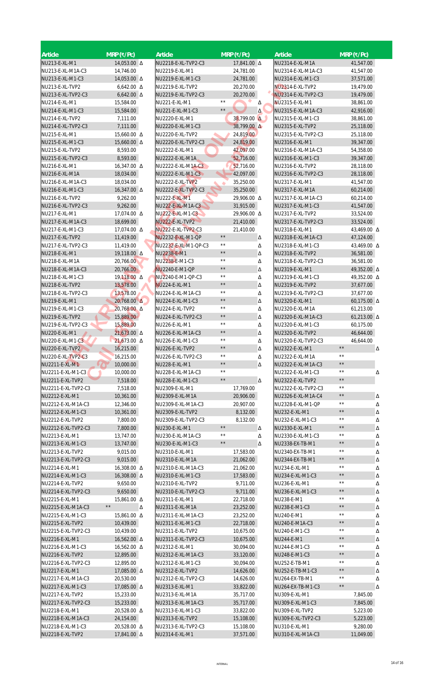| <b>Article</b>                        | $MRP$ (₹/Pc)             | Article                             | $MRP(\overline{P/PC})$           |        | <b>Article</b>                          | $MRP$ (₹/Pc)                          |
|---------------------------------------|--------------------------|-------------------------------------|----------------------------------|--------|-----------------------------------------|---------------------------------------|
| NU213-E-XL-M1                         | 14,053.00 A              | NU2218-E-XL-TVP2-C3                 | 17,841.00 $\Delta$               |        | NU2314-E-XL-M1A                         | 41,547.00                             |
| NU213-E-XL-M1A-C3                     | 14,746.00                | NU2219-E-XL-M1                      | 24,781.00                        |        | NU2314-E-XL-M1A-C3                      | 41,547.00                             |
| NU213-E-XL-M1-C3                      | 14,053.00 A              | NU2219-E-XL-M1-C3                   | 24,781.00                        |        | NU2314-E-XL-M1-C3                       | 37,571.00                             |
| NU213-E-XL-TVP2                       | $6,642.00 \Delta$        | NU2219-E-XL-TVP2                    | 20,270.00                        |        | NU2314-E-XL-TVP2                        | 19,479.00                             |
| NU213-E-XL-TVP2-C3                    | $6,642.00 \Delta$        | NU2219-E-XL-TVP2-C3                 | 20,270.00<br>$\star\,\star$      |        | NU2314-E-XL-TVP2-C3                     | 19,479.00                             |
| NU214-E-XL-M1                         | 15,584.00                | NU221-E-XL-M1                       | $\star\,\star$                   | Δ      | NU2315-E-XL-M1                          | 38,861.00                             |
| NU214-E-XL-M1-C3<br>NU214-E-XL-TVP2   | 15,584.00<br>7,111.00    | NU221-E-XL-M1-C3<br>NU2220-E-XL-M1  | 38,799.00 A                      | Δ      | NU2315-E-XL-M1A-C3<br>NU2315-E-XL-M1-C3 | 42,916.00<br>38,861.00                |
| NU214-E-XL-TVP2-C3                    | 7,111.00                 | NU2220-E-XL-M1-C3                   | 38,799.00 A                      |        | NU2315-E-XL-TVP2                        | 25,118.00                             |
| NU215-E-XL-M1                         | 15,660.00 Δ              | NU2220-E-XL-TVP2                    | 24,819.00                        |        | NU2315-E-XL-TVP2-C3                     | 25,118.00                             |
| NU215-E-XL-M1-C3                      | 15,660.00 Δ              | NU2220-E-XL-TVP2-C3                 | 24,819.00                        |        | NU2316-E-XL-M1                          | 39,347.00                             |
| NU215-E-XL-TVP2                       | 8,593.00                 | NU2222-E-XL-M1                      | 42,097.00                        |        | NU2316-E-XL-M1A-C3                      | 54,358.00                             |
| NU215-E-XL-TVP2-C3                    | 8,593.00                 | NU2222-E-XL-M1A                     | 52,716.00                        |        | NU2316-E-XL-M1-C3                       | 39,347.00                             |
| NU216-E-XL-M1                         | 16,347.00 Δ              | NU2222-E-XL-M1A-C3                  | 52,716.00                        |        | NU2316-E-XL-TVP2                        | 28,118.00                             |
| NU216-E-XL-M1A                        | 18,034.00                | NU2222-E-XL-M1-C3                   | 42,097.00                        |        | NU2316-E-XL-TVP2-C3                     | 28,118.00                             |
| NU216-E-XL-M1A-C3                     | 18,034.00                | NU2222-E-XL-TVP2                    | 35,250.00                        |        | NU2317-E-XL-M1                          | 41,547.00                             |
| NU216-E-XL-M1-C3                      | 16,347.00 △              | NU2222-E-XL-TVP2-C3                 | 35,250.00                        |        | NU2317-E-XL-M1A                         | 60,214.00                             |
| NU216-E-XL-TVP2                       | 9,262.00                 | <b>NU222-E-XL-M1</b>                | 29,906.00 △                      |        | NU2317-E-XL-M1A-C3                      | 60,214.00                             |
| NU216-E-XL-TVP2-C3                    | 9,262.00                 | NU222-E-XL-M1A-C3                   | 31,915.00                        |        | NU2317-E-XL-M1-C3                       | 41,547.00                             |
| NU217-E-XL-M1                         | 17,074.00 Δ              | NU222-E-XL-M1-C3                    | 29,906.00 Δ                      |        | NU2317-E-XL-TVP2                        | 33,524.00                             |
| NU217-E-XL-M1A-C3                     | 18,699.00                | NU222-E-XL-TVP2                     | 21,410.00                        |        | NU2317-E-XL-TVP2-C3                     | 33,524.00                             |
| NU217-E-XL-M1-C3                      | 17,074.00 Δ              | NU222-E-XL-TVP2-C3                  | 21,410.00                        |        | NU2318-E-XL-M1                          | 43,469.00 △                           |
| NU217-E-XL-TVP2                       | 11,419.00                | NU2232-E-XL-M1-QP                   | $\star\,\star$<br>$\star\,\star$ | Δ      | NU2318-E-XL-M1A-C3                      | 47,124.00                             |
| NU217-E-XL-TVP2-C3                    | 11,419.00                | NU2232-E-XL-M1-QP-C3                | $\star\,\star$                   | Δ      | NU2318-E-XL-M1-C3                       | 43,469.00 $\Delta$                    |
| NU218-E-XL-M1                         | 19,118.00 Δ              | NU2238-E-M1                         | $\star\,\star$                   | Δ      | NU2318-E-XL-TVP2                        | 36,581.00                             |
| NU218-E-XL-M1A<br>NU218-E-XL-M1A-C3   | 20,766.00                | NU2238-E-M1-C3                      | $\star\star$                     | Δ      | NU2318-E-XL-TVP2-C3                     | 36,581.00                             |
| NU218-E-XL-M1-C3                      | 20,766.00<br>19,118.00 Δ | NU2240-E-M1-QP<br>NU2240-E-M1-QP-C3 | $\star\,\star$                   | Δ      | NU2319-E-XL-M1<br>NU2319-E-XL-M1-C3     | 49,352.00 A<br>49,352.00 △            |
| NU218-E-XL-TVP2                       | 13,578.00                | <b>NU224-E-XL-M1</b>                | $\star\,\star$                   | Δ<br>Δ | NU2319-E-XL-TVP2                        | 37,677.00                             |
| NU218-E-XL-TVP2-C3                    | 13,578.00                | NU224-E-XL-M1A-C3                   | $\star\,\star$                   | Δ      | NU2319-E-XL-TVP2-C3                     | 37,677.00                             |
| NU219-E-XL-M1                         | $20,768.00 \Delta$       | NU224-E-XL-M1-C3                    | $\star\,\star$                   | Δ      | NU2320-E-XL-M1                          | 60,175.00 $\Delta$                    |
| NU219-E-XL-M1-C3                      | 20,768.00 Δ              | NU224-E-XL-TVP2                     | $\star\,\star$                   | Δ      | NU2320-E-XL-M1A                         | 61,213.00                             |
| NU219-E-XL-TVP2                       | 15,889.00                | NU224-E-XL-TVP2-C3                  | $\star\,\star$                   | Δ      | NU2320-E-XL-M1A-C3                      | 61,213.00 $\Delta$                    |
| NU219-E-XL-TVP2-C3                    | 15,889.00                | NU226-E-XL-M1                       | $\star\,\star$                   | Δ      | NU2320-E-XL-M1-C3                       | 60,175.00                             |
| NU220-E-XL-M1                         | 21,673.00 △              | NU226-E-XL-M1A-C3                   | $\star\,\star$                   | Δ      | NU2320-E-XL-TVP2                        | 46,644.00                             |
| NU220-E-XL-M1-C3                      | $21,673.00 \Delta$       | NU226-E-XL-M1-C3                    | $\star\,\star$                   | Δ      | NU2320-E-XL-TVP2-C3                     | 46,644.00                             |
| NU220-E-XL-TVP2                       | 16,215.00                | NU226-E-XL-TVP2                     | $\star\,\star$                   | Δ      | NU2322-E-XL-M1                          | $\star\,\star$<br>Δ                   |
| NU220-E-XL-TVP2-C3                    | 16,215.00                | NU226-E-XL-TVP2-C3                  | $\star\,\star$                   | Δ      | NU2322-E-XL-M1A                         | $\star\star$                          |
| NU2211-E-XL-M1                        | 10,000.00                | NU228-E-XL-M1                       | $\star\,\star$                   | Δ      | NU2322-E-XL-M1A-C3                      | $\star\,\star$                        |
| NU2211-E-XL-M1-C3                     | 10,000.00                | NU228-E-XL-M1A-C3                   | $\star\,\star$                   |        | NU2322-E-XL-M1-C3                       | $\star\,\star$<br>Δ                   |
| NU2211-E-XL-TVP2                      | 7,518.00                 | NU228-E-XL-M1-C3                    | $\star\,\star$                   | Δ.     | NU2322-E-XL-TVP2                        | $\star\,\star$                        |
| NU2211-E-XL-TVP2-C3                   | 7,518.00                 | NU2309-E-XL-M1                      | 17,769.00                        |        | NU2322-E-XL-TVP2-C3                     | $\star\,\star$                        |
| NU2212-E-XL-M1                        | 10,361.00                | NU2309-E-XL-M1A                     | 20,906.00                        |        | NU2326-E-XL-M1A-C4                      | $\star\,\star$<br>Δ                   |
| NU2212-E-XL-M1A-C3                    | 12,346.00                | NU2309-E-XL-M1A-C3                  | 20,907.00                        |        | NU2328-E-XL-M1-QP                       | $\star\,\star$<br>Δ                   |
| NU2212-E-XL-M1-C3                     | 10,361.00                | NU2309-E-XL-TVP2                    | 8,132.00                         |        | NU232-E-XL-M1                           | $\star\,\star$<br>Δ                   |
| NU2212-E-XL-TVP2                      | 7,800.00                 | NU2309-E-XL-TVP2-C3                 | 8,132.00<br>$\star\star$         |        | NU232-E-XL-M1-C3                        | $\star\,\star$<br>Δ<br>$\star\,\star$ |
| NU2212-E-XL-TVP2-C3                   | 7,800.00                 | NU230-E-XL-M1                       | $\star\,\star$                   | Δ      | NU2330-E-XL-M1                          | Δ<br>$\star\,\star$                   |
| NU2213-E-XL-M1                        | 13,747.00                | NU230-E-XL-M1A-C3                   | $\star\,\star$                   | Δ      | NU2330-E-XL-M1-C3                       | Δ<br>$\star\,\star$                   |
| NU2213-E-XL-M1-C3<br>NU2213-E-XL-TVP2 | 13,747.00<br>9,015.00    | NU230-E-XL-M1-C3<br>NU2310-E-XL-M1  | 17,583.00                        | Δ      | NU2338-EX-TB-M1<br>NU2340-EX-TB-M1      | Δ<br>$\star\,\star$<br>Δ              |
| NU2213-E-XL-TVP2-C3                   | 9,015.00                 | NU2310-E-XL-M1A                     | 21,062.00                        |        | NU2344-EX-TB-M1                         | $\star\,\star$<br>Δ                   |
| NU2214-E-XL-M1                        | 16,308.00 Δ              | NU2310-E-XL-M1A-C3                  | 21,062.00                        |        | NU234-E-XL-M1                           | $\star\star$<br>Δ                     |
| NU2214-E-XL-M1-C3                     | 16,308.00 $\Delta$       | NU2310-E-XL-M1-C3                   | 17,583.00                        |        | NU234-E-XL-M1-C3                        | $\star\,\star$<br>Δ                   |
| NU2214-E-XL-TVP2                      | 9,650.00                 | NU2310-E-XL-TVP2                    | 9,711.00                         |        | NU236-E-XL-M1                           | $\star\,\star$<br>Δ                   |
| NU2214-E-XL-TVP2-C3                   | 9,650.00                 | NU2310-E-XL-TVP2-C3                 | 9,711.00                         |        | NU236-E-XL-M1-C3                        | $\star\,\star$<br>Δ                   |
| NU2215-E-XL-M1                        | 15,861.00 △              | NU2311-E-XL-M1                      | 22,718.00                        |        | NU238-E-M1                              | $\star\,\star$<br>Δ                   |
| NU2215-E-XL-M1A-C3                    | $\star\,\star$<br>Δ      | NU2311-E-XL-M1A                     | 23,252.00                        |        | NU238-E-M1-C3                           | $\star\,\star$<br>Δ                   |
| NU2215-E-XL-M1-C3                     | 15,861.00 Δ              | NU2311-E-XL-M1A-C3                  | 23,252.00                        |        | NU240-E-M1                              | $\star\,\star$<br>Δ                   |
| NU2215-E-XL-TVP2                      | 10,439.00                | NU2311-E-XL-M1-C3                   | 22,718.00                        |        | NU240-E-M1A-C3                          | $\star\,\star$<br>Δ                   |
| NU2215-E-XL-TVP2-C3                   | 10,439.00                | NU2311-E-XL-TVP2                    | 10,675.00                        |        | NU240-E-M1-C3                           | $\star\,\star$<br>Δ                   |
| NU2216-E-XL-M1                        | 16,562.00 Δ              | NU2311-E-XL-TVP2-C3                 | 10,675.00                        |        | NU244-E-M1                              | $\star\,\star$<br>Δ                   |
| NU2216-E-XL-M1-C3                     | 16,562.00 Δ              | NU2312-E-XL-M1                      | 30,094.00                        |        | NU244-E-M1-C3                           | $\star\star$<br>Δ                     |
| NU2216-E-XL-TVP2                      | 12,895.00                | NU2312-E-XL-M1A-C3                  | 33,120.00                        |        | NU248-E-M1-C3                           | $\star\,\star$<br>Δ                   |
| NU2216-E-XL-TVP2-C3                   | 12,895.00                | NU2312-E-XL-M1-C3                   | 30,094.00                        |        | NU252-E-TB-M1                           | $\star\,\star$<br>Δ                   |
| NU2217-E-XL-M1                        | 17,085.00 Δ              | NU2312-E-XL-TVP2                    | 14,626.00                        |        | NU252-E-TB-M1-C3                        | $\star\,\star$<br>Δ                   |
| NU2217-E-XL-M1A-C3                    | 20,530.00                | NU2312-E-XL-TVP2-C3                 | 14,626.00                        |        | NU264-EX-TB-M1                          | $\star\,\star$<br>Δ                   |
| NU2217-E-XL-M1-C3                     | 17,085.00 Δ              | NU2313-E-XL-M1                      | 33,822.00                        |        | NU264-EX-TB-M1-C3                       | $\star\,\star$<br>Δ                   |
| NU2217-E-XL-TVP2                      | 15,233.00                | NU2313-E-XL-M1A                     | 35,717.00                        |        | NU309-E-XL-M1                           | 7,845.00                              |
| NU2217-E-XL-TVP2-C3                   | 15,233.00                | NU2313-E-XL-M1A-C3                  | 35,717.00                        |        | NU309-E-XL-M1-C3                        | 7,845.00                              |
| NU2218-E-XL-M1                        | 20,528.00 A              | NU2313-E-XL-M1-C3                   | 33,822.00                        |        | NU309-E-XL-TVP2                         | 5,223.00                              |
| NU2218-E-XL-M1A-C3                    | 24,154.00                | NU2313-E-XL-TVP2                    | 15,108.00                        |        | NU309-E-XL-TVP2-C3                      | 5,223.00                              |
| NU2218-E-XL-M1-C3                     | 20,528.00 A              | NU2313-E-XL-TVP2-C3                 | 15,108.00                        |        | NU310-E-XL-M1                           | 9,280.00                              |
| NU2218-E-XL-TVP2                      | 17,841.00 $\Delta$       | NU2314-E-XL-M1                      | 37,571.00                        |        | NU310-E-XL-M1A-C3                       | 11,049.00                             |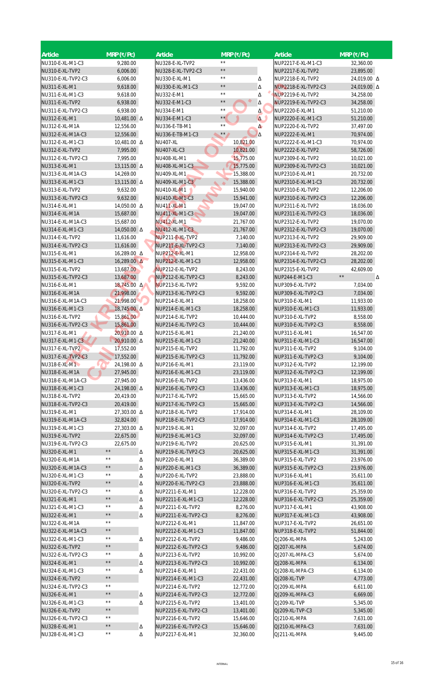| <b>Article</b>                        | $MRP$ (₹/Pc)                     |   | Article                                   | $MRP$ (₹/Pc)                 |                      | <b>Article</b>                            | $MRP$ (₹/Pc)           |
|---------------------------------------|----------------------------------|---|-------------------------------------------|------------------------------|----------------------|-------------------------------------------|------------------------|
| NU310-E-XL-M1-C3                      | 9,280.00                         |   | NU328-E-XL-TVP2                           | $* *$                        |                      | NUP2217-E-XL-M1-C3                        | 32,360.00              |
| NU310-E-XL-TVP2                       | 6,006.00                         |   | NU328-E-XL-TVP2-C3                        | $\star\star$                 |                      | NUP2217-E-XL-TVP2                         | 23,895.00              |
| NU310-E-XL-TVP2-C3                    | 6,006.00                         |   | NU330-E-XL-M1                             | $\star\,\star$               | Δ                    | NUP2218-E-XL-TVP2                         | 24,019.00 △            |
| NU311-E-XL-M1                         | 9,618.00                         |   | NU330-E-XL-M1-C3                          | $\star\star$                 | Δ                    | NUP2218-E-XL-TVP2-C3                      | 24,019.00 Δ            |
| NU311-E-XL-M1-C3                      | 9,618.00                         |   | NU332-E-M1                                | $\star\,\star$               | Δ                    | NUP2219-E-XL-TVP2                         | 34,258.00              |
| NU311-E-XL-TVP2                       | 6,938.00                         |   | NU332-E-M1-C3                             | $\star$ $\star$              | Δ                    | NUP2219-E-XL-TVP2-C3                      | 34,258.00              |
| NU311-E-XL-TVP2-C3                    | 6,938.00                         |   | NU334-E-M1                                | $\star\star$<br>$\star\star$ | Δ                    | NUP2220-E-XL-M1                           | 51,210.00              |
| NU312-E-XL-M1<br>NU312-E-XL-M1A       | 10,481.00 $\Delta$<br>12,556.00  |   | NU334-E-M1-C3<br>NU336-E-TB-M1            | $\star\,\star$               | $\Delta$<br>$\Delta$ | NUP2220-E-XL-M1-C3<br>NUP2220-E-XL-TVP2   | 51,210.00<br>37,497.00 |
| NU312-E-XL-M1A-C3                     | 12,556.00                        |   | NU336-E-TB-M1-C3                          | $\star$ $\star$              | $\Delta$             | NUP2222-E-XL-M1                           | 70,974.00              |
| NU312-E-XL-M1-C3                      | 10,481.00 $\Delta$               |   | <b>NU407-XL</b>                           | 10,821.00                    |                      | NUP2222-E-XL-M1-C3                        | 70,974.00              |
| NU312-E-XL-TVP2                       | 7,995.00                         |   | NU407-XL-C3                               | 10,821.00                    |                      | NUP2222-E-XL-TVP2                         | 58,726.00              |
| NU312-E-XL-TVP2-C3                    | 7,995.00                         |   | NU408-XL-M1                               | 15,775.00                    |                      | NUP2309-E-XL-TVP2                         | 10,021.00              |
| NU313-E-XL-M1                         | 13,115.00 △                      |   | NU408-XL-M1-C3                            | 15,775.00                    |                      | NUP2309-E-XL-TVP2-C3                      | 10,021.00              |
| NU313-E-XL-M1A-C3                     | 14,269.00                        |   | NU409-XL-M1                               | 15,388.00                    |                      | NUP2310-E-XL-M1                           | 20,732.00              |
| NU313-E-XL-M1-C3                      | 13,115.00 △                      |   | NU409-XL-M1-C3                            | 15,388.00                    |                      | NUP2310-E-XL-M1-C3                        | 20,732.00              |
| NU313-E-XL-TVP2<br>NU313-E-XL-TVP2-C3 | 9,632.00<br>9,632.00             |   | NU410-XL-M1<br>NU410-XL-M1-C3             | 15,940.00                    |                      | NUP2310-E-XL-TVP2<br>NUP2310-E-XL-TVP2-C3 | 12,206.00              |
| NU314-E-XL-M1                         | 14,050.00 Δ                      |   | <b>NU411-XL-M1</b>                        | 15,941.00<br>19,047.00       |                      | NUP2311-E-XL-TVP2                         | 12,206.00<br>18,036.00 |
| NU314-E-XL-M1A                        | 15,687.00                        |   | NU411-XL-M1-C3                            | 19,047.00                    |                      | NUP2311-E-XL-TVP2-C3                      | 18,036.00              |
| NU314-E-XL-M1A-C3                     | 15,687.00                        |   | <b>NU412-XL-M1</b>                        | 21,767.00                    |                      | NUP2312-E-XL-TVP2                         | 19,070.00              |
| NU314-E-XL-M1-C3                      | 14,050.00 $\Delta$               |   | NU412-XL-M1-C3                            | 21,767.00                    |                      | NUP2312-E-XL-TVP2-C3                      | 19,070.00              |
| NU314-E-XL-TVP2                       | 11,616.00                        |   | NUP211-E-XL-TVP2                          | 7,140.00                     |                      | NUP2313-E-XL-TVP2                         | 29,909.00              |
| NU314-E-XL-TVP2-C3                    | 11,616.00                        |   | NUP211-E-XL-TVP2-C3                       | 7,140.00                     |                      | NUP2313-E-XL-TVP2-C3                      | 29,909.00              |
| NU315-E-XL-M1                         | 16,289.00 Δ                      |   | NUP212-E-XL-M1                            | 12,958.00                    |                      | NUP2314-E-XL-TVP2                         | 28,202.00              |
| NU315-E-XL-M1-C3                      | $16,289.00 \Delta$               |   | NUP212-E-XL-M1-C3                         | 12,958.00                    |                      | NUP2314-E-XL-TVP2-C3                      | 28,202.00              |
| NU315-E-XL-TVP2                       | 13,687.00                        |   | NUP212-E-XL-TVP2                          | 8,243.00                     |                      | NUP2315-E-XL-TVP2                         | 42,609.00              |
| NU315-E-XL-TVP2-C3                    | 13,687.00                        |   | NUP212-E-XL-TVP2-C3                       | 8,243.00                     |                      | NUP244-E-M1-C3                            | $\star\,\star$<br>Δ    |
| NU316-E-XL-M1<br>NU316-E-XL-M1A       | 18,745.00 Δ<br>21,998.00         |   | NUP213-E-XL-TVP2<br>NUP213-E-XL-TVP2-C3   | 9,592.00<br>9,592.00         |                      | NUP309-E-XL-TVP2<br>NUP309-E-XL-TVP2-C3   | 7,034.00<br>7,034.00   |
| NU316-E-XL-M1A-C3                     | 21,998.00                        |   | NUP214-E-XL-M1                            | 18,258.00                    |                      | NUP310-E-XL-M1                            | 11,933.00              |
| NU316-E-XL-M1-C3                      | 18,745.00 Δ                      |   | NUP214-E-XL-M1-C3                         | 18,258.00                    |                      | NUP310-E-XL-M1-C3                         | 11,933.00              |
| NU316-E-XL-TVP2                       | 15,861.00                        |   | NUP214-E-XL-TVP2                          | 10,444.00                    |                      | NUP310-E-XL-TVP2                          | 8,558.00               |
| NU316-E-XL-TVP2-C3                    | 15,861.00                        |   | NUP214-E-XL-TVP2-C3                       | 10,444.00                    |                      | NUP310-E-XL-TVP2-C3                       | 8,558.00               |
| NU317-E-XL-M1                         | 20,910.00 Δ                      |   | NUP215-E-XL-M1                            | 21,240.00                    |                      | NUP311-E-XL-M1                            | 16,547.00              |
| NU317-E-XL-M1-C3                      | 20,910.00 Δ                      |   | NUP215-E-XL-M1-C3                         | 21,240.00                    |                      | NUP311-E-XL-M1-C3                         | 16,547.00              |
| NU317-E-XL-TVP2                       | 17,552.00                        |   | NUP215-E-XL-TVP2                          | 11,792.00                    |                      | NUP311-E-XL-TVP2                          | 9,104.00               |
| NU317-E-XL-TVP2-C3                    | 17,552.00                        |   | NUP215-E-XL-TVP2-C3                       | 11,792.00                    |                      | NUP311-E-XL-TVP2-C3                       | 9,104.00               |
| NU318-E-XL-M1<br>NU318-E-XL-M1A       | 24,198.00 A<br>27,945.00         |   | NUP216-E-XL-M1<br>NUP216-E-XL-M1-C3       | 23,119.00<br>23,119.00       |                      | NUP312-E-XL-TVP2<br>NUP312-E-XL-TVP2-C3   | 12,199.00<br>12,199.00 |
| NU318-E-XL-M1A-C3                     | 27,945.00                        |   | NUP216-E-XL-TVP2                          | 13,436.00                    |                      | NUP313-E-XL-M1                            | 18,975.00              |
| NU318-E-XL-M1-C3                      | 24,198.00 A                      |   | NUP216-E-XL-TVP2-C3                       | 13,436.00                    |                      | NUP313-E-XL-M1-C3                         | 18,975.00              |
| NU318-E-XL-TVP2                       | 20,419.00                        |   | NUP217-E-XL-TVP2                          | 15,665.00                    |                      | NUP313-E-XL-TVP2                          | 14,566.00              |
| NU318-E-XL-TVP2-C3                    | 20,419.00                        |   | NUP217-E-XL-TVP2-C3                       | 15,665.00                    |                      | NUP313-E-XL-TVP2-C3                       | 14,566.00              |
| NU319-E-XL-M1                         | 27,303.00 A                      |   | NUP218-E-XL-TVP2                          | 17,914.00                    |                      | NUP314-E-XL-M1                            | 28,109.00              |
| NU319-E-XL-M1A-C3                     | 32,824.00                        |   | NUP218-E-XL-TVP2-C3                       | 17,914.00                    |                      | NUP314-E-XL-M1-C3                         | 28,109.00              |
| NU319-E-XL-M1-C3                      | 27,303.00 A                      |   | NUP219-E-XL-M1                            | 32,097.00                    |                      | NUP314-E-XL-TVP2                          | 17,495.00              |
| NU319-E-XL-TVP2<br>NU319-E-XL-TVP2-C3 | 22,675.00<br>22,675.00           |   | NUP219-E-XL-M1-C3<br>NUP219-E-XL-TVP2     | 32,097.00                    |                      | NUP314-E-XL-TVP2-C3<br>NUP315-E-XL-M1     | 17,495.00              |
| NU320-E-XL-M1                         | $\star\,\star$                   | Δ | NUP219-E-XL-TVP2-C3                       | 20,625.00<br>20,625.00       |                      | NUP315-E-XL-M1-C3                         | 31,391.00<br>31,391.00 |
| NU320-E-XL-M1A                        | $\star\,\star$                   | Δ | NUP220-E-XL-M1                            | 36,389.00                    |                      | NUP315-E-XL-TVP2                          | 23,976.00              |
| NU320-E-XL-M1A-C3                     | $\star\,\star$                   | Δ | NUP220-E-XL-M1-C3                         | 36,389.00                    |                      | NUP315-E-XL-TVP2-C3                       | 23,976.00              |
| NU320-E-XL-M1-C3                      | $\star\,\star$                   | Δ | NUP220-E-XL-TVP2                          | 23,888.00                    |                      | NUP316-E-XL-M1                            | 35,611.00              |
| NU320-E-XL-TVP2                       | $\star\,\star$                   | Δ | NUP220-E-XL-TVP2-C3                       | 23,888.00                    |                      | NUP316-E-XL-M1-C3                         | 35,611.00              |
| NU320-E-XL-TVP2-C3                    | $\star\,\star$                   | Δ | NUP2211-E-XL-M1                           | 12,228.00                    |                      | NUP316-E-XL-TVP2                          | 25,359.00              |
| NU321-E-XL-M1                         | $\star\,\star$                   | Δ | NUP2211-E-XL-M1-C3                        | 12,228.00                    |                      | NUP316-E-XL-TVP2-C3                       | 25,359.00              |
| NU321-E-XL-M1-C3                      | $\star\,\star$<br>$\star\,\star$ | Δ | NUP2211-E-XL-TVP2                         | 8,276.00                     |                      | NUP317-E-XL-M1                            | 43,908.00              |
| NU322-E-XL-M1<br>NU322-E-XL-M1A       | $\star\,\star$                   | Δ | NUP2211-E-XL-TVP2-C3<br>NUP2212-E-XL-M1   | 8,276.00<br>11,847.00        |                      | NUP317-E-XL-M1-C3<br>NUP317-E-XL-TVP2     | 43,908.00<br>26,651.00 |
| NU322-E-XL-M1A-C3                     | $\star\,\star$                   |   | NUP2212-E-XL-M1-C3                        | 11,847.00                    |                      | NUP318-E-XL-TVP2                          | 51,844.00              |
| NU322-E-XL-M1-C3                      | $\star\,\star$                   | Δ | NUP2212-E-XL-TVP2                         | 9,486.00                     |                      | QJ206-XL-MPA                              | 5,243.00               |
| NU322-E-XL-TVP2                       | $\star\,\star$                   |   | NUP2212-E-XL-TVP2-C3                      | 9,486.00                     |                      | QJ207-XL-MPA                              | 5,674.00               |
| NU322-E-XL-TVP2-C3                    | $\star\star$                     | Δ | NUP2213-E-XL-TVP2                         | 10,992.00                    |                      | QJ207-XL-MPA-C3                           | 5,674.00               |
| NU324-E-XL-M1                         | $\star\,\star$                   | Δ | NUP2213-E-XL-TVP2-C3                      | 10,992.00                    |                      | QJ208-XL-MPA                              | 6,134.00               |
| NU324-E-XL-M1-C3                      | $\star\,\star$                   | Δ | NUP2214-E-XL-M1                           | 22,431.00                    |                      | QJ208-XL-MPA-C3                           | 6,134.00               |
| NU324-E-XL-TVP2                       | $\star\,\star$                   |   | NUP2214-E-XL-M1-C3                        | 22,431.00                    |                      | QJ208-XL-TVP                              | 4,773.00               |
| NU324-E-XL-TVP2-C3                    | $\star\star$<br>$\star\,\star$   |   | NUP2214-E-XL-TVP2                         | 12,772.00                    |                      | QJ209-XL-MPA                              | 6,611.00               |
| NU326-E-XL-M1<br>NU326-E-XL-M1-C3     | $\star\star$                     | Δ | NUP2214-E-XL-TVP2-C3<br>NUP2215-E-XL-TVP2 | 12,772.00                    |                      | QJ209-XL-MPA-C3                           | 6,669.00<br>5,345.00   |
| NU326-E-XL-TVP2                       | $\star\,\star$                   | Δ | NUP2215-E-XL-TVP2-C3                      | 13,401.00<br>13,401.00       |                      | QJ209-XL-TVP<br>QJ209-XL-TVP-C3           | 5,345.00               |
| NU326-E-XL-TVP2-C3                    | $\star\,\star$                   |   | NUP2216-E-XL-TVP2                         | 15,646.00                    |                      | QJ210-XL-MPA                              | 7,631.00               |
| NU328-E-XL-M1                         | $\star\,\star$                   | Δ | NUP2216-E-XL-TVP2-C3                      | 15,646.00                    |                      | QJ210-XL-MPA-C3                           | 7,631.00               |
| NU328-E-XL-M1-C3                      | $\star\,\star$                   | Δ | NUP2217-E-XL-M1                           | 32,360.00                    |                      | QJ211-XL-MPA                              | 9,445.00               |